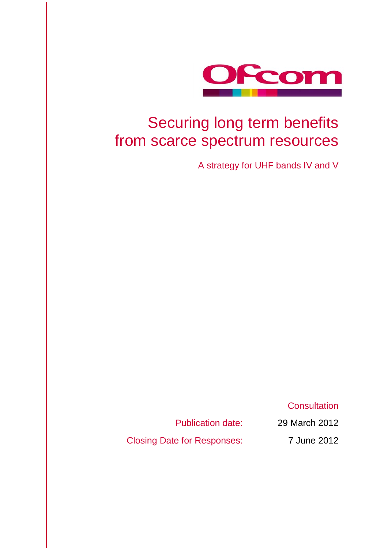

## Securing long term benefits from scarce spectrum resources

A strategy for UHF bands IV and V

**Consultation** 

Publication date: 29 March 2012

<span id="page-0-0"></span>Closing Date for Responses: 7 June 2012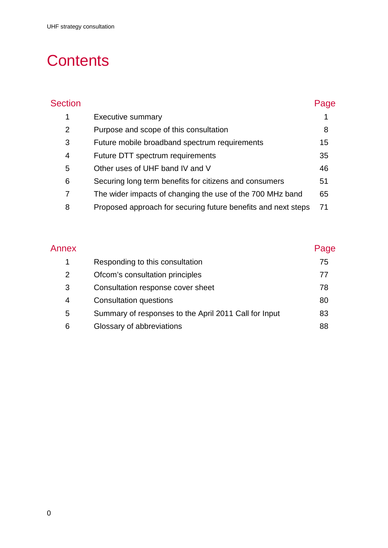# **Contents**

| <b>Section</b>                                                     | Page |
|--------------------------------------------------------------------|------|
| 1<br><b>Executive summary</b>                                      |      |
| 2<br>Purpose and scope of this consultation                        | 8    |
| 3<br>Future mobile broadband spectrum requirements                 | 15   |
| Future DTT spectrum requirements<br>4                              | 35   |
| 5<br>Other uses of UHF band IV and V                               | 46   |
| 6<br>Securing long term benefits for citizens and consumers        | 51   |
| 7<br>The wider impacts of changing the use of the 700 MHz band     | 65   |
| 8<br>Proposed approach for securing future benefits and next steps | 71   |

| Annex |                                                       | Page |
|-------|-------------------------------------------------------|------|
| 1     | Responding to this consultation                       | 75   |
| 2     | Ofcom's consultation principles                       | 77   |
| 3     | Consultation response cover sheet                     | 78   |
| 4     | <b>Consultation questions</b>                         | 80   |
| 5     | Summary of responses to the April 2011 Call for Input | 83   |
| 6     | Glossary of abbreviations                             | 88   |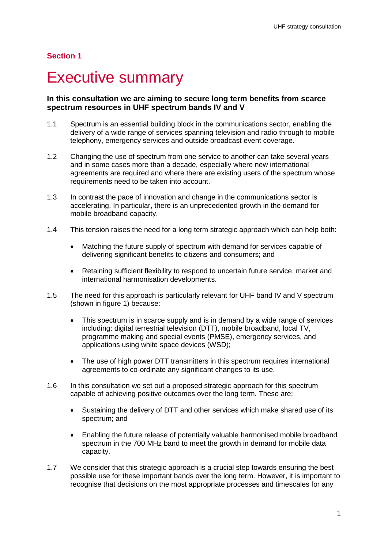### **Section 1**

## <span id="page-3-0"></span>**Executive summary**

### **In this consultation we are aiming to secure long term benefits from scarce spectrum resources in UHF spectrum bands IV and V**

- 1.1 Spectrum is an essential building block in the communications sector, enabling the delivery of a wide range of services spanning television and radio through to mobile telephony, emergency services and outside broadcast event coverage.
- 1.2 Changing the use of spectrum from one service to another can take several years and in some cases more than a decade, especially where new international agreements are required and where there are existing users of the spectrum whose requirements need to be taken into account.
- 1.3 In contrast the pace of innovation and change in the communications sector is accelerating. In particular, there is an unprecedented growth in the demand for mobile broadband capacity.
- 1.4 This tension raises the need for a long term strategic approach which can help both:
	- Matching the future supply of spectrum with demand for services capable of delivering significant benefits to citizens and consumers; and
	- Retaining sufficient flexibility to respond to uncertain future service, market and international harmonisation developments.
- 1.5 The need for this approach is particularly relevant for UHF band IV and V spectrum (shown in figure 1) because:
	- This spectrum is in scarce supply and is in demand by a wide range of services including: digital terrestrial television (DTT), mobile broadband, local TV, programme making and special events (PMSE), emergency services, and applications using white space devices (WSD);
	- The use of high power DTT transmitters in this spectrum requires international agreements to co-ordinate any significant changes to its use.
- 1.6 In this consultation we set out a proposed strategic approach for this spectrum capable of achieving positive outcomes over the long term. These are:
	- Sustaining the delivery of DTT and other services which make shared use of its spectrum; and
	- Enabling the future release of potentially valuable harmonised mobile broadband spectrum in the 700 MHz band to meet the growth in demand for mobile data capacity.
- 1.7 We consider that this strategic approach is a crucial step towards ensuring the best possible use for these important bands over the long term. However, it is important to recognise that decisions on the most appropriate processes and timescales for any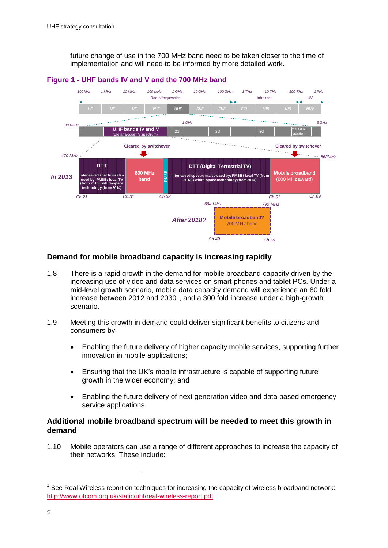future change of use in the 700 MHz band need to be taken closer to the time of implementation and will need to be informed by more detailed work.



#### **Figure 1 - UHF bands IV and V and the 700 MHz band**

### **Demand for mobile broadband capacity is increasing rapidly**

- 1.8 There is a rapid growth in the demand for mobile broadband capacity driven by the increasing use of video and data services on smart phones and tablet PCs. Under a mid-level growth scenario, mobile data capacity demand will experience an 80 fold increase between 20[1](#page-0-0)2 and 2030<sup>1</sup>, and a 300 fold increase under a high-growth scenario.
- 1.9 Meeting this growth in demand could deliver significant benefits to citizens and consumers by:
	- Enabling the future delivery of higher capacity mobile services, supporting further innovation in mobile applications;
	- Ensuring that the UK's mobile infrastructure is capable of supporting future growth in the wider economy; and
	- Enabling the future delivery of next generation video and data based emergency service applications.

### **Additional mobile broadband spectrum will be needed to meet this growth in demand**

<span id="page-4-0"></span>1.10 Mobile operators can use a range of different approaches to increase the capacity of their networks. These include:

 $1$  See Real Wireless report on techniques for increasing the capacity of wireless broadband network: <http://www.ofcom.org.uk/static/uhf/real-wireless-report.pdf>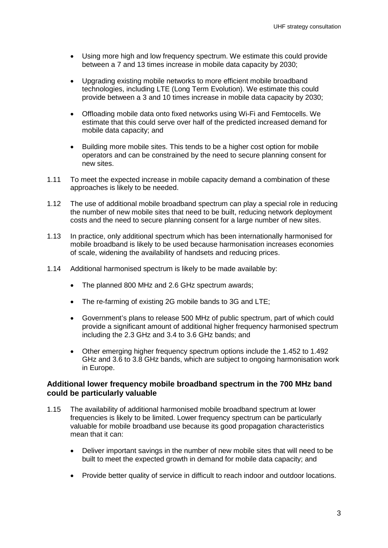- Using more high and low frequency spectrum. We estimate this could provide between a 7 and 13 times increase in mobile data capacity by 2030;
- Upgrading existing mobile networks to more efficient mobile broadband technologies, including LTE (Long Term Evolution). We estimate this could provide between a 3 and 10 times increase in mobile data capacity by 2030;
- Offloading mobile data onto fixed networks using Wi-Fi and Femtocells. We estimate that this could serve over half of the predicted increased demand for mobile data capacity; and
- Building more mobile sites. This tends to be a higher cost option for mobile operators and can be constrained by the need to secure planning consent for new sites.
- 1.11 To meet the expected increase in mobile capacity demand a combination of these approaches is likely to be needed.
- 1.12 The use of additional mobile broadband spectrum can play a special role in reducing the number of new mobile sites that need to be built, reducing network deployment costs and the need to secure planning consent for a large number of new sites.
- 1.13 In practice, only additional spectrum which has been internationally harmonised for mobile broadband is likely to be used because harmonisation increases economies of scale, widening the availability of handsets and reducing prices.
- 1.14 Additional harmonised spectrum is likely to be made available by:
	- The planned 800 MHz and 2.6 GHz spectrum awards;
	- The re-farming of existing 2G mobile bands to 3G and LTE;
	- Government's plans to release 500 MHz of public spectrum, part of which could provide a significant amount of additional higher frequency harmonised spectrum including the 2.3 GHz and 3.4 to 3.6 GHz bands; and
	- Other emerging higher frequency spectrum options include the 1.452 to 1.492 GHz and 3.6 to 3.8 GHz bands, which are subject to ongoing harmonisation work in Europe.

#### **Additional lower frequency mobile broadband spectrum in the 700 MHz band could be particularly valuable**

- 1.15 The availability of additional harmonised mobile broadband spectrum at lower frequencies is likely to be limited. Lower frequency spectrum can be particularly valuable for mobile broadband use because its good propagation characteristics mean that it can:
	- Deliver important savings in the number of new mobile sites that will need to be built to meet the expected growth in demand for mobile data capacity; and
	- Provide better quality of service in difficult to reach indoor and outdoor locations.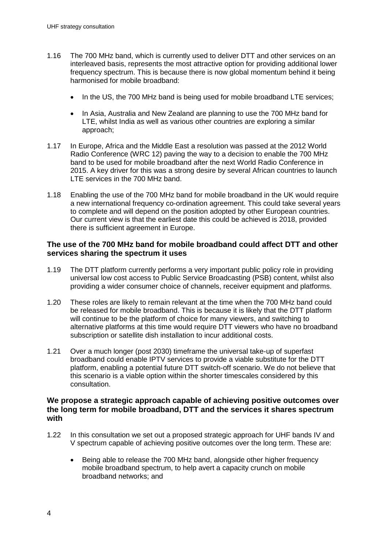- 1.16 The 700 MHz band, which is currently used to deliver DTT and other services on an interleaved basis, represents the most attractive option for providing additional lower frequency spectrum. This is because there is now global momentum behind it being harmonised for mobile broadband:
	- In the US, the 700 MHz band is being used for mobile broadband LTE services;
	- In Asia, Australia and New Zealand are planning to use the 700 MHz band for LTE, whilst India as well as various other countries are exploring a similar approach;
- 1.17 In Europe, Africa and the Middle East a resolution was passed at the 2012 World Radio Conference (WRC 12) paving the way to a decision to enable the 700 MHz band to be used for mobile broadband after the next World Radio Conference in 2015. A key driver for this was a strong desire by several African countries to launch LTE services in the 700 MHz band.
- 1.18 Enabling the use of the 700 MHz band for mobile broadband in the UK would require a new international frequency co-ordination agreement. This could take several years to complete and will depend on the position adopted by other European countries. Our current view is that the earliest date this could be achieved is 2018, provided there is sufficient agreement in Europe.

### **The use of the 700 MHz band for mobile broadband could affect DTT and other services sharing the spectrum it uses**

- 1.19 The DTT platform currently performs a very important public policy role in providing universal low cost access to Public Service Broadcasting (PSB) content, whilst also providing a wider consumer choice of channels, receiver equipment and platforms.
- 1.20 These roles are likely to remain relevant at the time when the 700 MHz band could be released for mobile broadband. This is because it is likely that the DTT platform will continue to be the platform of choice for many viewers, and switching to alternative platforms at this time would require DTT viewers who have no broadband subscription or satellite dish installation to incur additional costs.
- 1.21 Over a much longer (post 2030) timeframe the universal take-up of superfast broadband could enable IPTV services to provide a viable substitute for the DTT platform, enabling a potential future DTT switch-off scenario. We do not believe that this scenario is a viable option within the shorter timescales considered by this consultation.

### **We propose a strategic approach capable of achieving positive outcomes over the long term for mobile broadband, DTT and the services it shares spectrum with**

- 1.22 In this consultation we set out a proposed strategic approach for UHF bands IV and V spectrum capable of achieving positive outcomes over the long term. These are:
	- Being able to release the 700 MHz band, alongside other higher frequency mobile broadband spectrum, to help avert a capacity crunch on mobile broadband networks; and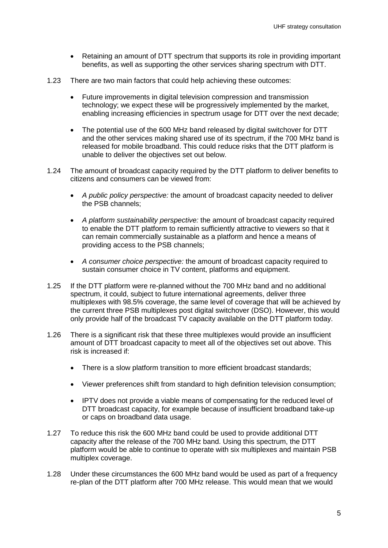- Retaining an amount of DTT spectrum that supports its role in providing important benefits, as well as supporting the other services sharing spectrum with DTT.
- 1.23 There are two main factors that could help achieving these outcomes:
	- Future improvements in digital television compression and transmission technology; we expect these will be progressively implemented by the market, enabling increasing efficiencies in spectrum usage for DTT over the next decade;
	- The potential use of the 600 MHz band released by digital switchover for DTT and the other services making shared use of its spectrum, if the 700 MHz band is released for mobile broadband. This could reduce risks that the DTT platform is unable to deliver the objectives set out below.
- 1.24 The amount of broadcast capacity required by the DTT platform to deliver benefits to citizens and consumers can be viewed from:
	- *A public policy perspective:* the amount of broadcast capacity needed to deliver the PSB channels;
	- *A platform sustainability perspective:* the amount of broadcast capacity required to enable the DTT platform to remain sufficiently attractive to viewers so that it can remain commercially sustainable as a platform and hence a means of providing access to the PSB channels;
	- *A consumer choice perspective:* the amount of broadcast capacity required to sustain consumer choice in TV content, platforms and equipment.
- 1.25 If the DTT platform were re-planned without the 700 MHz band and no additional spectrum, it could, subject to future international agreements, deliver three multiplexes with 98.5% coverage, the same level of coverage that will be achieved by the current three PSB multiplexes post digital switchover (DSO). However, this would only provide half of the broadcast TV capacity available on the DTT platform today.
- 1.26 There is a significant risk that these three multiplexes would provide an insufficient amount of DTT broadcast capacity to meet all of the objectives set out above. This risk is increased if:
	- There is a slow platform transition to more efficient broadcast standards;
	- Viewer preferences shift from standard to high definition television consumption;
	- IPTV does not provide a viable means of compensating for the reduced level of DTT broadcast capacity, for example because of insufficient broadband take-up or caps on broadband data usage.
- 1.27 To reduce this risk the 600 MHz band could be used to provide additional DTT capacity after the release of the 700 MHz band. Using this spectrum, the DTT platform would be able to continue to operate with six multiplexes and maintain PSB multiplex coverage.
- 1.28 Under these circumstances the 600 MHz band would be used as part of a frequency re-plan of the DTT platform after 700 MHz release. This would mean that we would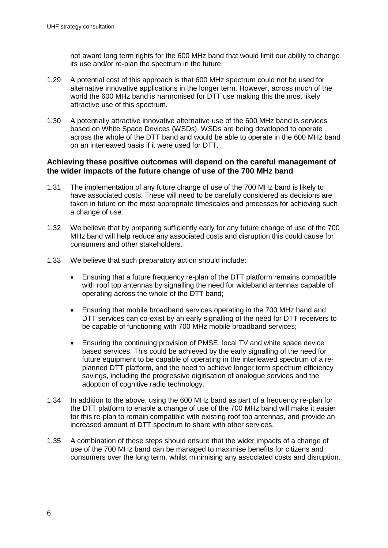not award long term rights for the 600 MHz band that would limit our ability to change its use and/or re-plan the spectrum in the future.

- 1.29 A potential cost of this approach is that 600 MHz spectrum could not be used for alternative innovative applications in the longer term. However, across much of the world the 600 MHz band is harmonised for DTT use making this the most likely attractive use of this spectrum.
- 1.30 A potentially attractive innovative alternative use of the 600 MHz band is services based on White Space Devices (WSDs). WSDs are being developed to operate across the whole of the DTT band and would be able to operate in the 600 MHz band on an interleaved basis if it were used for DTT.

### **Achieving these positive outcomes will depend on the careful management of the wider impacts of the future change of use of the 700 MHz band**

- 1.31 The implementation of any future change of use of the 700 MHz band is likely to have associated costs. These will need to be carefully considered as decisions are taken in future on the most appropriate timescales and processes for achieving such a change of use.
- 1.32 We believe that by preparing sufficiently early for any future change of use of the 700 MHz band will help reduce any associated costs and disruption this could cause for consumers and other stakeholders.
- 1.33 We believe that such preparatory action should include:
	- Ensuring that a future frequency re-plan of the DTT platform remains compatible with roof top antennas by signalling the need for wideband antennas capable of operating across the whole of the DTT band;
	- Ensuring that mobile broadband services operating in the 700 MHz band and DTT services can co-exist by an early signalling of the need for DTT receivers to be capable of functioning with 700 MHz mobile broadband services;
	- Ensuring the continuing provision of PMSE, local TV and white space device based services. This could be achieved by the early signalling of the need for future equipment to be capable of operating in the interleaved spectrum of a replanned DTT platform, and the need to achieve longer term spectrum efficiency savings, including the progressive digitisation of analogue services and the adoption of cognitive radio technology.
- 1.34 In addition to the above, using the 600 MHz band as part of a frequency re-plan for the DTT platform to enable a change of use of the 700 MHz band will make it easier for this re-plan to remain compatible with existing roof top antennas, and provide an increased amount of DTT spectrum to share with other services.
- 1.35 A combination of these steps should ensure that the wider impacts of a change of use of the 700 MHz band can be managed to maximise benefits for citizens and consumers over the long term, whilst minimising any associated costs and disruption.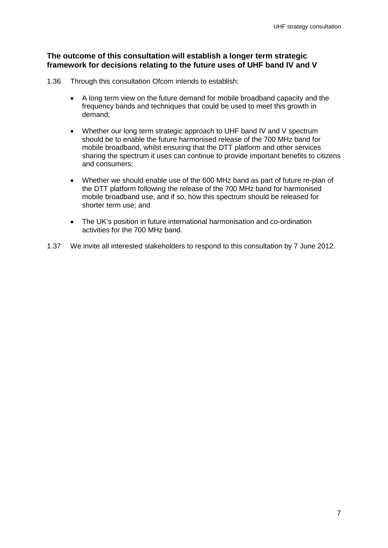### **The outcome of this consultation will establish a longer term strategic framework for decisions relating to the future uses of UHF band IV and V**

- 1.36 Through this consultation Ofcom intends to establish:
	- A long term view on the future demand for mobile broadband capacity and the frequency bands and techniques that could be used to meet this growth in demand;
	- Whether our long term strategic approach to UHF band IV and V spectrum should be to enable the future harmonised release of the 700 MHz band for mobile broadband, whilst ensuring that the DTT platform and other services sharing the spectrum it uses can continue to provide important benefits to citizens and consumers;
	- Whether we should enable use of the 600 MHz band as part of future re-plan of the DTT platform following the release of the 700 MHz band for harmonised mobile broadband use, and if so, how this spectrum should be released for shorter term use; and
	- The UK's position in future international harmonisation and co-ordination activities for the 700 MHz band.
- 1.37 We invite all interested stakeholders to respond to this consultation by 7 June 2012.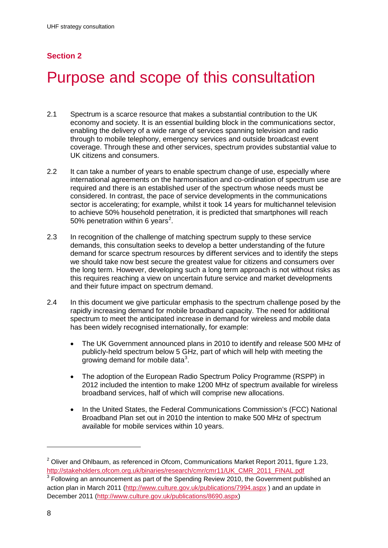## **Section 2**

## <span id="page-10-0"></span>Purpose and scope of this consultation

- 2.1 Spectrum is a scarce resource that makes a substantial contribution to the UK economy and society. It is an essential building block in the communications sector, enabling the delivery of a wide range of services spanning television and radio through to mobile telephony, emergency services and outside broadcast event coverage. Through these and other services, spectrum provides substantial value to UK citizens and consumers.
- 2.2 It can take a number of years to enable spectrum change of use, especially where international agreements on the harmonisation and co-ordination of spectrum use are required and there is an established user of the spectrum whose needs must be considered. In contrast, the pace of service developments in the communications sector is accelerating; for example, whilst it took 14 years for multichannel television to achieve 50% household penetration, it is predicted that smartphones will reach 50% penetration within 6 years<sup>[2](#page-4-0)</sup>.
- 2.3 In recognition of the challenge of matching spectrum supply to these service demands, this consultation seeks to develop a better understanding of the future demand for scarce spectrum resources by different services and to identify the steps we should take now best secure the greatest value for citizens and consumers over the long term. However, developing such a long term approach is not without risks as this requires reaching a view on uncertain future service and market developments and their future impact on spectrum demand.
- 2.4 In this document we give particular emphasis to the spectrum challenge posed by the rapidly increasing demand for mobile broadband capacity. The need for additional spectrum to meet the anticipated increase in demand for wireless and mobile data has been widely recognised internationally, for example:
	- The UK Government announced plans in 2010 to identify and release 500 MHz of publicly-held spectrum below 5 GHz, part of which will help with meeting the growing demand for mobile data<sup>[3](#page-10-1)</sup>.
	- The adoption of the European Radio Spectrum Policy Programme (RSPP) in 2012 included the intention to make 1200 MHz of spectrum available for wireless broadband services, half of which will comprise new allocations.
	- In the United States, the Federal Communications Commission's (FCC) National Broadband Plan set out in 2010 the intention to make 500 MHz of spectrum available for mobile services within 10 years.

<span id="page-10-1"></span> $2$  Oliver and Ohlbaum, as referenced in Ofcom, Communications Market Report 2011, figure 1.23, http://stakeholders.ofcom.org.uk/binaries/research/cmr/cmr11/UK\_CMR\_2011\_FINAL.pdf<br><sup>3</sup> Following an announcement as part of the Spending Review 2010, the Government published an

action plan in March 2011 [\(http://www.culture.gov.uk/publications/7994.aspx](http://www.culture.gov.uk/publications/7994.aspx) ) and an update in December 2011 [\(http://www.culture.gov.uk/publications/8690.aspx\)](http://www.culture.gov.uk/publications/8690.aspx)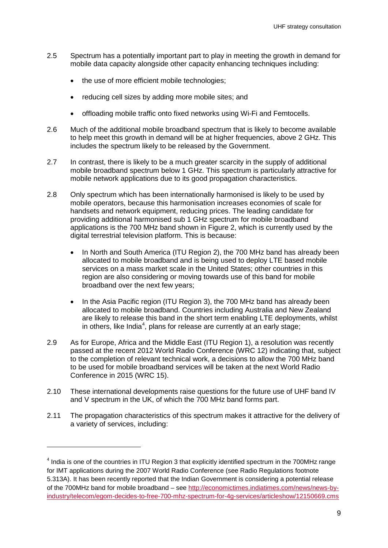- 2.5 Spectrum has a potentially important part to play in meeting the growth in demand for mobile data capacity alongside other capacity enhancing techniques including:
	- the use of more efficient mobile technologies;
	- reducing cell sizes by adding more mobile sites; and
	- offloading mobile traffic onto fixed networks using Wi-Fi and Femtocells.
- 2.6 Much of the additional mobile broadband spectrum that is likely to become available to help meet this growth in demand will be at higher frequencies, above 2 GHz. This includes the spectrum likely to be released by the Government.
- 2.7 In contrast, there is likely to be a much greater scarcity in the supply of additional mobile broadband spectrum below 1 GHz. This spectrum is particularly attractive for mobile network applications due to its good propagation characteristics.
- 2.8 Only spectrum which has been internationally harmonised is likely to be used by mobile operators, because this harmonisation increases economies of scale for handsets and network equipment, reducing prices. The leading candidate for providing additional harmonised sub 1 GHz spectrum for mobile broadband applications is the 700 MHz band shown in Figure 2, which is currently used by the digital terrestrial television platform. This is because:
	- In North and South America (ITU Region 2), the 700 MHz band has already been allocated to mobile broadband and is being used to deploy LTE based mobile services on a mass market scale in the United States; other countries in this region are also considering or moving towards use of this band for mobile broadband over the next few years;
	- In the Asia Pacific region (ITU Region 3), the 700 MHz band has already been allocated to mobile broadband. Countries including Australia and New Zealand are likely to release this band in the short term enabling LTE deployments, whilst in others, like India<sup>[4](#page-10-1)</sup>, plans for release are currently at an early stage;
- 2.9 As for Europe, Africa and the Middle East (ITU Region 1), a resolution was recently passed at the recent 2012 World Radio Conference (WRC 12) indicating that, subject to the completion of relevant technical work, a decisions to allow the 700 MHz band to be used for mobile broadband services will be taken at the next World Radio Conference in 2015 (WRC 15).
- 2.10 These international developments raise questions for the future use of UHF band IV and V spectrum in the UK, of which the 700 MHz band forms part.
- 2.11 The propagation characteristics of this spectrum makes it attractive for the delivery of a variety of services, including:

<span id="page-11-0"></span><sup>&</sup>lt;sup>4</sup> India is one of the countries in ITU Region 3 that explicitly identified spectrum in the 700MHz range for IMT applications during the 2007 World Radio Conference (see Radio Regulations footnote 5.313A). It has been recently reported that the Indian Government is considering a potential release of the 700MHz band for mobile broadband – see [http://economictimes.indiatimes.com/news/news-by](http://economictimes.indiatimes.com/news/news-by-industry/telecom/egom-decides-to-free-700-mhz-spectrum-for-4g-services/articleshow/12150669.cms)[industry/telecom/egom-decides-to-free-700-mhz-spectrum-for-4g-services/articleshow/12150669.cms](http://economictimes.indiatimes.com/news/news-by-industry/telecom/egom-decides-to-free-700-mhz-spectrum-for-4g-services/articleshow/12150669.cms)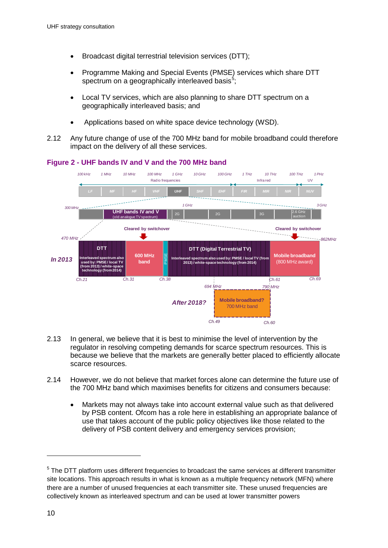- Broadcast digital terrestrial television services (DTT);
- Programme Making and Special Events (PMSE) services which share DTT spectrum on a geographically interleaved basis<sup>[5](#page-11-0)</sup>;
- Local TV services, which are also planning to share DTT spectrum on a geographically interleaved basis; and
- Applications based on white space device technology (WSD).
- 2.12 Any future change of use of the 700 MHz band for mobile broadband could therefore impact on the delivery of all these services.





- 2.13 In general, we believe that it is best to minimise the level of intervention by the regulator in resolving competing demands for scarce spectrum resources. This is because we believe that the markets are generally better placed to efficiently allocate scarce resources.
- 2.14 However, we do not believe that market forces alone can determine the future use of the 700 MHz band which maximises benefits for citizens and consumers because:
	- Markets may not always take into account external value such as that delivered by PSB content. Ofcom has a role here in establishing an appropriate balance of use that takes account of the public policy objectives like those related to the delivery of PSB content delivery and emergency services provision;

<span id="page-12-0"></span><sup>&</sup>lt;sup>5</sup> The DTT platform uses different frequencies to broadcast the same services at different transmitter site locations. This approach results in what is known as a multiple frequency network (MFN) where there are a number of unused frequencies at each transmitter site. These unused frequencies are collectively known as interleaved spectrum and can be used at lower transmitter powers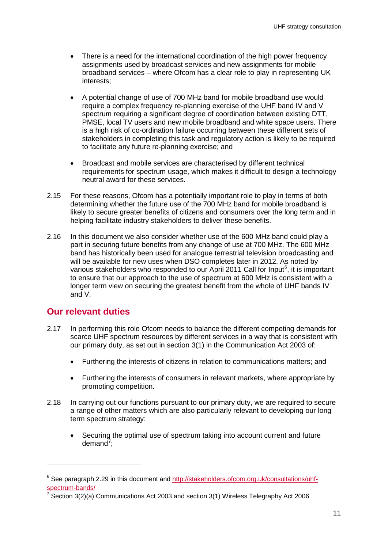- There is a need for the international coordination of the high power frequency assignments used by broadcast services and new assignments for mobile broadband services – where Ofcom has a clear role to play in representing UK interests;
- A potential change of use of 700 MHz band for mobile broadband use would require a complex frequency re-planning exercise of the UHF band IV and V spectrum requiring a significant degree of coordination between existing DTT, PMSE, local TV users and new mobile broadband and white space users. There is a high risk of co-ordination failure occurring between these different sets of stakeholders in completing this task and regulatory action is likely to be required to facilitate any future re-planning exercise; and
- Broadcast and mobile services are characterised by different technical requirements for spectrum usage, which makes it difficult to design a technology neutral award for these services.
- 2.15 For these reasons, Ofcom has a potentially important role to play in terms of both determining whether the future use of the 700 MHz band for mobile broadband is likely to secure greater benefits of citizens and consumers over the long term and in helping facilitate industry stakeholders to deliver these benefits.
- 2.16 In this document we also consider whether use of the 600 MHz band could play a part in securing future benefits from any change of use at 700 MHz. The 600 MHz band has historically been used for analogue terrestrial television broadcasting and will be available for new uses when DSO completes later in 2012. As noted by various stakeholders who responded to our April 2011 Call for Input<sup>[6](#page-12-0)</sup>, it is important to ensure that our approach to the use of spectrum at 600 MHz is consistent with a longer term view on securing the greatest benefit from the whole of UHF bands IV and V.

## **Our relevant duties**

- 2.17 In performing this role Ofcom needs to balance the different competing demands for scarce UHF spectrum resources by different services in a way that is consistent with our primary duty, as set out in section 3(1) in the Communication Act 2003 of:
	- Furthering the interests of citizens in relation to communications matters; and
	- Furthering the interests of consumers in relevant markets, where appropriate by promoting competition.
- 2.18 In carrying out our functions pursuant to our primary duty, we are required to secure a range of other matters which are also particularly relevant to developing our long term spectrum strategy:
	- Securing the optimal use of spectrum taking into account current and future demand<sup>[7](#page-13-0)</sup>;

<span id="page-13-1"></span><span id="page-13-0"></span> $6$  See paragraph 2.29 in this document and [http://stakeholders.ofcom.org.uk/consultations/uhf](http://stakeholders.ofcom.org.uk/consultations/uhf-spectrum-bands/)spectrum-bands/<br><sup>7</sup> Section 3(2)(a) Communications Act 2003 and section 3(1) Wireless Telegraphy Act 2006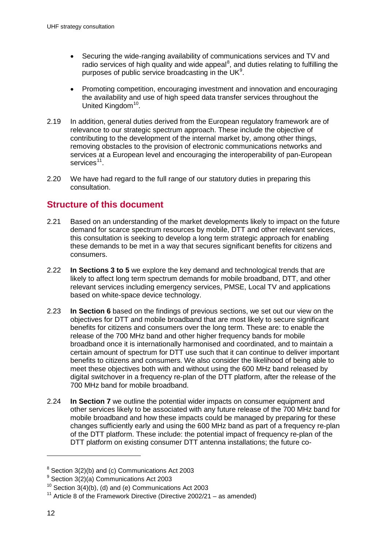- Securing the wide-ranging availability of communications services and TV and radio services of high quality and wide appeal<sup>[8](#page-13-1)</sup>, and duties relating to fulfilling the purposes of public service broadcasting in the UK $9$ .
- Promoting competition, encouraging investment and innovation and encouraging the availability and use of high speed data transfer services throughout the United Kingdom<sup>10</sup>.
- 2.19 In addition, general duties derived from the European regulatory framework are of relevance to our strategic spectrum approach. These include the objective of contributing to the development of the internal market by, among other things, removing obstacles to the provision of electronic communications networks and services at a European level and encouraging the interoperability of pan-European services<sup>[11](#page-14-0)</sup>
- 2.20 We have had regard to the full range of our statutory duties in preparing this consultation.

## **Structure of this document**

- 2.21 Based on an understanding of the market developments likely to impact on the future demand for scarce spectrum resources by mobile, DTT and other relevant services, this consultation is seeking to develop a long term strategic approach for enabling these demands to be met in a way that secures significant benefits for citizens and consumers.
- 2.22 **In Sections 3 to 5** we explore the key demand and technological trends that are likely to affect long term spectrum demands for mobile broadband, DTT, and other relevant services including emergency services, PMSE, Local TV and applications based on white-space device technology.
- 2.23 **In Section 6** based on the findings of previous sections, we set out our view on the objectives for DTT and mobile broadband that are most likely to secure significant benefits for citizens and consumers over the long term. These are: to enable the release of the 700 MHz band and other higher frequency bands for mobile broadband once it is internationally harmonised and coordinated, and to maintain a certain amount of spectrum for DTT use such that it can continue to deliver important benefits to citizens and consumers. We also consider the likelihood of being able to meet these objectives both with and without using the 600 MHz band released by digital switchover in a frequency re-plan of the DTT platform, after the release of the 700 MHz band for mobile broadband.
- 2.24 **In Section 7** we outline the potential wider impacts on consumer equipment and other services likely to be associated with any future release of the 700 MHz band for mobile broadband and how these impacts could be managed by preparing for these changes sufficiently early and using the 600 MHz band as part of a frequency re-plan of the DTT platform. These include: the potential impact of frequency re-plan of the DTT platform on existing consumer DTT antenna installations; the future co-

<span id="page-14-0"></span> $8$  Section 3(2)(b) and (c) Communications Act 2003

 $9$  Section 3(2)(a) Communications Act 2003

 $10$  Section 3(4)(b), (d) and (e) Communications Act 2003

<span id="page-14-1"></span><sup>&</sup>lt;sup>11</sup> Article 8 of the Framework Directive (Directive 2002/21 – as amended)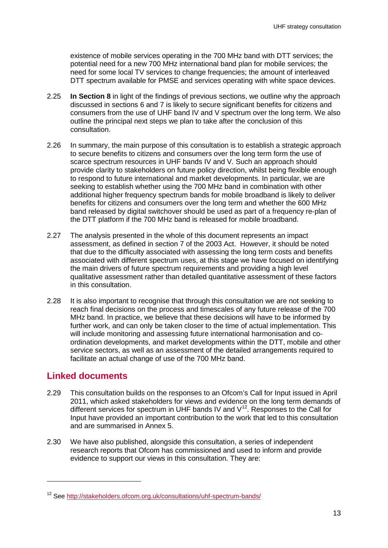existence of mobile services operating in the 700 MHz band with DTT services; the potential need for a new 700 MHz international band plan for mobile services; the need for some local TV services to change frequencies; the amount of interleaved DTT spectrum available for PMSE and services operating with white space devices.

- 2.25 **In Section 8** in light of the findings of previous sections, we outline why the approach discussed in sections 6 and 7 is likely to secure significant benefits for citizens and consumers from the use of UHF band IV and V spectrum over the long term. We also outline the principal next steps we plan to take after the conclusion of this consultation.
- 2.26 In summary, the main purpose of this consultation is to establish a strategic approach to secure benefits to citizens and consumers over the long term form the use of scarce spectrum resources in UHF bands IV and V. Such an approach should provide clarity to stakeholders on future policy direction, whilst being flexible enough to respond to future international and market developments. In particular, we are seeking to establish whether using the 700 MHz band in combination with other additional higher frequency spectrum bands for mobile broadband is likely to deliver benefits for citizens and consumers over the long term and whether the 600 MHz band released by digital switchover should be used as part of a frequency re-plan of the DTT platform if the 700 MHz band is released for mobile broadband.
- 2.27 The analysis presented in the whole of this document represents an impact assessment, as defined in section 7 of the 2003 Act. However, it should be noted that due to the difficulty associated with assessing the long term costs and benefits associated with different spectrum uses, at this stage we have focused on identifying the main drivers of future spectrum requirements and providing a high level qualitative assessment rather than detailed quantitative assessment of these factors in this consultation.
- 2.28 It is also important to recognise that through this consultation we are not seeking to reach final decisions on the process and timescales of any future release of the 700 MHz band. In practice, we believe that these decisions will have to be informed by further work, and can only be taken closer to the time of actual implementation. This will include monitoring and assessing future international harmonisation and coordination developments, and market developments within the DTT, mobile and other service sectors, as well as an assessment of the detailed arrangements required to facilitate an actual change of use of the 700 MHz band.

## **Linked documents**

- 2.29 This consultation builds on the responses to an Ofcom's Call for Input issued in April 2011, which asked stakeholders for views and evidence on the long term demands of different services for spectrum in UHF bands IV and  $V^{12}$  $V^{12}$  $V^{12}$ . Responses to the Call for Input have provided an important contribution to the work that led to this consultation and are summarised in Annex 5.
- <span id="page-15-0"></span>2.30 We have also published, alongside this consultation, a series of independent research reports that Ofcom has commissioned and used to inform and provide evidence to support our views in this consultation. They are:

<sup>12</sup> See<http://stakeholders.ofcom.org.uk/consultations/uhf-spectrum-bands/>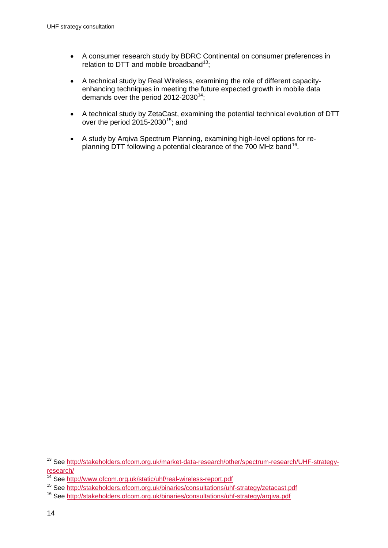- A consumer research study by BDRC Continental on consumer preferences in relation to DTT and mobile broadband<sup>[13](#page-15-0)</sup>:
- A technical study by Real Wireless, examining the role of different capacityenhancing techniques in meeting the future expected growth in mobile data demands over the period  $2012-2030^{14}$ ;
- A technical study by ZetaCast, examining the potential technical evolution of DTT over the period  $2015-2030^{15}$  $2015-2030^{15}$  $2015-2030^{15}$ ; and
- A study by Arqiva Spectrum Planning, examining high-level options for replanning DTT following a potential clearance of the 700 MHz band<sup>16</sup>.

<span id="page-16-1"></span><span id="page-16-0"></span><sup>13</sup> See [http://stakeholders.ofcom.org.uk/market-data-research/other/spectrum-research/UHF-strategy](http://stakeholders.ofcom.org.uk/market-data-research/other/spectrum-research/UHF-strategy-research/)research/<br><sup>14</sup> See http://www.ofcom.org.uk/static/uhf/real-wireless-report.pdf<br><sup>15</sup> See http://stakeholders.ofcom.org.uk/binaries/consultations/uhf-strategy/zetacast.pdf<br><sup>16</sup> See http://stakeholders.ofcom.org.uk/binaries/c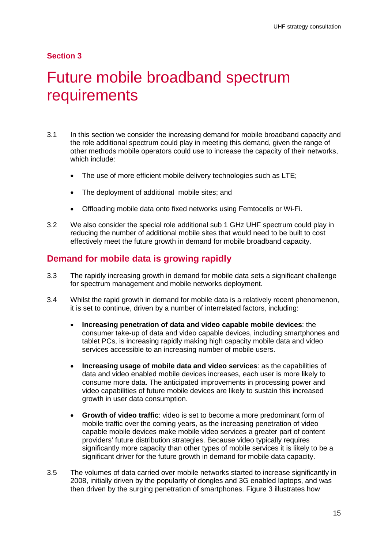### **Section 3**

## <span id="page-17-0"></span>Future mobile broadband spectrum requirements

- 3.1 In this section we consider the increasing demand for mobile broadband capacity and the role additional spectrum could play in meeting this demand, given the range of other methods mobile operators could use to increase the capacity of their networks, which include:
	- The use of more efficient mobile delivery technologies such as LTE;
	- The deployment of additional mobile sites; and
	- Offloading mobile data onto fixed networks using Femtocells or Wi-Fi.
- 3.2 We also consider the special role additional sub 1 GHz UHF spectrum could play in reducing the number of additional mobile sites that would need to be built to cost effectively meet the future growth in demand for mobile broadband capacity.

## **Demand for mobile data is growing rapidly**

- 3.3 The rapidly increasing growth in demand for mobile data sets a significant challenge for spectrum management and mobile networks deployment.
- 3.4 Whilst the rapid growth in demand for mobile data is a relatively recent phenomenon, it is set to continue, driven by a number of interrelated factors, including:
	- **Increasing penetration of data and video capable mobile devices**: the consumer take-up of data and video capable devices, including smartphones and tablet PCs, is increasing rapidly making high capacity mobile data and video services accessible to an increasing number of mobile users.
	- **Increasing usage of mobile data and video services**: as the capabilities of data and video enabled mobile devices increases, each user is more likely to consume more data. The anticipated improvements in processing power and video capabilities of future mobile devices are likely to sustain this increased growth in user data consumption.
	- **Growth of video traffic**: video is set to become a more predominant form of mobile traffic over the coming years, as the increasing penetration of video capable mobile devices make mobile video services a greater part of content providers' future distribution strategies. Because video typically requires significantly more capacity than other types of mobile services it is likely to be a significant driver for the future growth in demand for mobile data capacity.
- 3.5 The volumes of data carried over mobile networks started to increase significantly in 2008, initially driven by the popularity of dongles and 3G enabled laptops, and was then driven by the surging penetration of smartphones. [Figure 3](#page-18-0) illustrates how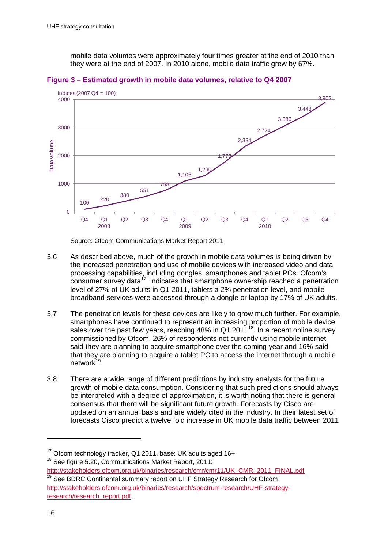mobile data volumes were approximately four times greater at the end of 2010 than they were at the end of 2007. In 2010 alone, mobile data traffic grew by 67%.



<span id="page-18-0"></span>

Source: Ofcom Communications Market Report 2011

- 3.6 As described above, much of the growth in mobile data volumes is being driven by the increased penetration and use of mobile devices with increased video and data processing capabilities, including dongles, smartphones and tablet PCs. Ofcom's  $\frac{1}{2}$  consumer survey data<sup>[17](#page-16-1)</sup> indicates that smartphone ownership reached a penetration level of 27% of UK adults in Q1 2011, tablets a 2% penetration level, and mobile broadband services were accessed through a dongle or laptop by 17% of UK adults.
- 3.7 The penetration levels for these devices are likely to grow much further. For example, smartphones have continued to represent an increasing proportion of mobile device sales over the past few years, reaching 48% in Q1 2011<sup>18</sup>. In a recent online survey commissioned by Ofcom, 26% of respondents not currently using mobile internet said they are planning to acquire smartphone over the coming year and 16% said that they are planning to acquire a tablet PC to access the internet through a mobile network<sup>19</sup>.
- <span id="page-18-2"></span>3.8 There are a wide range of different predictions by industry analysts for the future growth of mobile data consumption. Considering that such predictions should always be interpreted with a degree of approximation, it is worth noting that there is general consensus that there will be significant future growth. Forecasts by Cisco are updated on an annual basis and are widely cited in the industry. In their latest set of forecasts Cisco predict a twelve fold increase in UK mobile data traffic between 2011

<span id="page-18-1"></span><sup>&</sup>lt;sup>17</sup> Ofcom technology tracker, Q1 2011, base: UK adults aged 16+

<sup>&</sup>lt;sup>18</sup> See figure 5.20, Communications Market Report, 2011:

http://stakeholders.ofcom.org.uk/binaries/research/cmr/cmr11/UK\_CMR\_2011\_FINAL.pdf <sup>19</sup> See BDRC Continental summary report on UHF Strategy Research for Ofcom: [http://stakeholders.ofcom.org.uk/binaries/research/spectrum-research/UHF-strategy](http://stakeholders.ofcom.org.uk/binaries/research/spectrum-research/UHF-strategy-research/research_report.pdf)research/research\_report.pdf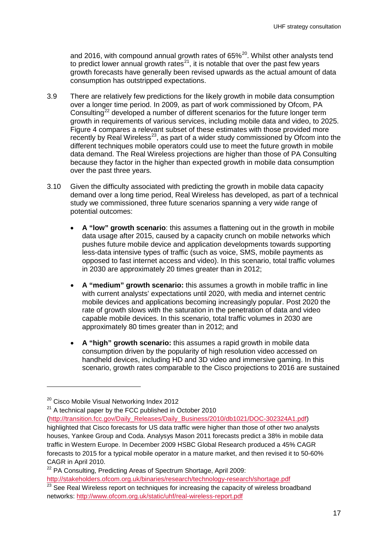and [20](#page-18-2)16, with compound annual growth rates of  $65\%^{20}$ . Whilst other analysts tend to predict lower annual growth rates<sup>21</sup>, it is notable that over the past few years growth forecasts have generally been revised upwards as the actual amount of data consumption has outstripped expectations.

- 3.9 There are relatively few predictions for the likely growth in mobile data consumption over a longer time period. In 2009, as part of work commissioned by Ofcom, PA Consulting<sup>[22](#page-19-0)</sup> developed a number of different scenarios for the future longer term growth in requirements of various services, including mobile data and video, to 2025. Figure 4 compares a relevant subset of these estimates with those provided more recently by Real Wireless<sup>[23](#page-19-0)</sup>, as part of a wider study commissioned by Ofcom into the different techniques mobile operators could use to meet the future growth in mobile data demand. The Real Wireless projections are higher than those of PA Consulting because they factor in the higher than expected growth in mobile data consumption over the past three years.
- 3.10 Given the difficulty associated with predicting the growth in mobile data capacity demand over a long time period, Real Wireless has developed, as part of a technical study we commissioned, three future scenarios spanning a very wide range of potential outcomes:
	- **A "low" growth scenario**: this assumes a flattening out in the growth in mobile data usage after 2015, caused by a capacity crunch on mobile networks which pushes future mobile device and application developments towards supporting less-data intensive types of traffic (such as voice, SMS, mobile payments as opposed to fast internet access and video). In this scenario, total traffic volumes in 2030 are approximately 20 times greater than in 2012;
	- **A "medium" growth scenario:** this assumes a growth in mobile traffic in line with current analysts' expectations until 2020, with media and internet centric mobile devices and applications becoming increasingly popular. Post 2020 the rate of growth slows with the saturation in the penetration of data and video capable mobile devices. In this scenario, total traffic volumes in 2030 are approximately 80 times greater than in 2012; and
	- **A "high" growth scenario:** this assumes a rapid growth in mobile data consumption driven by the popularity of high resolution video accessed on handheld devices, including HD and 3D video and immersive gaming. In this scenario, growth rates comparable to the Cisco projections to 2016 are sustained

<span id="page-19-0"></span><sup>&</sup>lt;sup>20</sup> Cisco Mobile Visual Networking Index 2012

 $21$  A technical paper by the FCC published in October 2010

[<sup>\(</sup>http://transition.fcc.gov/Daily\\_Releases/Daily\\_Business/2010/db1021/DOC-302324A1.pdf\)](http://transition.fcc.gov/Daily_Releases/Daily_Business/2010/db1021/DOC-302324A1.pdf) highlighted that Cisco forecasts for US data traffic were higher than those of other two analysts houses, Yankee Group and Coda. Analysys Mason 2011 forecasts predict a 38% in mobile data traffic in Western Europe. In December 2009 HSBC Global Research produced a 45% CAGR forecasts to 2015 for a typical mobile operator in a mature market, and then revised it to 50-60% CAGR in April 2010.

<sup>&</sup>lt;sup>22</sup> PA Consulting, Predicting Areas of Spectrum Shortage, April 2009:

http://stakeholders.ofcom.org.uk/binaries/research/technology-research/shortage.pdf<br>
<sup>23</sup> See Real Wireless report on techniques for increasing the capacity of wireless broadband networks: <http://www.ofcom.org.uk/static/uhf/real-wireless-report.pdf>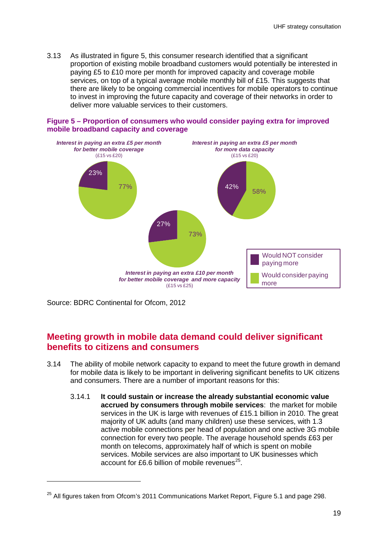## **Section 2**

## Purpose and scope of this consultation

- $2.1$ Spectrum is a scarce resource that makes a substantial contribution to the UK economy and society. It is an essential building block in the communications sector. enabling the delivery of a wide range of services spanning television and radio through to mobile telephony, emergency services and outside broadcast event coverage. Through these and other services, spectrum provides substantial value to UK citizens and consumers
- $2.2$ It can take a number of years to enable spectrum change of use, especially where international agreements on the harmonisation and co-ordination of spectrum use are required and there is an established user of the spectrum whose needs must be considered. In contrast, the pace of service developments in the communications sector is accelerating: for example, whilst it took 14 years for multichannel television to achieve 50% household penetration, it is predicted that smartphones will reach 50% penetration within 6 years<sup>2</sup>.
- $2.3$ In recognition of the challenge of matching spectrum supply to these service demands, this consultation seeks to develop a better understanding of the future demand for scarce spectrum resources by different services and to identify the steps we should take now best secure the greatest value for citizens and consumers over the long term. However, developing such a long term approach is not without risks as this requires reaching a view on uncertain future service and market developments and their future impact on spectrum demand.
- $2.4$ In this document we give particular emphasis to the spectrum challenge posed by the rapidly increasing demand for mobile broadband capacity. The need for additional spectrum to meet the anticipated increase in demand for wireless and mobile data has been widely recognised internationally, for example:
	- x The UK Government announced plans in 2010 to identify and release 500 MHz of publicly-held spectrum below 5 GHz, part of which will help with meeting the arowing demand for mobile data<sup>3</sup>.
	- x The adoption of the European Radio Spectrum Policy Programme (RSPP) in 2012 included the intention to make 1200 MHz of spectrum available for wireless broadband services, half of which will comprise new allocations.
	- x In the United States, the Federal Communications Commission's (FCC) National Broadband Plan set out in 2010 the intention to make 500 MHz of spectrum available for mobile services within 10 years.

 $2$  Oliver and Ohlbaum. as referenced in Ofcom, Communications Market Report 2011, figure 1.23, http://stakeholders.ofcom.org.uk/binaries/research/cmr/cmr11/UK CMR 2011 FINAL.pdf  $3$  Following an announcement as part of the Spending Review 2010, the Government published an

action plan in March 2011 (http://www.culture.gov.uk/publications/7994.aspx) and an update in December 2011 (http://www.culture.gov.uk/publications/8690.aspx)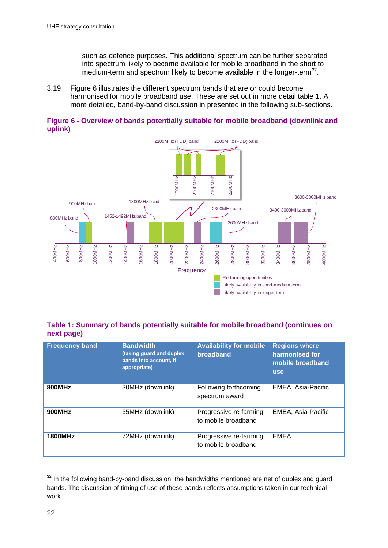such as defence purposes. This additional spectrum can be further separated into spectrum likely to become available for mobile broadband in the short to medium-term and spectrum likely to become available in the longer-term<sup>[32](#page-23-0)</sup>.

3.19 Figure 6 illustrates the different spectrum bands that are or could become harmonised for mobile broadband use. These are set out in more detail table 1. A more detailed, band-by-band discussion in presented in the following sub-sections.





### **Table 1: Summary of bands potentially suitable for mobile broadband (continues on next page)**

| 400MHz                | 600MHz                                                                                          | 800MHz | 1000MHz | 200MHz | 400MHz                                       | I600MHz | 800MHz           | 2000MHz | 2200MHz | 2400MHz                                                                        | 2600MHz | 2800MHz | 3000MHz | 3200MHz            | 3400MHz                                                                                           | 3600MHz | SBOOM Hz | 4000MHz                                                                                             |  |
|-----------------------|-------------------------------------------------------------------------------------------------|--------|---------|--------|----------------------------------------------|---------|------------------|---------|---------|--------------------------------------------------------------------------------|---------|---------|---------|--------------------|---------------------------------------------------------------------------------------------------|---------|----------|-----------------------------------------------------------------------------------------------------|--|
|                       |                                                                                                 |        |         |        | Frequency<br>Re-farming opportunities        |         |                  |         |         |                                                                                |         |         |         |                    |                                                                                                   |         |          |                                                                                                     |  |
|                       |                                                                                                 |        |         |        |                                              |         |                  |         |         | Likely availability in short-medium term<br>Likely availability in longer term |         |         |         |                    |                                                                                                   |         |          |                                                                                                     |  |
|                       |                                                                                                 |        |         |        |                                              |         |                  |         |         |                                                                                |         |         |         |                    |                                                                                                   |         |          |                                                                                                     |  |
|                       |                                                                                                 |        |         |        |                                              |         |                  |         |         |                                                                                |         |         |         |                    |                                                                                                   |         |          |                                                                                                     |  |
|                       | Table 1: Summary of bands potentially suitable for mobile broadband (continues on<br>next page) |        |         |        |                                              |         |                  |         |         |                                                                                |         |         |         |                    |                                                                                                   |         |          |                                                                                                     |  |
| <b>Frequency band</b> |                                                                                                 |        |         |        | <b>Bandwidth</b><br>(taking guard and duplex |         |                  |         |         | <b>Availability for mobile</b><br>broadband                                    |         |         |         |                    | <b>Regions where</b><br>harmonised for                                                            |         |          |                                                                                                     |  |
|                       |                                                                                                 |        |         |        | bands into account, if<br>appropriate)       |         |                  |         |         |                                                                                |         |         |         |                    | mobile broadband                                                                                  |         |          |                                                                                                     |  |
|                       |                                                                                                 |        |         |        |                                              |         |                  |         |         |                                                                                |         |         |         |                    | <b>use</b>                                                                                        |         |          |                                                                                                     |  |
| <b>800MHz</b>         |                                                                                                 |        |         |        | 30MHz (downlink)                             |         |                  |         |         | Following forthcoming<br>spectrum award                                        |         |         |         |                    | EMEA, Asia-Pacific                                                                                |         |          |                                                                                                     |  |
|                       |                                                                                                 |        |         |        |                                              |         |                  |         |         |                                                                                |         |         |         |                    |                                                                                                   |         |          |                                                                                                     |  |
| <b>900MHz</b>         |                                                                                                 |        |         |        | 35MHz (downlink)                             |         |                  |         |         | Progressive re-farming<br>to mobile broadband                                  |         |         |         | EMEA, Asia-Pacific |                                                                                                   |         |          |                                                                                                     |  |
|                       |                                                                                                 |        |         |        |                                              |         |                  |         |         |                                                                                |         |         |         |                    |                                                                                                   |         |          |                                                                                                     |  |
| <b>1800MHz</b>        |                                                                                                 |        |         |        |                                              |         | 72MHz (downlink) |         |         | Progressive re-farming<br>to mobile broadband                                  |         |         |         |                    | <b>EMEA</b>                                                                                       |         |          |                                                                                                     |  |
|                       |                                                                                                 |        |         |        |                                              |         |                  |         |         |                                                                                |         |         |         |                    |                                                                                                   |         |          |                                                                                                     |  |
|                       |                                                                                                 |        |         |        |                                              |         |                  |         |         |                                                                                |         |         |         |                    |                                                                                                   |         |          |                                                                                                     |  |
|                       |                                                                                                 |        |         |        |                                              |         |                  |         |         |                                                                                |         |         |         |                    |                                                                                                   |         |          | $32$ In the following band-by-band discussion, the bandwidths mentioned are net of duplex and guard |  |
| work.                 |                                                                                                 |        |         |        |                                              |         |                  |         |         |                                                                                |         |         |         |                    | bands. The discussion of timing of use of these bands reflects assumptions taken in our technical |         |          |                                                                                                     |  |

<span id="page-24-0"></span> $32$  In the following band-by-band discussion, the bandwidths mentioned are net of duplex and guard bands. The discussion of timing of use of these bands reflects assumptions taken in our technical work.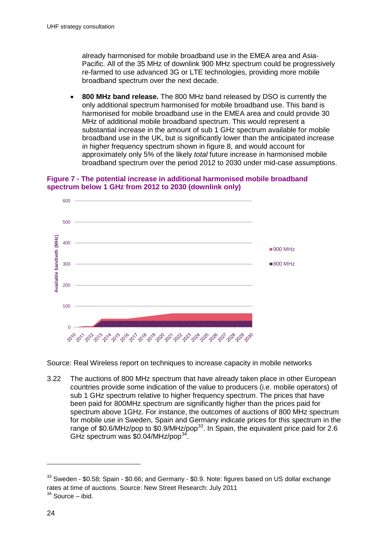already harmonised for mobile broadband use in the EMEA area and Asia-Pacific. All of the 35 MHz of downlink 900 MHz spectrum could be progressively re-farmed to use advanced 3G or LTE technologies, providing more mobile broadband spectrum over the next decade.

• **800 MHz band release.** The 800 MHz band released by DSO is currently the only additional spectrum harmonised for mobile broadband use. This band is harmonised for mobile broadband use in the EMEA area and could provide 30 MHz of additional mobile broadband spectrum. This would represent a substantial increase in the amount of sub 1 GHz spectrum available for mobile broadband use in the UK, but is significantly lower than the anticipated increase in higher frequency spectrum shown in figure 8, and would account for approximately only 5% of the likely *total* future increase in harmonised mobile broadband spectrum over the period 2012 to 2030 under mid-case assumptions.





Source: Real Wireless report on techniques to increase capacity in mobile networks

3.22 The auctions of 800 MHz spectrum that have already taken place in other European countries provide some indication of the value to producers (i.e. mobile operators) of sub 1 GHz spectrum relative to higher frequency spectrum. The prices that have been paid for 800MHz spectrum are significantly higher than the prices paid for spectrum above 1GHz. For instance, the outcomes of auctions of 800 MHz spectrum for mobile use in Sweden, Spain and Germany indicate prices for this spectrum in the range of \$0.6/MHz/pop to \$0.9/MHz/pop<sup>33</sup>. In Spain, the equivalent price paid for 2.6 GHz spectrum was  $$0.04/MHz$ /pop<sup>34</sup>.

<span id="page-26-0"></span> $33$  Sweden - \$0.58; Spain - \$0.66; and Germany - \$0.9. Note: figures based on US dollar exchange rates at time of auctions. Source: New Street Research: July 2011

<span id="page-26-1"></span> $34$  Source – ibid.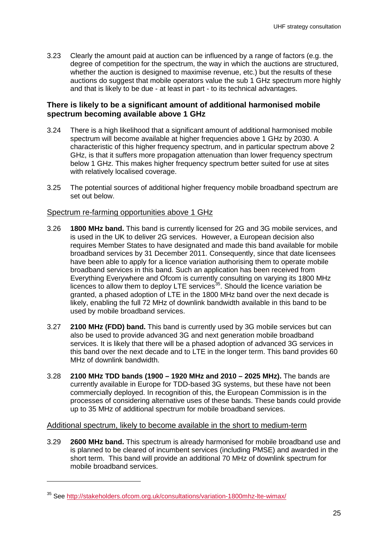3.23 Clearly the amount paid at auction can be influenced by a range of factors (e.g. the degree of competition for the spectrum, the way in which the auctions are structured, whether the auction is designed to maximise revenue, etc.) but the results of these auctions do suggest that mobile operators value the sub 1 GHz spectrum more highly and that is likely to be due - at least in part - to its technical advantages.

### **There is likely to be a significant amount of additional harmonised mobile spectrum becoming available above 1 GHz**

- 3.24 There is a high likelihood that a significant amount of additional harmonised mobile spectrum will become available at higher frequencies above 1 GHz by 2030. A characteristic of this higher frequency spectrum, and in particular spectrum above 2 GHz, is that it suffers more propagation attenuation than lower frequency spectrum below 1 GHz. This makes higher frequency spectrum better suited for use at sites with relatively localised coverage.
- 3.25 The potential sources of additional higher frequency mobile broadband spectrum are set out below.

### Spectrum re-farming opportunities above 1 GHz

- 3.26 **1800 MHz band.** This band is currently licensed for 2G and 3G mobile services, and is used in the UK to deliver 2G services. However, a European decision also requires Member States to have designated and made this band available for mobile broadband services by 31 December 2011. Consequently, since that date licensees have been able to apply for a licence variation authorising them to operate mobile broadband services in this band. Such an application has been received from Everything Everywhere and Ofcom is currently consulting on varying its 1800 MHz licences to allow them to deploy LTE services<sup>[35](#page-26-1)</sup>. Should the licence variation be granted, a phased adoption of LTE in the 1800 MHz band over the next decade is likely, enabling the full 72 MHz of downlink bandwidth available in this band to be used by mobile broadband services.
- 3.27 **2100 MHz (FDD) band.** This band is currently used by 3G mobile services but can also be used to provide advanced 3G and next generation mobile broadband services. It is likely that there will be a phased adoption of advanced 3G services in this band over the next decade and to LTE in the longer term. This band provides 60 MHz of downlink bandwidth.
- 3.28 **2100 MHz TDD bands (1900 1920 MHz and 2010 2025 MHz).** The bands are currently available in Europe for TDD-based 3G systems, but these have not been commercially deployed. In recognition of this, the European Commission is in the processes of considering alternative uses of these bands. These bands could provide up to 35 MHz of additional spectrum for mobile broadband services.

#### Additional spectrum, likely to become available in the short to medium-term

3.29 **2600 MHz band.** This spectrum is already harmonised for mobile broadband use and is planned to be cleared of incumbent services (including PMSE) and awarded in the short term. This band will provide an additional 70 MHz of downlink spectrum for mobile broadband services.

<span id="page-27-0"></span><sup>35</sup> See<http://stakeholders.ofcom.org.uk/consultations/variation-1800mhz-lte-wimax/>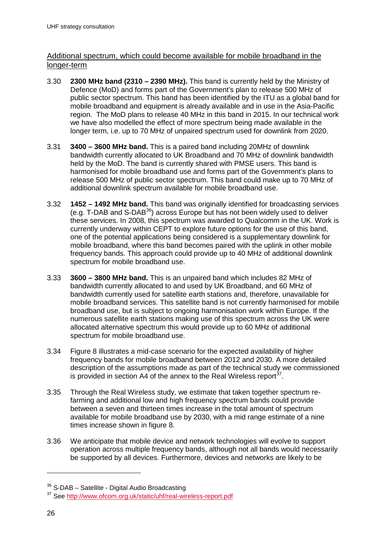### Additional spectrum, which could become available for mobile broadband in the longer-term

- 3.30 **2300 MHz band (2310 2390 MHz).** This band is currently held by the Ministry of Defence (MoD) and forms part of the Government's plan to release 500 MHz of public sector spectrum. This band has been identified by the ITU as a global band for mobile broadband and equipment is already available and in use in the Asia-Pacific region. The MoD plans to release 40 MHz in this band in 2015. In our technical work we have also modelled the effect of more spectrum being made available in the longer term, i.e. up to 70 MHz of unpaired spectrum used for downlink from 2020.
- 3.31 **3400 3600 MHz band.** This is a paired band including 20MHz of downlink bandwidth currently allocated to UK Broadband and 70 MHz of downlink bandwidth held by the MoD. The band is currently shared with PMSE users. This band is harmonised for mobile broadband use and forms part of the Government's plans to release 500 MHz of public sector spectrum. This band could make up to 70 MHz of additional downlink spectrum available for mobile broadband use.
- 3.32 **1452 1492 MHz band.** This band was originally identified for broadcasting services (e.g. T-DAB and S-DAB[36](#page-27-0)) across Europe but has not been widely used to deliver these services. In 2008, this spectrum was awarded to Qualcomm in the UK. Work is currently underway within CEPT to explore future options for the use of this band, one of the potential applications being considered is a supplementary downlink for mobile broadband, where this band becomes paired with the uplink in other mobile frequency bands. This approach could provide up to 40 MHz of additional downlink spectrum for mobile broadband use.
- 3.33 **3600 3800 MHz band.** This is an unpaired band which includes 82 MHz of bandwidth currently allocated to and used by UK Broadband, and 60 MHz of bandwidth currently used for satellite earth stations and, therefore, unavailable for mobile broadband services. This satellite band is not currently harmonised for mobile broadband use, but is subject to ongoing harmonisation work within Europe. If the numerous satellite earth stations making use of this spectrum across the UK were allocated alternative spectrum this would provide up to 60 MHz of additional spectrum for mobile broadband use.
- 3.34 Figure 8 illustrates a mid-case scenario for the expected availability of higher frequency bands for mobile broadband between 2012 and 2030. A more detailed description of the assumptions made as part of the technical study we commissioned is provided in section A4 of the annex to the Real Wireless report  $37$ .
- 3.35 Through the Real Wireless study, we estimate that taken together spectrum refarming and additional low and high frequency spectrum bands could provide between a seven and thirteen times increase in the total amount of spectrum available for mobile broadband use by 2030, with a mid range estimate of a nine times increase shown in figure 8.
- 3.36 We anticipate that mobile device and network technologies will evolve to support operation across multiple frequency bands, although not all bands would necessarily be supported by all devices. Furthermore, devices and networks are likely to be

<span id="page-28-1"></span><span id="page-28-0"></span><sup>&</sup>lt;sup>36</sup> S-DAB – Satellite - Digital Audio Broadcasting

<sup>37</sup> See<http://www.ofcom.org.uk/static/uhf/real-wireless-report.pdf>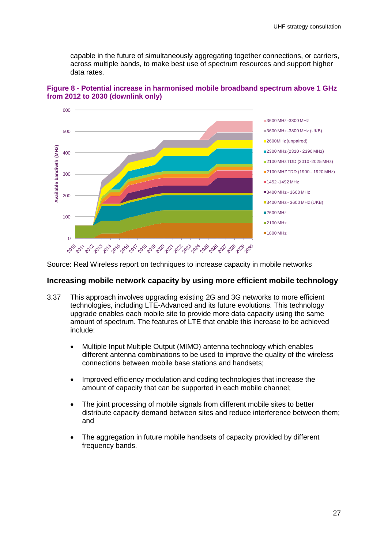- $2.5$ Spectrum has a potentially important part to play in meeting the growth in demand for mobile data capacity alongside other capacity enhancing techniques including:
	- the use of more efficient mobile technologies;
	- reducing cell sizes by adding more mobile sites; and
	- offloading mobile traffic onto fixed networks using Wi-Fi and Femtocells.
- $2.6$ Much of the additional mobile broadband spectrum that is likely to become available to help meet this growth in demand will be at higher frequencies, above 2 GHz. This includes the spectrum likely to be released by the Government.
- $2.7$ In contrast, there is likely to be a much greater scarcity in the supply of additional mobile broadband spectrum below 1 GHz. This spectrum is particularly attractive for mobile network applications due to its good propagation characteristics.
- $2.8$ Only spectrum which has been internationally harmonised is likely to be used by mobile operators, because this harmonisation increases economies of scale for handsets and network equipment, reducing prices. The leading candidate for providing additional harmonised sub 1 GHz spectrum for mobile broadband applications is the 700 MHz band shown in Figure 2, which is currently used by the digital terrestrial television platform. This is because:
	- In North and South America (ITU Region 2), the 700 MHz band has already been  $\bullet$ allocated to mobile broadband and is being used to deploy LTE based mobile services on a mass market scale in the United States: other countries in this region are also considering or moving towards use of this band for mobile broadband over the next few years;
	- In the Asia Pacific region (ITU Region 3), the 700 MHz band has already been allocated to mobile broadband. Countries including Australia and New Zealand are likely to release this band in the short term enabling LTE deployments, whilst in others, like India<sup>4</sup>, plans for release are currently at an early stage;
- $2.9$ As for Europe, Africa and the Middle East (ITU Region 1), a resolution was recently passed at the recent 2012 World Radio Conference (WRC 12) indicating that, subject to the completion of relevant technical work, a decisions to allow the 700 MHz band to be used for mobile broadband services will be taken at the next World Radio Conference in 2015 (WRC 15).
- $210$ These international developments raise questions for the future use of UHF band IV and V spectrum in the UK, of which the 700 MHz band forms part.
- $2.11$ The propagation characteristics of this spectrum makes it attractive for the delivery of a variety of services, including:

<sup>&</sup>lt;sup>4</sup> India is one of the countries in ITU Region 3 that explicitly identified spectrum in the 700MHz range for IMT applications during the 2007 World Radio Conference (see Radio Regulations footnote 5.313A). It has been recently reported that the Indian Government is considering a potential release of the 700MHz band for mobile broadband – see http://economictimes.indiatimes.com/news/news-byindustry/telecom/egom-decides-to-free-700-mhz-spectrum-for-4q-services/articleshow/12150669.cms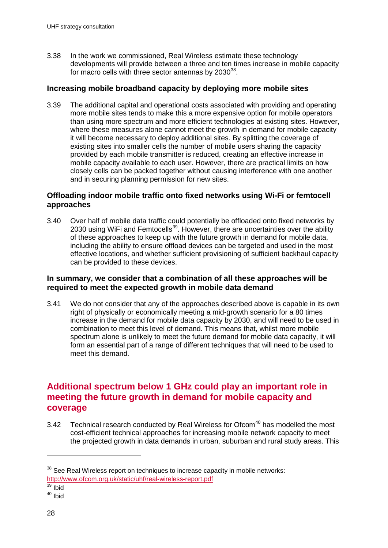3.38 In the work we commissioned, Real Wireless estimate these technology developments will provide between a three and ten times increase in mobile capacity for macro cells with three sector antennas by  $2030^{38}$  $2030^{38}$  $2030^{38}$ .

### **Increasing mobile broadband capacity by deploying more mobile sites**

3.39 The additional capital and operational costs associated with providing and operating more mobile sites tends to make this a more expensive option for mobile operators than using more spectrum and more efficient technologies at existing sites. However, where these measures alone cannot meet the growth in demand for mobile capacity it will become necessary to deploy additional sites. By splitting the coverage of existing sites into smaller cells the number of mobile users sharing the capacity provided by each mobile transmitter is reduced, creating an effective increase in mobile capacity available to each user. However, there are practical limits on how closely cells can be packed together without causing interference with one another and in securing planning permission for new sites.

### **Offloading indoor mobile traffic onto fixed networks using Wi-Fi or femtocell approaches**

3.40 Over half of mobile data traffic could potentially be offloaded onto fixed networks by 2030 using WiFi and Femtocells<sup>39</sup>. However, there are uncertainties over the ability of these approaches to keep up with the future growth in demand for mobile data, including the ability to ensure offload devices can be targeted and used in the most effective locations, and whether sufficient provisioning of sufficient backhaul capacity can be provided to these devices.

### **In summary, we consider that a combination of all these approaches will be required to meet the expected growth in mobile data demand**

3.41 We do not consider that any of the approaches described above is capable in its own right of physically or economically meeting a mid-growth scenario for a 80 times increase in the demand for mobile data capacity by 2030, and will need to be used in combination to meet this level of demand. This means that, whilst more mobile spectrum alone is unlikely to meet the future demand for mobile data capacity, it will form an essential part of a range of different techniques that will need to be used to meet this demand.

## **Additional spectrum below 1 GHz could play an important role in meeting the future growth in demand for mobile capacity and coverage**

<span id="page-30-1"></span>3.42 Technical research conducted by Real Wireless for Ofcom $40$  has modelled the most cost-efficient technical approaches for increasing mobile network capacity to meet the projected growth in data demands in urban, suburban and rural study areas. This

<span id="page-30-0"></span> $38$  See Real Wireless report on techniques to increase capacity in mobile networks: http://www.ofcom.org.uk/static/uhf/real-wireless-report.pdf<br><sup>39</sup> Ibid

<sup>40</sup> Ibid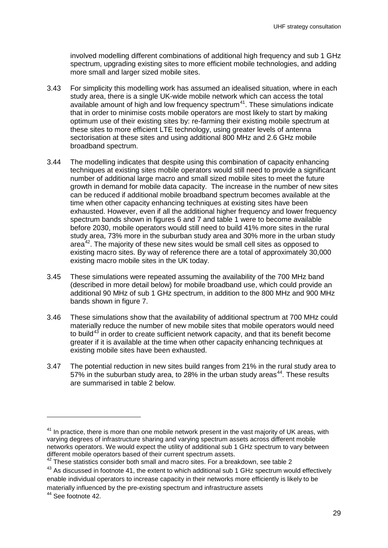involved modelling different combinations of additional high frequency and sub 1 GHz spectrum, upgrading existing sites to more efficient mobile technologies, and adding more small and larger sized mobile sites.

- 3.43 For simplicity this modelling work has assumed an idealised situation, where in each study area, there is a single UK-wide mobile network which can access the total available amount of high and low frequency spectrum $41$ . These simulations indicate that in order to minimise costs mobile operators are most likely to start by making optimum use of their existing sites by: re-farming their existing mobile spectrum at these sites to more efficient LTE technology, using greater levels of antenna sectorisation at these sites and using additional 800 MHz and 2.6 GHz mobile broadband spectrum.
- 3.44 The modelling indicates that despite using this combination of capacity enhancing techniques at existing sites mobile operators would still need to provide a significant number of additional large macro and small sized mobile sites to meet the future growth in demand for mobile data capacity. The increase in the number of new sites can be reduced if additional mobile broadband spectrum becomes available at the time when other capacity enhancing techniques at existing sites have been exhausted. However, even if all the additional higher frequency and lower frequency spectrum bands shown in figures 6 and 7 and table 1 were to become available before 2030, mobile operators would still need to build 41% more sites in the rural study area, 73% more in the suburban study area and 30% more in the urban study area $42$ . The majority of these new sites would be small cell sites as opposed to existing macro sites. By way of reference there are a total of approximately 30,000 existing macro mobile sites in the UK today.
- 3.45 These simulations were repeated assuming the availability of the 700 MHz band (described in more detail below) for mobile broadband use, which could provide an additional 90 MHz of sub 1 GHz spectrum, in addition to the 800 MHz and 900 MHz bands shown in figure 7.
- 3.46 These simulations show that the availability of additional spectrum at 700 MHz could materially reduce the number of new mobile sites that mobile operators would need to build<sup>[43](#page-31-0)</sup> in order to create sufficient network capacity, and that its benefit become greater if it is available at the time when other capacity enhancing techniques at existing mobile sites have been exhausted.
- 3.47 The potential reduction in new sites build ranges from 21% in the rural study area to 57% in the suburban study area, to 28% in the urban study areas<sup>[44](#page-31-0)</sup>. These results are summarised in table 2 below.

<span id="page-31-0"></span> $41$  In practice, there is more than one mobile network present in the vast majority of UK areas, with varying degrees of infrastructure sharing and varying spectrum assets across different mobile networks operators. We would expect the utility of additional sub 1 GHz spectrum to vary between different mobile operators based of their current spectrum assets.

 $42$  These statistics consider both small and macro sites. For a breakdown, see table 2

 $43$  As discussed in footnote 41, the extent to which additional sub 1 GHz spectrum would effectively enable individual operators to increase capacity in their networks more efficiently is likely to be materially influenced by the pre-existing spectrum and infrastructure assets

<span id="page-31-1"></span><sup>44</sup> See footnote 42.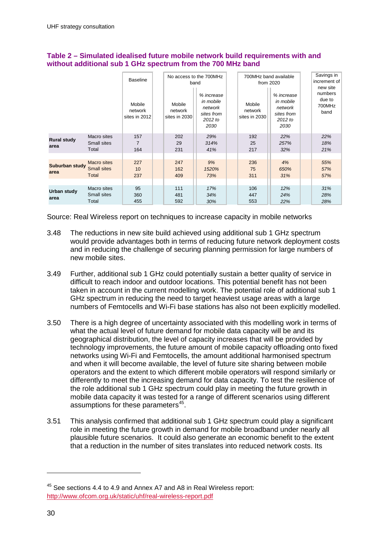|                            | <b>Baseline</b><br>Mobile<br>network<br>sites in 2012 | No access to the 700MHz<br>band<br>% increase<br>in mobile<br>Mobile<br>network<br>network<br>sites from<br>sites in 2030<br>2012 to<br>2030 |                   |                    | 700MHz band available<br>from 2020<br>% increase<br>in mobile<br>Mobile<br>network<br>network<br>sites from<br>sites in 2030<br>2012 to<br>2030 |                   |                    | Savings in<br>increment of<br>new site<br>numbers<br>due to<br>700MHz<br>band |                   |
|----------------------------|-------------------------------------------------------|----------------------------------------------------------------------------------------------------------------------------------------------|-------------------|--------------------|-------------------------------------------------------------------------------------------------------------------------------------------------|-------------------|--------------------|-------------------------------------------------------------------------------|-------------------|
| <b>Rural study</b><br>area | Macro sites<br>Small sites<br>Total                   | 157<br>$\overline{7}$<br>164                                                                                                                 | 202<br>29<br>231  | 29%<br>314%<br>41% |                                                                                                                                                 | 192<br>25<br>217  | 22%<br>257%<br>32% |                                                                               | 22%<br>18%<br>21% |
| Suburban study<br>area     | Macro sites<br><b>Small sites</b><br>Total            | 227<br>10<br>237                                                                                                                             | 247<br>162<br>409 | 9%<br>1520%<br>73% |                                                                                                                                                 | 236<br>75<br>311  | 4%<br>650%<br>31%  |                                                                               | 55%<br>57%<br>57% |
| <b>Urban study</b><br>area | Macro sites<br>Small sites<br>Total                   | 95<br>360<br>455                                                                                                                             | 111<br>481<br>592 | 17%<br>34%<br>30%  |                                                                                                                                                 | 106<br>447<br>553 | 12%<br>24%<br>22%  |                                                                               | 31%<br>28%<br>28% |

#### **Table 2 – Simulated idealised future mobile network build requirements with and without additional sub 1 GHz spectrum from the 700 MHz band**

Source: Real Wireless report on techniques to increase capacity in mobile networks

- 3.48 The reductions in new site build achieved using additional sub 1 GHz spectrum would provide advantages both in terms of reducing future network deployment costs and in reducing the challenge of securing planning permission for large numbers of new mobile sites.
- 3.49 Further, additional sub 1 GHz could potentially sustain a better quality of service in difficult to reach indoor and outdoor locations. This potential benefit has not been taken in account in the current modelling work. The potential role of additional sub 1 GHz spectrum in reducing the need to target heaviest usage areas with a large numbers of Femtocells and Wi-Fi base stations has also not been explicitly modelled.
- 3.50 There is a high degree of uncertainty associated with this modelling work in terms of what the actual level of future demand for mobile data capacity will be and its geographical distribution, the level of capacity increases that will be provided by technology improvements, the future amount of mobile capacity offloading onto fixed networks using Wi-Fi and Femtocells, the amount additional harmonised spectrum and when it will become available, the level of future site sharing between mobile operators and the extent to which different mobile operators will respond similarly or differently to meet the increasing demand for data capacity. To test the resilience of the role additional sub 1 GHz spectrum could play in meeting the future growth in mobile data capacity it was tested for a range of different scenarios using different assumptions for these parameters<sup>[45](#page-31-1)</sup>.
- 3.51 This analysis confirmed that additional sub 1 GHz spectrum could play a significant role in meeting the future growth in demand for mobile broadband under nearly all plausible future scenarios. It could also generate an economic benefit to the extent that a reduction in the number of sites translates into reduced network costs. Its

<span id="page-32-0"></span><sup>&</sup>lt;sup>45</sup> See sections 4.4 to 4.9 and Annex A7 and A8 in Real Wireless report: <http://www.ofcom.org.uk/static/uhf/real-wireless-report.pdf>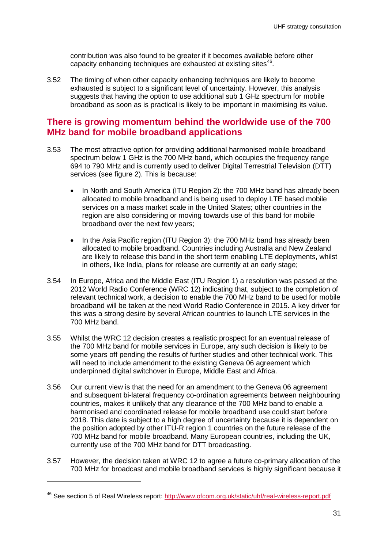contribution was also found to be greater if it becomes available before other capacity enhancing techniques are exhausted at existing sites<sup>46</sup>.

3.52 The timing of when other capacity enhancing techniques are likely to become exhausted is subject to a significant level of uncertainty. However, this analysis suggests that having the option to use additional sub 1 GHz spectrum for mobile broadband as soon as is practical is likely to be important in maximising its value.

### **There is growing momentum behind the worldwide use of the 700 MHz band for mobile broadband applications**

- 3.53 The most attractive option for providing additional harmonised mobile broadband spectrum below 1 GHz is the 700 MHz band, which occupies the frequency range 694 to 790 MHz and is currently used to deliver Digital Terrestrial Television (DTT) services (see figure 2). This is because:
	- In North and South America (ITU Region 2): the 700 MHz band has already been allocated to mobile broadband and is being used to deploy LTE based mobile services on a mass market scale in the United States; other countries in the region are also considering or moving towards use of this band for mobile broadband over the next few years;
	- In the Asia Pacific region (ITU Region 3): the 700 MHz band has already been allocated to mobile broadband. Countries including Australia and New Zealand are likely to release this band in the short term enabling LTE deployments, whilst in others, like India, plans for release are currently at an early stage;
- 3.54 In Europe, Africa and the Middle East (ITU Region 1) a resolution was passed at the 2012 World Radio Conference (WRC 12) indicating that, subject to the completion of relevant technical work, a decision to enable the 700 MHz band to be used for mobile broadband will be taken at the next World Radio Conference in 2015. A key driver for this was a strong desire by several African countries to launch LTE services in the 700 MHz band.
- 3.55 Whilst the WRC 12 decision creates a realistic prospect for an eventual release of the 700 MHz band for mobile services in Europe, any such decision is likely to be some years off pending the results of further studies and other technical work. This will need to include amendment to the existing Geneva 06 agreement which underpinned digital switchover in Europe, Middle East and Africa.
- 3.56 Our current view is that the need for an amendment to the Geneva 06 agreement and subsequent bi-lateral frequency co-ordination agreements between neighbouring countries, makes it unlikely that any clearance of the 700 MHz band to enable a harmonised and coordinated release for mobile broadband use could start before 2018. This date is subject to a high degree of uncertainty because it is dependent on the position adopted by other ITU-R region 1 countries on the future release of the 700 MHz band for mobile broadband. Many European countries, including the UK, currently use of the 700 MHz band for DTT broadcasting.
- <span id="page-33-0"></span>3.57 However, the decision taken at WRC 12 to agree a future co-primary allocation of the 700 MHz for broadcast and mobile broadband services is highly significant because it

<sup>&</sup>lt;sup>46</sup> See section 5 of Real Wireless report: http://www.ofcom.org.uk/static/uhf/real-wireless-report.pdf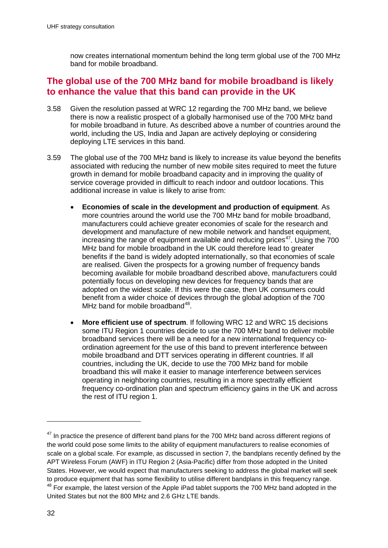now creates international momentum behind the long term global use of the 700 MHz band for mobile broadband.

## **The global use of the 700 MHz band for mobile broadband is likely to enhance the value that this band can provide in the UK**

- 3.58 Given the resolution passed at WRC 12 regarding the 700 MHz band, we believe there is now a realistic prospect of a globally harmonised use of the 700 MHz band for mobile broadband in future. As described above a number of countries around the world, including the US, India and Japan are actively deploying or considering deploying LTE services in this band.
- 3.59 The global use of the 700 MHz band is likely to increase its value beyond the benefits associated with reducing the number of new mobile sites required to meet the future growth in demand for mobile broadband capacity and in improving the quality of service coverage provided in difficult to reach indoor and outdoor locations. This additional increase in value is likely to arise from:
	- **Economies of scale in the development and production of equipment**. As more countries around the world use the 700 MHz band for mobile broadband, manufacturers could achieve greater economies of scale for the research and development and manufacture of new mobile network and handset equipment, increasing the range of equipment available and reducing prices<sup>[47](#page-33-0)</sup>. Using the  $700$ MHz band for mobile broadband in the UK could therefore lead to greater benefits if the band is widely adopted internationally, so that economies of scale are realised. Given the prospects for a growing number of frequency bands becoming available for mobile broadband described above, manufacturers could potentially focus on developing new devices for frequency bands that are adopted on the widest scale. If this were the case, then UK consumers could benefit from a wider choice of devices through the global adoption of the 700 MHz band for mobile broadband $48$ .
	- **More efficient use of spectrum**. If following WRC 12 and WRC 15 decisions some ITU Region 1 countries decide to use the 700 MHz band to deliver mobile broadband services there will be a need for a new international frequency coordination agreement for the use of this band to prevent interference between mobile broadband and DTT services operating in different countries. If all countries, including the UK, decide to use the 700 MHz band for mobile broadband this will make it easier to manage interference between services operating in neighboring countries, resulting in a more spectrally efficient frequency co-ordination plan and spectrum efficiency gains in the UK and across the rest of ITU region 1.

<span id="page-34-1"></span><span id="page-34-0"></span> $47$  In practice the presence of different band plans for the 700 MHz band across different regions of the world could pose some limits to the ability of equipment manufacturers to realise economies of scale on a global scale. For example, as discussed in section 7, the bandplans recently defined by the APT Wireless Forum (AWF) in ITU Region 2 (Asia-Pacific) differ from those adopted in the United States. However, we would expect that manufacturers seeking to address the global market will seek to produce equipment that has some flexibility to utilise different bandplans in this frequency range. <sup>48</sup> For example, the latest version of the Apple iPad tablet supports the 700 MHz band adopted in the United States but not the 800 MHz and 2.6 GHz LTE bands.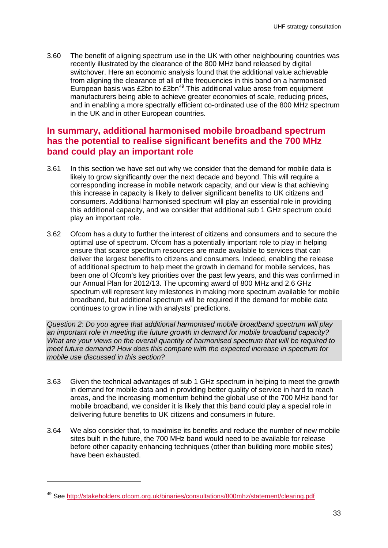3.60 The benefit of aligning spectrum use in the UK with other neighbouring countries was recently illustrated by the clearance of the 800 MHz band released by digital switchover. Here an economic analysis found that the additional value achievable from aligning the clearance of all of the frequencies in this band on a harmonised European basis was £2bn to £3bn<sup>49</sup>. This additional value arose from equipment manufacturers being able to achieve greater economies of scale, reducing prices, and in enabling a more spectrally efficient co-ordinated use of the 800 MHz spectrum in the UK and in other European countries.

## **In summary, additional harmonised mobile broadband spectrum has the potential to realise significant benefits and the 700 MHz band could play an important role**

- 3.61 In this section we have set out why we consider that the demand for mobile data is likely to grow significantly over the next decade and beyond. This will require a corresponding increase in mobile network capacity, and our view is that achieving this increase in capacity is likely to deliver significant benefits to UK citizens and consumers. Additional harmonised spectrum will play an essential role in providing this additional capacity, and we consider that additional sub 1 GHz spectrum could play an important role.
- 3.62 Ofcom has a duty to further the interest of citizens and consumers and to secure the optimal use of spectrum. Ofcom has a potentially important role to play in helping ensure that scarce spectrum resources are made available to services that can deliver the largest benefits to citizens and consumers. Indeed, enabling the release of additional spectrum to help meet the growth in demand for mobile services, has been one of Ofcom's key priorities over the past few years, and this was confirmed in our Annual Plan for 2012/13. The upcoming award of 800 MHz and 2.6 GHz spectrum will represent key milestones in making more spectrum available for mobile broadband, but additional spectrum will be required if the demand for mobile data continues to grow in line with analysts' predictions.

*Question 2: Do you agree that additional harmonised mobile broadband spectrum will play an important role in meeting the future growth in demand for mobile broadband capacity? What are your views on the overall quantity of harmonised spectrum that will be required to meet future demand? How does this compare with the expected increase in spectrum for mobile use discussed in this section?*

- 3.63 Given the technical advantages of sub 1 GHz spectrum in helping to meet the growth in demand for mobile data and in providing better quality of service in hard to reach areas, and the increasing momentum behind the global use of the 700 MHz band for mobile broadband, we consider it is likely that this band could play a special role in delivering future benefits to UK citizens and consumers in future.
- 3.64 We also consider that, to maximise its benefits and reduce the number of new mobile sites built in the future, the 700 MHz band would need to be available for release before other capacity enhancing techniques (other than building more mobile sites) have been exhausted.

<sup>49</sup> See<http://stakeholders.ofcom.org.uk/binaries/consultations/800mhz/statement/clearing.pdf>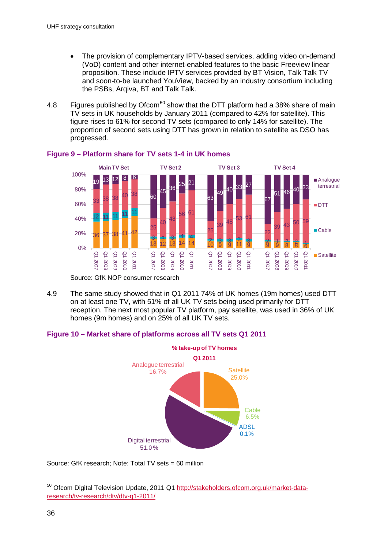- The provision of complementary IPTV-based services, adding video on-demand (VoD) content and other internet-enabled features to the basic Freeview linear proposition. These include IPTV services provided by BT Vision, Talk Talk TV and soon-to-be launched YouView, backed by an industry consortium including the PSBs, Arqiva, BT and Talk Talk.
- 4.8 Figures published by Ofcom<sup>[50](#page-35-0)</sup> show that the DTT platform had a 38% share of main TV sets in UK households by January 2011 (compared to 42% for satellite). This figure rises to 61% for second TV sets (compared to only 14% for satellite). The proportion of second sets using DTT has grown in relation to satellite as DSO has progressed.



#### **Figure 9 – Platform share for TV sets 1-4 in UK homes**

Source: GfK NOP consumer research

4.9 The same study showed that in Q1 2011 74% of UK homes (19m homes) used DTT on at least one TV, with 51% of all UK TV sets being used primarily for DTT reception. The next most popular TV platform, pay satellite, was used in 36% of UK homes (9m homes) and on 25% of all UK TV sets.

#### **Figure 10 – Market share of platforms across all TV sets Q1 2011**



Source: GfK research; Note: Total TV sets = 60 million

<span id="page-38-0"></span><sup>50</sup> Ofcom Digital Television Update, 2011 Q1 [http://stakeholders.ofcom.org.uk/market-data](http://stakeholders.ofcom.org.uk/market-data-research/tv-research/dtv/dtv-q1-2011/)[research/tv-research/dtv/dtv-q1-2011/](http://stakeholders.ofcom.org.uk/market-data-research/tv-research/dtv/dtv-q1-2011/)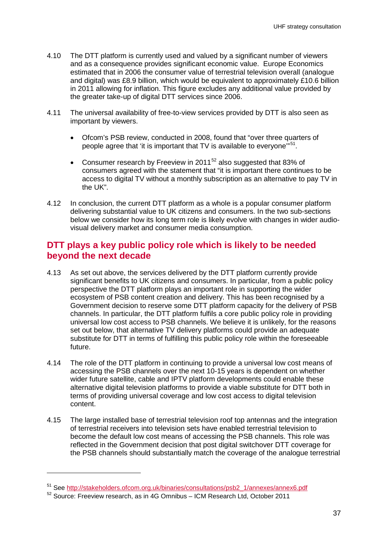- 4.10 The DTT platform is currently used and valued by a significant number of viewers and as a consequence provides significant economic value. Europe Economics estimated that in 2006 the consumer value of terrestrial television overall (analogue and digital) was £8.9 billion, which would be equivalent to approximately £10.6 billion in 2011 allowing for inflation. This figure excludes any additional value provided by the greater take-up of digital DTT services since 2006.
- 4.11 The universal availability of free-to-view services provided by DTT is also seen as important by viewers.
	- Ofcom's PSB review, conducted in 2008, found that "over three quarters of people agree that 'it is important that TV is available to everyone"<sup>[51](#page-38-0)</sup>.
	- Consumer research by Freeview in 2011 $52$  also suggested that 83% of consumers agreed with the statement that "it is important there continues to be access to digital TV without a monthly subscription as an alternative to pay TV in the UK".
- 4.12 In conclusion, the current DTT platform as a whole is a popular consumer platform delivering substantial value to UK citizens and consumers. In the two sub-sections below we consider how its long term role is likely evolve with changes in wider audiovisual delivery market and consumer media consumption.

## **DTT plays a key public policy role which is likely to be needed beyond the next decade**

- 4.13 As set out above, the services delivered by the DTT platform currently provide significant benefits to UK citizens and consumers. In particular, from a public policy perspective the DTT platform plays an important role in supporting the wider ecosystem of PSB content creation and delivery. This has been recognised by a Government decision to reserve some DTT platform capacity for the delivery of PSB channels. In particular, the DTT platform fulfils a core public policy role in providing universal low cost access to PSB channels. We believe it is unlikely, for the reasons set out below, that alternative TV delivery platforms could provide an adequate substitute for DTT in terms of fulfilling this public policy role within the foreseeable future.
- 4.14 The role of the DTT platform in continuing to provide a universal low cost means of accessing the PSB channels over the next 10-15 years is dependent on whether wider future satellite, cable and IPTV platform developments could enable these alternative digital television platforms to provide a viable substitute for DTT both in terms of providing universal coverage and low cost access to digital television content.
- 4.15 The large installed base of terrestrial television roof top antennas and the integration of terrestrial receivers into television sets have enabled terrestrial television to become the default low cost means of accessing the PSB channels. This role was reflected in the Government decision that post digital switchover DTT coverage for the PSB channels should substantially match the coverage of the analogue terrestrial

<span id="page-39-0"></span><sup>&</sup>lt;sup>51</sup> See [http://stakeholders.ofcom.org.uk/binaries/consultations/psb2\\_1/annexes/annex6.pdf](http://stakeholders.ofcom.org.uk/binaries/consultations/psb2_1/annexes/annex6.pdf)  $52$  Source: Freeview research, as in 4G Omnibus – ICM Research Ltd, October 2011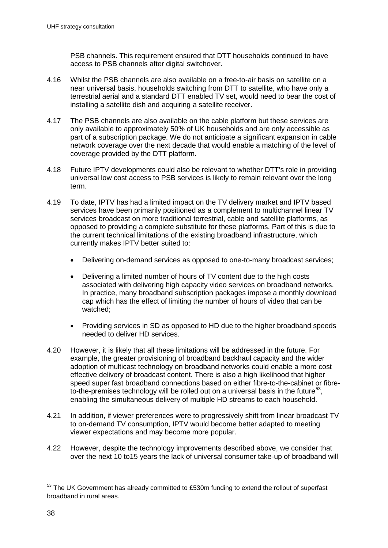PSB channels. This requirement ensured that DTT households continued to have access to PSB channels after digital switchover.

- 4.16 Whilst the PSB channels are also available on a free-to-air basis on satellite on a near universal basis, households switching from DTT to satellite, who have only a terrestrial aerial and a standard DTT enabled TV set, would need to bear the cost of installing a satellite dish and acquiring a satellite receiver.
- 4.17 The PSB channels are also available on the cable platform but these services are only available to approximately 50% of UK households and are only accessible as part of a subscription package. We do not anticipate a significant expansion in cable network coverage over the next decade that would enable a matching of the level of coverage provided by the DTT platform.
- 4.18 Future IPTV developments could also be relevant to whether DTT's role in providing universal low cost access to PSB services is likely to remain relevant over the long term.
- 4.19 To date, IPTV has had a limited impact on the TV delivery market and IPTV based services have been primarily positioned as a complement to multichannel linear TV services broadcast on more traditional terrestrial, cable and satellite platforms, as opposed to providing a complete substitute for these platforms. Part of this is due to the current technical limitations of the existing broadband infrastructure, which currently makes IPTV better suited to:
	- Delivering on-demand services as opposed to one-to-many broadcast services;
	- Delivering a limited number of hours of TV content due to the high costs associated with delivering high capacity video services on broadband networks. In practice, many broadband subscription packages impose a monthly download cap which has the effect of limiting the number of hours of video that can be watched;
	- Providing services in SD as opposed to HD due to the higher broadband speeds needed to deliver HD services.
- 4.20 However, it is likely that all these limitations will be addressed in the future. For example, the greater provisioning of broadband backhaul capacity and the wider adoption of multicast technology on broadband networks could enable a more cost effective delivery of broadcast content. There is also a high likelihood that higher speed super fast broadband connections based on either fibre-to-the-cabinet or fibre-to-the-premises technology will be rolled out on a universal basis in the future<sup>[53](#page-39-0)</sup>, enabling the simultaneous delivery of multiple HD streams to each household.
- 4.21 In addition, if viewer preferences were to progressively shift from linear broadcast TV to on-demand TV consumption, IPTV would become better adapted to meeting viewer expectations and may become more popular.
- 4.22 However, despite the technology improvements described above, we consider that over the next 10 to15 years the lack of universal consumer take-up of broadband will

<span id="page-40-0"></span> $53$  The UK Government has already committed to £530m funding to extend the rollout of superfast broadband in rural areas.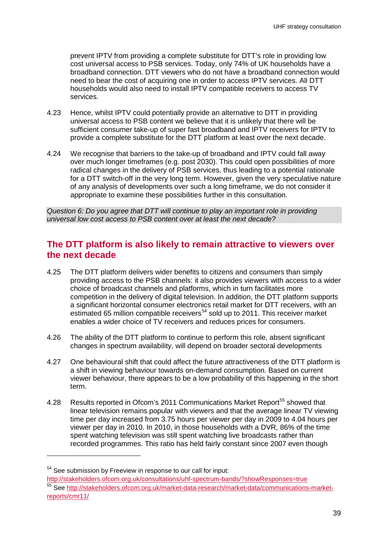prevent IPTV from providing a complete substitute for DTT's role in providing low cost universal access to PSB services. Today, only 74% of UK households have a broadband connection. DTT viewers who do not have a broadband connection would need to bear the cost of acquiring one in order to access IPTV services. All DTT households would also need to install IPTV compatible receivers to access TV services.

- 4.23 Hence, whilst IPTV could potentially provide an alternative to DTT in providing universal access to PSB content we believe that it is unlikely that there will be sufficient consumer take-up of super fast broadband and IPTV receivers for IPTV to provide a complete substitute for the DTT platform at least over the next decade.
- 4.24 We recognise that barriers to the take-up of broadband and IPTV could fall away over much longer timeframes (e.g. post 2030). This could open possibilities of more radical changes in the delivery of PSB services, thus leading to a potential rationale for a DTT switch-off in the very long term. However, given the very speculative nature of any analysis of developments over such a long timeframe, we do not consider it appropriate to examine these possibilities further in this consultation.

*Question 6: Do you agree that DTT will continue to play an important role in providing universal low cost access to PSB content over at least the next decade?*

# **The DTT platform is also likely to remain attractive to viewers over the next decade**

- 4.25 The DTT platform delivers wider benefits to citizens and consumers than simply providing access to the PSB channels: it also provides viewers with access to a wider choice of broadcast channels and platforms, which in turn facilitates more competition in the delivery of digital television. In addition, the DTT platform supports a significant horizontal consumer electronics retail market for DTT receivers, with an estimated 65 million compatible receivers<sup>[54](#page-40-0)</sup> sold up to 2011. This receiver market enables a wider choice of TV receivers and reduces prices for consumers.
- 4.26 The ability of the DTT platform to continue to perform this role, absent significant changes in spectrum availability, will depend on broader sectoral developments
- 4.27 One behavioural shift that could affect the future attractiveness of the DTT platform is a shift in viewing behaviour towards on-demand consumption. Based on current viewer behaviour, there appears to be a low probability of this happening in the short term.
- 4.28 Results reported in Ofcom's 2011 Communications Market Report<sup>[55](#page-41-0)</sup> showed that linear television remains popular with viewers and that the average linear TV viewing time per day increased from 3.75 hours per viewer per day in 2009 to 4.04 hours per viewer per day in 2010. In 2010, in those households with a DVR, 86% of the time spent watching television was still spent watching live broadcasts rather than recorded programmes. This ratio has held fairly constant since 2007 even though

<span id="page-41-1"></span>

<span id="page-41-0"></span> $54$  See submission by Freeview in response to our call for input:<br>http://stakeholders.ofcom.org.uk/consultations/uhf-spectrum-bands/?showResponses=true <sup>55</sup> See [http://stakeholders.ofcom.org.uk/market-data-research/market-data/communications-market](http://stakeholders.ofcom.org.uk/market-data-research/market-data/communications-market-reports/cmr11/)[reports/cmr11/](http://stakeholders.ofcom.org.uk/market-data-research/market-data/communications-market-reports/cmr11/)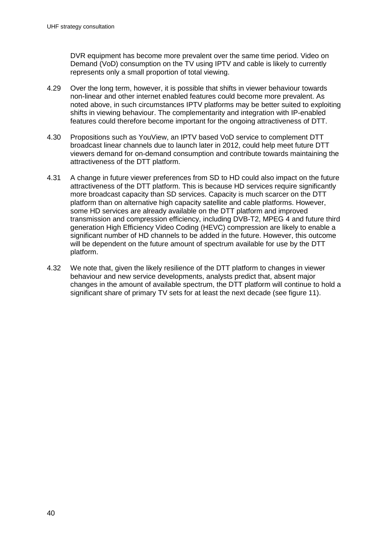DVR equipment has become more prevalent over the same time period. Video on Demand (VoD) consumption on the TV using IPTV and cable is likely to currently represents only a small proportion of total viewing.

- 4.29 Over the long term, however, it is possible that shifts in viewer behaviour towards non-linear and other internet enabled features could become more prevalent. As noted above, in such circumstances IPTV platforms may be better suited to exploiting shifts in viewing behaviour. The complementarity and integration with IP-enabled features could therefore become important for the ongoing attractiveness of DTT.
- 4.30 Propositions such as YouView, an IPTV based VoD service to complement DTT broadcast linear channels due to launch later in 2012, could help meet future DTT viewers demand for on-demand consumption and contribute towards maintaining the attractiveness of the DTT platform.
- 4.31 A change in future viewer preferences from SD to HD could also impact on the future attractiveness of the DTT platform. This is because HD services require significantly more broadcast capacity than SD services. Capacity is much scarcer on the DTT platform than on alternative high capacity satellite and cable platforms. However, some HD services are already available on the DTT platform and improved transmission and compression efficiency, including DVB-T2, MPEG 4 and future third generation High Efficiency Video Coding (HEVC) compression are likely to enable a significant number of HD channels to be added in the future. However, this outcome will be dependent on the future amount of spectrum available for use by the DTT platform.
- 4.32 We note that, given the likely resilience of the DTT platform to changes in viewer behaviour and new service developments, analysts predict that, absent major changes in the amount of available spectrum, the DTT platform will continue to hold a significant share of primary TV sets for at least the next decade (see figure 11).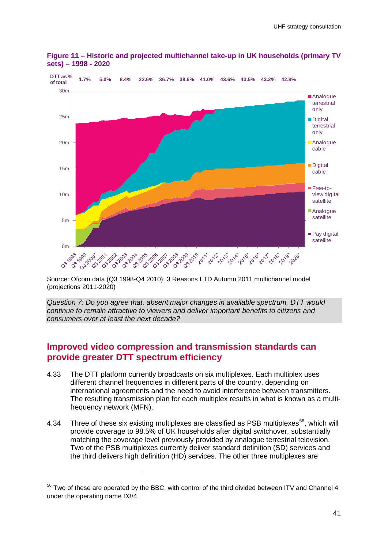

**Figure 11 – Historic and projected multichannel take-up in UK households (primary TV sets) – 1998 - 2020**

Source: Ofcom data (Q3 1998-Q4 2010); 3 Reasons LTD Autumn 2011 multichannel model (projections 2011-2020)

*Question 7: Do you agree that, absent major changes in available spectrum, DTT would continue to remain attractive to viewers and deliver important benefits to citizens and consumers over at least the next decade?*

# **Improved video compression and transmission standards can provide greater DTT spectrum efficiency**

- 4.33 The DTT platform currently broadcasts on six multiplexes. Each multiplex uses different channel frequencies in different parts of the country, depending on international agreements and the need to avoid interference between transmitters. The resulting transmission plan for each multiplex results in what is known as a multifrequency network (MFN).
- 4.34 Three of these six existing multiplexes are classified as PSB multiplexes<sup>[56](#page-41-1)</sup>, which will provide coverage to 98.5% of UK households after digital switchover, substantially matching the coverage level previously provided by analogue terrestrial television. Two of the PSB multiplexes currently deliver standard definition (SD) services and the third delivers high definition (HD) services. The other three multiplexes are

<span id="page-43-0"></span><sup>&</sup>lt;sup>56</sup> Two of these are operated by the BBC, with control of the third divided between ITV and Channel 4 under the operating name D3/4.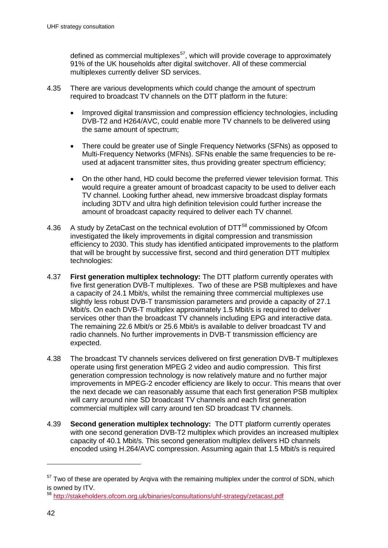defined as commercial multiplexes<sup>[57](#page-43-0)</sup>, which will provide coverage to approximately 91% of the UK households after digital switchover. All of these commercial multiplexes currently deliver SD services.

- 4.35 There are various developments which could change the amount of spectrum required to broadcast TV channels on the DTT platform in the future:
	- Improved digital transmission and compression efficiency technologies, including DVB-T2 and H264/AVC, could enable more TV channels to be delivered using the same amount of spectrum;
	- There could be greater use of Single Frequency Networks (SFNs) as opposed to Multi-Frequency Networks (MFNs). SFNs enable the same frequencies to be reused at adjacent transmitter sites, thus providing greater spectrum efficiency;
	- On the other hand, HD could become the preferred viewer television format. This would require a greater amount of broadcast capacity to be used to deliver each TV channel. Looking further ahead, new immersive broadcast display formats including 3DTV and ultra high definition television could further increase the amount of broadcast capacity required to deliver each TV channel.
- 4.36 A study by ZetaCast on the technical evolution of DTT<sup>[58](#page-44-0)</sup> commissioned by Ofcom investigated the likely improvements in digital compression and transmission efficiency to 2030. This study has identified anticipated improvements to the platform that will be brought by successive first, second and third generation DTT multiplex technologies:
- 4.37 **First generation multiplex technology:** The DTT platform currently operates with five first generation DVB-T multiplexes. Two of these are PSB multiplexes and have a capacity of 24.1 Mbit/s, whilst the remaining three commercial multiplexes use slightly less robust DVB-T transmission parameters and provide a capacity of 27.1 Mbit/s. On each DVB-T multiplex approximately 1.5 Mbit/s is required to deliver services other than the broadcast TV channels including EPG and interactive data. The remaining 22.6 Mbit/s or 25.6 Mbit/s is available to deliver broadcast TV and radio channels. No further improvements in DVB-T transmission efficiency are expected.
- 4.38 The broadcast TV channels services delivered on first generation DVB-T multiplexes operate using first generation MPEG 2 video and audio compression. This first generation compression technology is now relatively mature and no further major improvements in MPEG-2 encoder efficiency are likely to occur. This means that over the next decade we can reasonably assume that each first generation PSB multiplex will carry around nine SD broadcast TV channels and each first generation commercial multiplex will carry around ten SD broadcast TV channels.
- 4.39 **Second generation multiplex technology:** The DTT platform currently operates with one second generation DVB-T2 multiplex which provides an increased multiplex capacity of 40.1 Mbit/s. This second generation multiplex delivers HD channels encoded using H.264/AVC compression. Assuming again that 1.5 Mbit/s is required

<span id="page-44-0"></span> $57$  Two of these are operated by Argiva with the remaining multiplex under the control of SDN, which is owned by ITV.

<sup>58</sup> <http://stakeholders.ofcom.org.uk/binaries/consultations/uhf-strategy/zetacast.pdf>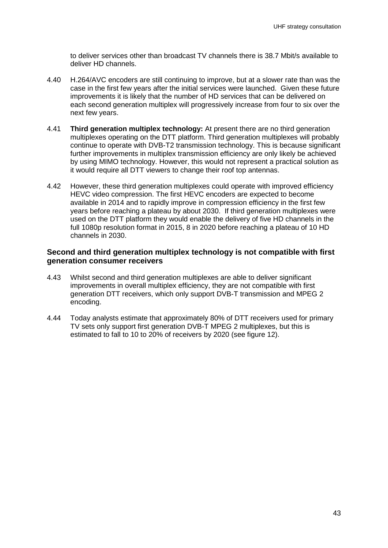

Figure 11 – Historic and projected multichannel take-up in UK households (primary TV  $sets$  – 1998 - 2020

Source: Ofcom data (Q3 1998-Q4 2010); 3 Reasons LTD Autumn 2011 multichannel model (projections 2011-2020)

Question 7: Do you agree that, absent major changes in available spectrum, DTT would continue to remain attractive to viewers and deliver important benefits to citizens and consumers over at least the next decade?

# Improved video compression and transmission standards can provide greater DTT spectrum efficiency

- 4.33 The DTT platform currently broadcasts on six multiplexes. Each multiplex uses different channel frequencies in different parts of the country, depending on international agreements and the need to avoid interference between transmitters. The resulting transmission plan for each multiplex results in what is known as a multifrequency network (MFN).
- 4.34 Three of these six existing multiplexes are classified as PSB multiplexes<sup>56</sup>, which will provide coverage to 98.5% of UK households after digital switchover, substantially matching the coverage level previously provided by analogue terrestrial television. Two of the PSB multiplexes currently deliver standard definition (SD) services and the third delivers high definition (HD) services. The other three multiplexes are

<sup>&</sup>lt;sup>56</sup> Two of these are operated by the BBC, with control of the third divided between ITV and Channel 4 under the operating name D3/4.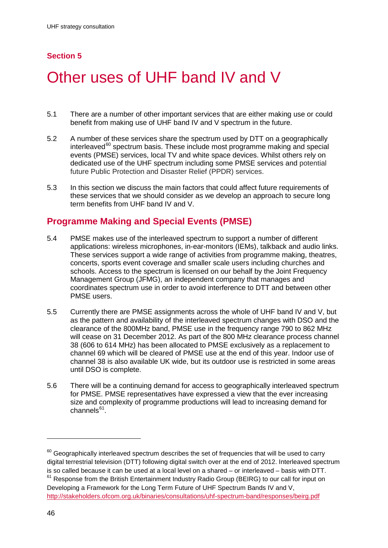- x The provision of complementary IPTV-based services, adding video on-demand (VoD) content and other internet-enabled features to the basic Freeview linear proposition. These include IPTV services provided by BT Vision, Talk Talk TV and soon-to-be launched YouView, backed by an industry consortium including the PSBs, Argiva, BT and Talk Talk.
- Figures published by Ofcom<sup>50</sup> show that the DTT platform had a 38% share of main 4.8 TV sets in UK households by January 2011 (compared to 42% for satellite). This figure rises to 61% for second TV sets (compared to only 14% for satellite). The proportion of second sets using DTT has grown in relation to satellite as DSO has progressed.



#### Figure 9 - Platform share for TV sets 1-4 in UK homes

Source: GfK NOP consumer research

4.9 The same study showed that in Q1 2011 74% of UK homes (19m homes) used DTT on at least one TV, with 51% of all UK TV sets being used primarily for DTT reception. The next most popular TV platform, pay satellite, was used in 36% of UK homes (9m homes) and on 25% of all UK TV sets.

#### Figure 10 - Market share of platforms across all TV sets Q1 2011



Source: GfK research: Note: Total TV sets = 60 million

<sup>&</sup>lt;sup>50</sup> Ofcom Digital Television Update, 2011 Q1 http://stakeholders.ofcom.org.uk/market-dataresearch/tv-research/dtv/dtv-q1-2011/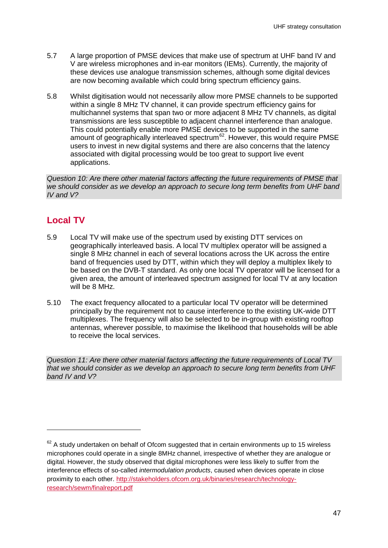- 5.7 A large proportion of PMSE devices that make use of spectrum at UHF band IV and V are wireless microphones and in-ear monitors (IEMs). Currently, the majority of these devices use analogue transmission schemes, although some digital devices are now becoming available which could bring spectrum efficiency gains.
- 5.8 Whilst digitisation would not necessarily allow more PMSE channels to be supported within a single 8 MHz TV channel, it can provide spectrum efficiency gains for multichannel systems that span two or more adjacent 8 MHz TV channels, as digital transmissions are less susceptible to adjacent channel interference than analogue. This could potentially enable more PMSE devices to be supported in the same amount of geographically interleaved spectrum $62$ . However, this would require PMSE users to invest in new digital systems and there are also concerns that the latency associated with digital processing would be too great to support live event applications.

*Question 10: Are there other material factors affecting the future requirements of PMSE that we should consider as we develop an approach to secure long term benefits from UHF band IV and V?*

# **Local TV**

-

- 5.9 Local TV will make use of the spectrum used by existing DTT services on geographically interleaved basis. A local TV multiplex operator will be assigned a single 8 MHz channel in each of several locations across the UK across the entire band of frequencies used by DTT, within which they will deploy a multiplex likely to be based on the DVB-T standard. As only one local TV operator will be licensed for a given area, the amount of interleaved spectrum assigned for local TV at any location will be 8 MHz.
- 5.10 The exact frequency allocated to a particular local TV operator will be determined principally by the requirement not to cause interference to the existing UK-wide DTT multiplexes. The frequency will also be selected to be in-group with existing rooftop antennas, wherever possible, to maximise the likelihood that households will be able to receive the local services.

<span id="page-49-0"></span>*Question 11: Are there other material factors affecting the future requirements of Local TV that we should consider as we develop an approach to secure long term benefits from UHF band IV and V?*

 $62$  A study undertaken on behalf of Ofcom suggested that in certain environments up to 15 wireless microphones could operate in a single 8MHz channel, irrespective of whether they are analogue or digital. However, the study observed that digital microphones were less likely to suffer from the interference effects of so-called *intermodulation products*, caused when devices operate in close proximity to each other. [http://stakeholders.ofcom.org.uk/binaries/research/technology](http://stakeholders.ofcom.org.uk/binaries/research/technology-research/sewm/finalreport.pdf)[research/sewm/finalreport.pdf](http://stakeholders.ofcom.org.uk/binaries/research/technology-research/sewm/finalreport.pdf)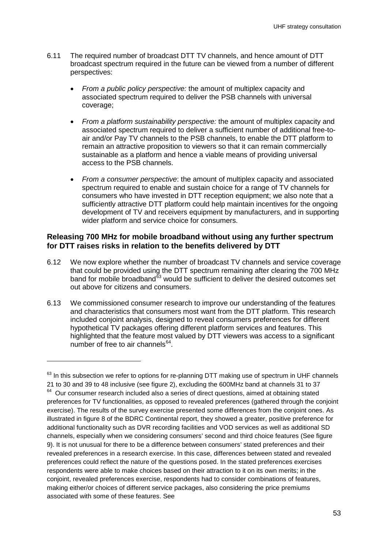- 6.11 The required number of broadcast DTT TV channels, and hence amount of DTT broadcast spectrum required in the future can be viewed from a number of different perspectives:
	- *From a public policy perspective:* the amount of multiplex capacity and associated spectrum required to deliver the PSB channels with universal coverage;
	- *From a platform sustainability perspective:* the amount of multiplex capacity and associated spectrum required to deliver a sufficient number of additional free-toair and/or Pay TV channels to the PSB channels, to enable the DTT platform to remain an attractive proposition to viewers so that it can remain commercially sustainable as a platform and hence a viable means of providing universal access to the PSB channels.
	- *From a consumer perspective*: the amount of multiplex capacity and associated spectrum required to enable and sustain choice for a range of TV channels for consumers who have invested in DTT reception equipment; we also note that a sufficiently attractive DTT platform could help maintain incentives for the ongoing development of TV and receivers equipment by manufacturers, and in supporting wider platform and service choice for consumers.

#### **Releasing 700 MHz for mobile broadband without using any further spectrum for DTT raises risks in relation to the benefits delivered by DTT**

- 6.12 We now explore whether the number of broadcast TV channels and service coverage that could be provided using the DTT spectrum remaining after clearing the 700 MHz band for mobile broadband $\overline{6}3$  would be sufficient to deliver the desired outcomes set out above for citizens and consumers.
- 6.13 We commissioned consumer research to improve our understanding of the features and characteristics that consumers most want from the DTT platform. This research included conjoint analysis, designed to reveal consumers preferences for different hypothetical TV packages offering different platform services and features. This highlighted that the feature most valued by DTT viewers was access to a significant number of free to air channels $^{64}$  $^{64}$  $^{64}$ .

<span id="page-55-1"></span><span id="page-55-0"></span> $63$  In this subsection we refer to options for re-planning DTT making use of spectrum in UHF channels 21 to 30 and 39 to 48 inclusive (see figure 2), excluding the 600MHz band at channels 31 to 37  $64$  Our consumer research included also a series of direct questions, aimed at obtaining stated preferences for TV functionalities, as opposed to revealed preferences (gathered through the conjoint exercise). The results of the survey exercise presented some differences from the conjoint ones. As illustrated in figure 8 of the BDRC Continental report, they showed a greater, positive preference for additional functionality such as DVR recording facilities and VOD services as well as additional SD channels, especially when we considering consumers' second and third choice features (See figure 9). It is not unusual for there to be a difference between consumers' stated preferences and their revealed preferences in a research exercise. In this case, differences between stated and revealed preferences could reflect the nature of the questions posed. In the stated preferences exercises respondents were able to make choices based on their attraction to it on its own merits; in the conjoint, revealed preferences exercise, respondents had to consider combinations of features, making either/or choices of different service packages, also considering the price premiums associated with some of these features. See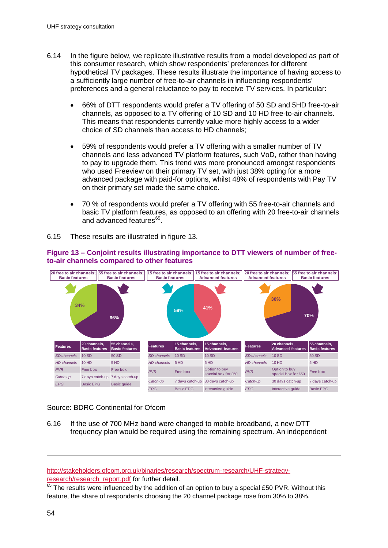- 6.14 In the figure below, we replicate illustrative results from a model developed as part of this consumer research, which show respondents' preferences for different hypothetical TV packages. These results illustrate the importance of having access to a sufficiently large number of free-to-air channels in influencing respondents' preferences and a general reluctance to pay to receive TV services. In particular:
	- 66% of DTT respondents would prefer a TV offering of 50 SD and 5HD free-to-air channels, as opposed to a TV offering of 10 SD and 10 HD free-to-air channels. This means that respondents currently value more highly access to a wider choice of SD channels than access to HD channels;
	- 59% of respondents would prefer a TV offering with a smaller number of TV channels and less advanced TV platform features, such VoD, rather than having to pay to upgrade them. This trend was more pronounced amongst respondents who used Freeview on their primary TV set, with just 38% opting for a more advanced package with paid-for options, whilst 48% of respondents with Pay TV on their primary set made the same choice.
	- 70 % of respondents would prefer a TV offering with 55 free-to-air channels and basic TV platform features, as opposed to an offering with 20 free-to-air channels and advanced features<sup>[65](#page-55-1)</sup>.
- 6.15 These results are illustrated in figure 13.



#### **Figure 13 – Conjoint results illustrating importance to DTT viewers of number of freeto-air channels compared to other features**

Source: BDRC Continental for Ofcom

6.16 If the use of 700 MHz band were changed to mobile broadband, a new DTT frequency plan would be required using the remaining spectrum. An independent

[http://stakeholders.ofcom.org.uk/binaries/research/spectrum-research/UHF-strategy](http://stakeholders.ofcom.org.uk/binaries/research/spectrum-research/UHF-strategy-research/research_report.pdf)[research/research\\_report.pdf](http://stakeholders.ofcom.org.uk/binaries/research/spectrum-research/UHF-strategy-research/research_report.pdf) for further detail.

<span id="page-56-0"></span> $65$  The results were influenced by the addition of an option to buy a special £50 PVR. Without this feature, the share of respondents choosing the 20 channel package rose from 30% to 38%.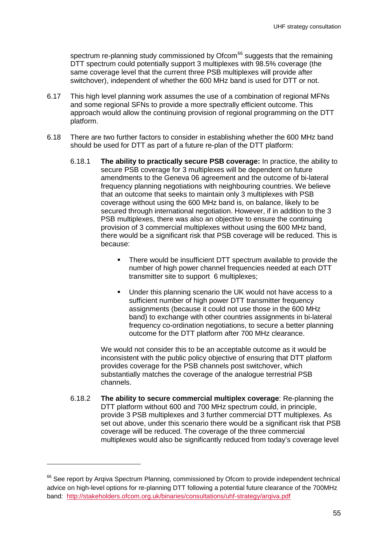spectrum re-planning study commissioned by Ofcom<sup>[66](#page-56-0)</sup> suggests that the remaining DTT spectrum could potentially support 3 multiplexes with 98.5% coverage (the same coverage level that the current three PSB multiplexes will provide after switchover), independent of whether the 600 MHz band is used for DTT or not.

- 6.17 This high level planning work assumes the use of a combination of regional MFNs and some regional SFNs to provide a more spectrally efficient outcome. This approach would allow the continuing provision of regional programming on the DTT platform.
- 6.18 There are two further factors to consider in establishing whether the 600 MHz band should be used for DTT as part of a future re-plan of the DTT platform:
	- 6.18.1 **The ability to practically secure PSB coverage:** In practice, the ability to secure PSB coverage for 3 multiplexes will be dependent on future amendments to the Geneva 06 agreement and the outcome of bi-lateral frequency planning negotiations with neighbouring countries. We believe that an outcome that seeks to maintain only 3 multiplexes with PSB coverage without using the 600 MHz band is, on balance, likely to be secured through international negotiation. However, if in addition to the 3 PSB multiplexes, there was also an objective to ensure the continuing provision of 3 commercial multiplexes without using the 600 MHz band, there would be a significant risk that PSB coverage will be reduced. This is because:
		- **There would be insufficient DTT spectrum available to provide the** number of high power channel frequencies needed at each DTT transmitter site to support 6 multiplexes;
		- Under this planning scenario the UK would not have access to a sufficient number of high power DTT transmitter frequency assignments (because it could not use those in the 600 MHz band) to exchange with other countries assignments in bi-lateral frequency co-ordination negotiations, to secure a better planning outcome for the DTT platform after 700 MHz clearance.

We would not consider this to be an acceptable outcome as it would be inconsistent with the public policy objective of ensuring that DTT platform provides coverage for the PSB channels post switchover, which substantially matches the coverage of the analogue terrestrial PSB channels.

<span id="page-57-0"></span>6.18.2 **The ability to secure commercial multiplex coverage**: Re-planning the DTT platform without 600 and 700 MHz spectrum could, in principle, provide 3 PSB multiplexes and 3 further commercial DTT multiplexes. As set out above, under this scenario there would be a significant risk that PSB coverage will be reduced. The coverage of the three commercial multiplexes would also be significantly reduced from today's coverage level

<sup>&</sup>lt;sup>66</sup> See report by Argiva Spectrum Planning, commissioned by Ofcom to provide independent technical advice on high-level options for re-planning DTT following a potential future clearance of the 700MHz band: <http://stakeholders.ofcom.org.uk/binaries/consultations/uhf-strategy/arqiva.pdf>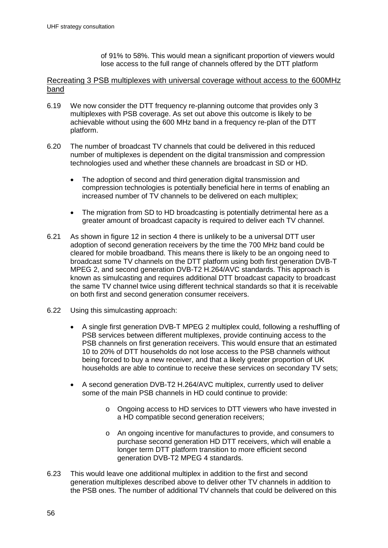defined as commercial multiplexes<sup>57</sup>, which will provide coverage to approximately 91% of the UK households after digital switchover. All of these commercial multiplexes currently deliver SD services.

- 4.35 There are various developments which could change the amount of spectrum required to broadcast TV channels on the DTT platform in the future:
	- Improved digital transmission and compression efficiency technologies, including DVB-T2 and H264/AVC, could enable more TV channels to be delivered using the same amount of spectrum;
	- There could be greater use of Single Frequency Networks (SFNs) as opposed to  $\bullet$ Multi-Frequency Networks (MFNs). SFNs enable the same frequencies to be reused at adjacent transmitter sites, thus providing greater spectrum efficiency;
	- On the other hand, HD could become the preferred viewer television format. This  $\bullet$ would require a greater amount of broadcast capacity to be used to deliver each TV channel. Looking further ahead, new immersive broadcast display formats including 3DTV and ultra high definition television could further increase the amount of broadcast capacity required to deliver each TV channel.
- A study by ZetaCast on the technical evolution of DTT<sup>58</sup> commissioned by Ofcom 4.36 investigated the likely improvements in digital compression and transmission efficiency to 2030. This study has identified anticipated improvements to the platform that will be brought by successive first, second and third generation DTT multiplex technologies:
- First generation multiplex technology: The DTT platform currently operates with 4.37 five first generation DVB-T multiplexes. Two of these are PSB multiplexes and have a capacity of 24.1 Mbit/s, whilst the remaining three commercial multiplexes use slightly less robust DVB-T transmission parameters and provide a capacity of 27.1 Mbit/s. On each DVB-T multiplex approximately 1.5 Mbit/s is required to deliver services other than the broadcast TV channels including EPG and interactive data. The remaining 22.6 Mbit/s or 25.6 Mbit/s is available to deliver broadcast TV and radio channels. No further improvements in DVB-T transmission efficiency are expected.
- 4.38 The broadcast TV channels services delivered on first generation DVB-T multiplexes operate using first generation MPEG 2 video and audio compression. This first generation compression technology is now relatively mature and no further major improvements in MPEG-2 encoder efficiency are likely to occur. This means that over the next decade we can reasonably assume that each first generation PSB multiplex will carry around nine SD broadcast TV channels and each first generation commercial multiplex will carry around ten SD broadcast TV channels.
- 4.39 Second generation multiplex technology: The DTT platform currently operates with one second generation DVB-T2 multiplex which provides an increased multiplex capacity of 40.1 Mbit/s. This second generation multiplex delivers HD channels encoded using H.264/AVC compression. Assuming again that 1.5 Mbit/s is required

<sup>&</sup>lt;sup>57</sup> Two of these are operated by Argiva with the remaining multiplex under the control of SDN, which is owned by ITV.

<sup>58</sup> http://stakeholders.ofcom.org.uk/binaries/consultations/uhf-strategy/zetacast.pdf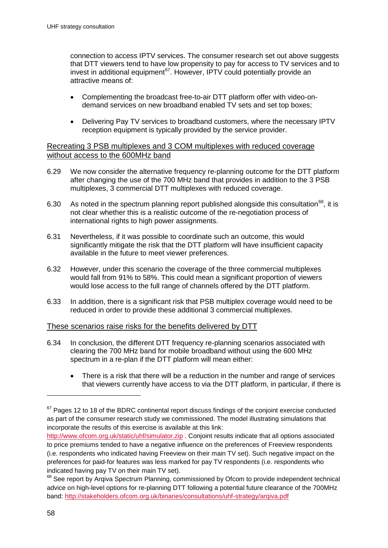connection to access IPTV services. The consumer research set out above suggests that DTT viewers tend to have low propensity to pay for access to TV services and to invest in additional equipment<sup>[67](#page-57-0)</sup>. However, IPTV could potentially provide an attractive means of:

- Complementing the broadcast free-to-air DTT platform offer with video-ondemand services on new broadband enabled TV sets and set top boxes;
- Delivering Pay TV services to broadband customers, where the necessary IPTV reception equipment is typically provided by the service provider.

#### Recreating 3 PSB multiplexes and 3 COM multiplexes with reduced coverage without access to the 600MHz band

- 6.29 We now consider the alternative frequency re-planning outcome for the DTT platform after changing the use of the 700 MHz band that provides in addition to the 3 PSB multiplexes, 3 commercial DTT multiplexes with reduced coverage.
- 6.30 As noted in the spectrum planning report published alongside this consultation<sup>68</sup>, it is not clear whether this is a realistic outcome of the re-negotiation process of international rights to high power assignments.
- 6.31 Nevertheless, if it was possible to coordinate such an outcome, this would significantly mitigate the risk that the DTT platform will have insufficient capacity available in the future to meet viewer preferences.
- 6.32 However, under this scenario the coverage of the three commercial multiplexes would fall from 91% to 58%. This could mean a significant proportion of viewers would lose access to the full range of channels offered by the DTT platform.
- 6.33 In addition, there is a significant risk that PSB multiplex coverage would need to be reduced in order to provide these additional 3 commercial multiplexes.

#### These scenarios raise risks for the benefits delivered by DTT

- 6.34 In conclusion, the different DTT frequency re-planning scenarios associated with clearing the 700 MHz band for mobile broadband without using the 600 MHz spectrum in a re-plan if the DTT platform will mean either:
	- There is a risk that there will be a reduction in the number and range of services that viewers currently have access to via the DTT platform, in particular, if there is

<span id="page-60-0"></span> $67$  Pages 12 to 18 of the BDRC continental report discuss findings of the conjoint exercise conducted as part of the consumer research study we commissioned. The model illustrating simulations that incorporate the results of this exercise is available at this link:

<span id="page-60-1"></span><http://www.ofcom.org.uk/static/uhf/simulator.zip> . Conjoint results indicate that all options associated to price premiums tended to have a negative influence on the preferences of Freeview respondents (i.e. respondents who indicated having Freeview on their main TV set). Such negative impact on the preferences for paid-for features was less marked for pay TV respondents (i.e. respondents who indicated having pay TV on their main TV set).

<sup>&</sup>lt;sup>68</sup> See report by Argiva Spectrum Planning, commissioned by Ofcom to provide independent technical advice on high-level options for re-planning DTT following a potential future clearance of the 700MHz band: <http://stakeholders.ofcom.org.uk/binaries/consultations/uhf-strategy/arqiva.pdf>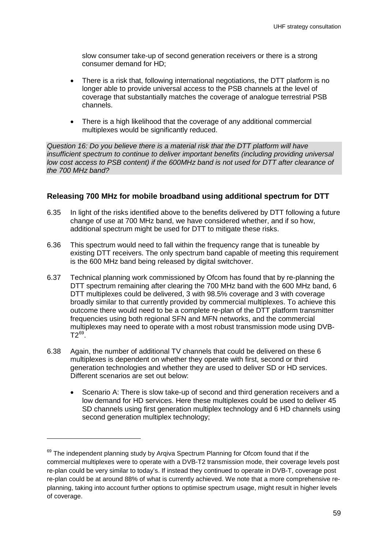slow consumer take-up of second generation receivers or there is a strong consumer demand for HD;

- There is a risk that, following international negotiations, the DTT platform is no longer able to provide universal access to the PSB channels at the level of coverage that substantially matches the coverage of analogue terrestrial PSB channels.
- There is a high likelihood that the coverage of any additional commercial multiplexes would be significantly reduced.

*Question 16: Do you believe there is a material risk that the DTT platform will have insufficient spectrum to continue to deliver important benefits (including providing universal low cost access to PSB content) if the 600MHz band is not used for DTT after clearance of the 700 MHz band?* 

#### **Releasing 700 MHz for mobile broadband using additional spectrum for DTT**

- 6.35 In light of the risks identified above to the benefits delivered by DTT following a future change of use at 700 MHz band, we have considered whether, and if so how, additional spectrum might be used for DTT to mitigate these risks.
- 6.36 This spectrum would need to fall within the frequency range that is tuneable by existing DTT receivers. The only spectrum band capable of meeting this requirement is the 600 MHz band being released by digital switchover.
- 6.37 Technical planning work commissioned by Ofcom has found that by re-planning the DTT spectrum remaining after clearing the 700 MHz band with the 600 MHz band, 6 DTT multiplexes could be delivered, 3 with 98.5% coverage and 3 with coverage broadly similar to that currently provided by commercial multiplexes. To achieve this outcome there would need to be a complete re-plan of the DTT platform transmitter frequencies using both regional SFN and MFN networks, and the commercial multiplexes may need to operate with a most robust transmission mode using DVB- $T2^{69}$  $T2^{69}$  $T2^{69}$ .
- 6.38 Again, the number of additional TV channels that could be delivered on these 6 multiplexes is dependent on whether they operate with first, second or third generation technologies and whether they are used to deliver SD or HD services. Different scenarios are set out below:
	- Scenario A: There is slow take-up of second and third generation receivers and a low demand for HD services. Here these multiplexes could be used to deliver 45 SD channels using first generation multiplex technology and 6 HD channels using second generation multiplex technology;

<span id="page-61-0"></span><sup>&</sup>lt;sup>69</sup> The independent planning study by Arqiva Spectrum Planning for Ofcom found that if the commercial multiplexes were to operate with a DVB-T2 transmission mode, their coverage levels post re-plan could be very similar to today's. If instead they continued to operate in DVB-T, coverage post re-plan could be at around 88% of what is currently achieved. We note that a more comprehensive replanning, taking into account further options to optimise spectrum usage, might result in higher levels of coverage.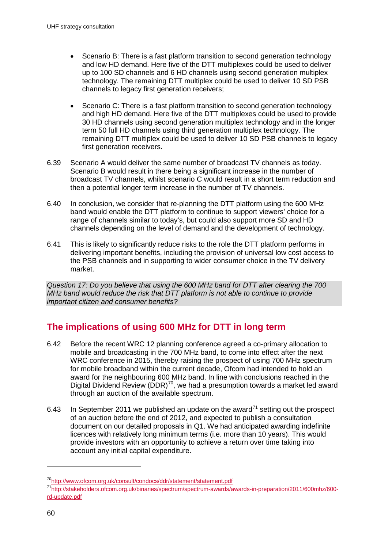- Scenario B: There is a fast platform transition to second generation technology and low HD demand. Here five of the DTT multiplexes could be used to deliver up to 100 SD channels and 6 HD channels using second generation multiplex technology. The remaining DTT multiplex could be used to deliver 10 SD PSB channels to legacy first generation receivers;
- Scenario C: There is a fast platform transition to second generation technology and high HD demand. Here five of the DTT multiplexes could be used to provide 30 HD channels using second generation multiplex technology and in the longer term 50 full HD channels using third generation multiplex technology. The remaining DTT multiplex could be used to deliver 10 SD PSB channels to legacy first generation receivers.
- 6.39 Scenario A would deliver the same number of broadcast TV channels as today. Scenario B would result in there being a significant increase in the number of broadcast TV channels, whilst scenario C would result in a short term reduction and then a potential longer term increase in the number of TV channels.
- 6.40 In conclusion, we consider that re-planning the DTT platform using the 600 MHz band would enable the DTT platform to continue to support viewers' choice for a range of channels similar to today's, but could also support more SD and HD channels depending on the level of demand and the development of technology.
- 6.41 This is likely to significantly reduce risks to the role the DTT platform performs in delivering important benefits, including the provision of universal low cost access to the PSB channels and in supporting to wider consumer choice in the TV delivery market.

*Question 17: Do you believe that using the 600 MHz band for DTT after clearing the 700 MHz band would reduce the risk that DTT platform is not able to continue to provide important citizen and consumer benefits?* 

# **The implications of using 600 MHz for DTT in long term**

- 6.42 Before the recent WRC 12 planning conference agreed a co-primary allocation to mobile and broadcasting in the 700 MHz band, to come into effect after the next WRC conference in 2015, thereby raising the prospect of using 700 MHz spectrum for mobile broadband within the current decade, Ofcom had intended to hold an award for the neighbouring 600 MHz band. In line with conclusions reached in the Digital Dividend Review (DDR)<sup>70</sup>, we had a presumption towards a market led award through an auction of the available spectrum.
- 6.43 In September 2011 we published an update on the award<sup>[71](#page-62-0)</sup> setting out the prospect of an auction before the end of 2012, and expected to publish a consultation document on our detailed proposals in Q1. We had anticipated awarding indefinite licences with relatively long minimum terms (i.e. more than 10 years). This would provide investors with an opportunity to achieve a return over time taking into account any initial capital expenditure.

<span id="page-62-1"></span><span id="page-62-0"></span>[<sup>70</sup>http://www.ofcom.org.uk/consult/condocs/ddr/statement/statement.pdf](http://www.ofcom.org.uk/consult/condocs/ddr/statement/statement.pdf)

[<sup>71</sup>http://stakeholders.ofcom.org.uk/binaries/spectrum/spectrum-awards/awards-in-preparation/2011/600mhz/600](http://stakeholders.ofcom.org.uk/binaries/spectrum/spectrum-awards/awards-in-preparation/2011/600mhz/600-rd-update.pdf) [rd-update.pdf](http://stakeholders.ofcom.org.uk/binaries/spectrum/spectrum-awards/awards-in-preparation/2011/600mhz/600-rd-update.pdf)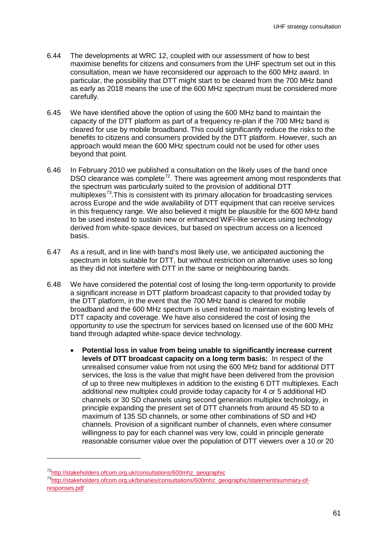- 6.44 The developments at WRC 12, coupled with our assessment of how to best maximise benefits for citizens and consumers from the UHF spectrum set out in this consultation, mean we have reconsidered our approach to the 600 MHz award. In particular, the possibility that DTT might start to be cleared from the 700 MHz band as early as 2018 means the use of the 600 MHz spectrum must be considered more carefully.
- 6.45 We have identified above the option of using the 600 MHz band to maintain the capacity of the DTT platform as part of a frequency re-plan if the 700 MHz band is cleared for use by mobile broadband. This could significantly reduce the risks to the benefits to citizens and consumers provided by the DTT platform. However, such an approach would mean the 600 MHz spectrum could not be used for other uses beyond that point.
- 6.46 In February 2010 we published a consultation on the likely uses of the band once DSO clearance was complete<sup>[72](#page-62-1)</sup>. There was agreement among most respondents that the spectrum was particularly suited to the provision of additional DTT multiplexes<sup> $73$ </sup>. This is consistent with its primary allocation for broadcasting services across Europe and the wide availability of DTT equipment that can receive services in this frequency range. We also believed it might be plausible for the 600 MHz band to be used instead to sustain new or enhanced WiFi-like services using technology derived from white-space devices, but based on spectrum access on a licenced basis.
- 6.47 As a result, and in line with band's most likely use, we anticipated auctioning the spectrum in lots suitable for DTT, but without restriction on alternative uses so long as they did not interfere with DTT in the same or neighbouring bands.
- 6.48 We have considered the potential cost of losing the long-term opportunity to provide a significant increase in DTT platform broadcast capacity to that provided today by the DTT platform, in the event that the 700 MHz band is cleared for mobile broadband and the 600 MHz spectrum is used instead to maintain existing levels of DTT capacity and coverage. We have also considered the cost of losing the opportunity to use the spectrum for services based on licensed use of the 600 MHz band through adapted white-space device technology.
	- **Potential loss in value from being unable to significantly increase current levels of DTT broadcast capacity on a long term basis:** In respect of the unrealised consumer value from not using the 600 MHz band for additional DTT services, the loss is the value that might have been delivered from the provision of up to three new multiplexes in addition to the existing 6 DTT multiplexes. Each additional new multiplex could provide today capacity for 4 or 5 additional HD channels or 30 SD channels using second generation multiplex technology, in principle expanding the present set of DTT channels from around 45 SD to a maximum of 135 SD channels, or some other combinations of SD and HD channels. Provision of a significant number of channels, even where consumer willingness to pay for each channel was very low, could in principle generate reasonable consumer value over the population of DTT viewers over a 10 or 20

<span id="page-63-0"></span>[<sup>72</sup>http://stakeholders.ofcom.org.uk/consultations/600mhz\\_geographic](http://stakeholders.ofcom.org.uk/consultations/600mhz_geographic)

<span id="page-63-1"></span>[<sup>73</sup>http://stakeholders.ofcom.org.uk/binaries/consultations/600mhz\\_geographic/statement/summary-of](http://stakeholders.ofcom.org.uk/binaries/consultations/600mhz_geographic/statement/summary-of-responses.pdf)[responses.pdf](http://stakeholders.ofcom.org.uk/binaries/consultations/600mhz_geographic/statement/summary-of-responses.pdf)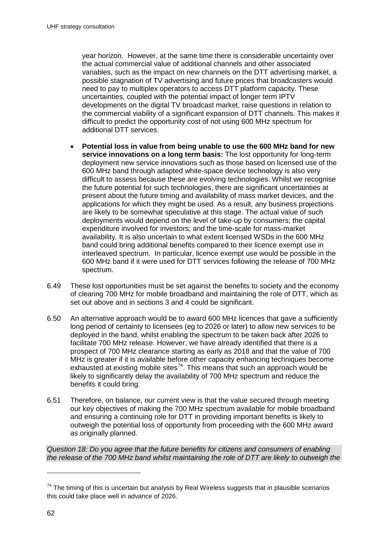year horizon. However, at the same time there is considerable uncertainty over the actual commercial value of additional channels and other associated variables, such as the impact on new channels on the DTT advertising market, a possible stagnation of TV advertising and future prices that broadcasters would need to pay to multiplex operators to access DTT platform capacity. These uncertainties, coupled with the potential impact of longer term IPTV developments on the digital TV broadcast market, raise questions in relation to the commercial viability of a significant expansion of DTT channels. This makes it difficult to predict the opportunity cost of not using 600 MHz spectrum for additional DTT services.

- **Potential loss in value from being unable to use the 600 MHz band for new service innovations on a long term basis:** The lost opportunity for long-term deployment new service innovations such as those based on licensed use of the 600 MHz band through adapted white-space device technology is also very difficult to assess because these are evolving technologies. Whilst we recognise the future potential for such technologies, there are significant uncertainties at present about the future timing and availability of mass market devices, and the applications for which they might be used. As a result, any business projections are likely to be somewhat speculative at this stage. The actual value of such deployments would depend on the level of take-up by consumers; the capital expenditure involved for investors; and the time-scale for mass-market availability. It is also uncertain to what extent licensed WSDs in the 600 MHz band could bring additional benefits compared to their licence exempt use in interleaved spectrum. In particular, licence exempt use would be possible in the 600 MHz band if it were used for DTT services following the release of 700 MHz spectrum.
- 6.49 These lost opportunities must be set against the benefits to society and the economy of clearing 700 MHz for mobile broadband and maintaining the role of DTT, which as set out above and in sections 3 and 4 could be significant.
- 6.50 An alternative approach would be to award 600 MHz licences that gave a sufficiently long period of certainty to licensees (eg to 2026 or later) to allow new services to be deployed in the band, whilst enabling the spectrum to be taken back after 2026 to facilitate 700 MHz release. However, we have already identified that there is a prospect of 700 MHz clearance starting as early as 2018 and that the value of 700 MHz is greater if it is available before other capacity enhancing techniques become exhausted at existing mobile sites<sup>74</sup>. This means that such an approach would be likely to significantly delay the availability of 700 MHz spectrum and reduce the benefits it could bring.
- 6.51 Therefore, on balance, our current view is that the value secured through meeting our key objectives of making the 700 MHz spectrum available for mobile broadband and ensuring a continuing role for DTT in providing important benefits is likely to outweigh the potential loss of opportunity from proceeding with the 600 MHz award as originally planned.

*Question 18: Do you agree that the future benefits for citizens and consumers of enabling the release of the 700 MHz band whilst maintaining the role of DTT are likely to outweigh the* 

<span id="page-64-0"></span> $74$  The timing of this is uncertain but analysis by Real Wireless suggests that in plausible scenarios this could take place well in advance of 2026.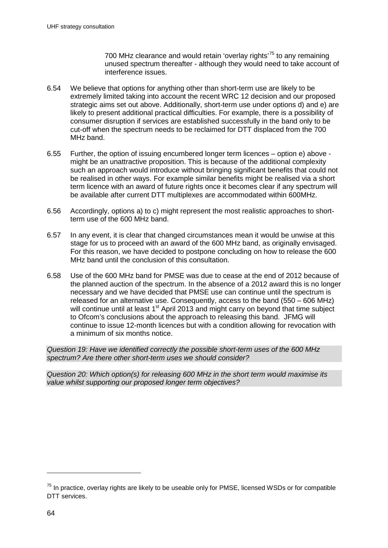700 MHz clearance and would retain 'overlay rights<sup>'[75](#page-64-0)</sup> to any remaining unused spectrum thereafter - although they would need to take account of interference issues.

- 6.54 We believe that options for anything other than short-term use are likely to be extremely limited taking into account the recent WRC 12 decision and our proposed strategic aims set out above. Additionally, short-term use under options d) and e) are likely to present additional practical difficulties. For example, there is a possibility of consumer disruption if services are established successfully in the band only to be cut-off when the spectrum needs to be reclaimed for DTT displaced from the 700 MHz band.
- 6.55 Further, the option of issuing encumbered longer term licences option e) above might be an unattractive proposition. This is because of the additional complexity such an approach would introduce without bringing significant benefits that could not be realised in other ways. For example similar benefits might be realised via a short term licence with an award of future rights once it becomes clear if any spectrum will be available after current DTT multiplexes are accommodated within 600MHz.
- 6.56 Accordingly, options a) to c) might represent the most realistic approaches to shortterm use of the 600 MHz band.
- 6.57 In any event, it is clear that changed circumstances mean it would be unwise at this stage for us to proceed with an award of the 600 MHz band, as originally envisaged. For this reason, we have decided to postpone concluding on how to release the 600 MHz band until the conclusion of this consultation.
- 6.58 Use of the 600 MHz band for PMSE was due to cease at the end of 2012 because of the planned auction of the spectrum. In the absence of a 2012 award this is no longer necessary and we have decided that PMSE use can continue until the spectrum is released for an alternative use. Consequently, access to the band (550 – 606 MHz) will continue until at least 1<sup>st</sup> April 2013 and might carry on beyond that time subject to Ofcom's conclusions about the approach to releasing this band. JFMG will continue to issue 12-month licences but with a condition allowing for revocation with a minimum of six months notice.

*Question 19: Have we identified correctly the possible short-term uses of the 600 MHz spectrum? Are there other short-term uses we should consider?*

*Question 20: Which option(s) for releasing 600 MHz in the short term would maximise its value whilst supporting our proposed longer term objectives?* 

<span id="page-66-0"></span> $75$  In practice, overlay rights are likely to be useable only for PMSE, licensed WSDs or for compatible DTT services.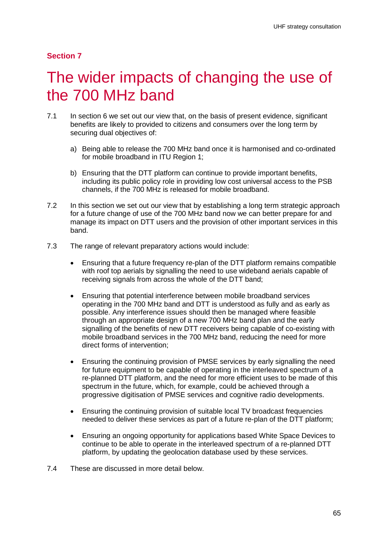#### **Section 7**

# The wider impacts of changing the use of the 700 MHz band

- 7.1 In section 6 we set out our view that, on the basis of present evidence, significant benefits are likely to provided to citizens and consumers over the long term by securing dual objectives of:
	- a) Being able to release the 700 MHz band once it is harmonised and co-ordinated for mobile broadband in ITU Region 1;
	- b) Ensuring that the DTT platform can continue to provide important benefits, including its public policy role in providing low cost universal access to the PSB channels, if the 700 MHz is released for mobile broadband.
- 7.2 In this section we set out our view that by establishing a long term strategic approach for a future change of use of the 700 MHz band now we can better prepare for and manage its impact on DTT users and the provision of other important services in this band.
- 7.3 The range of relevant preparatory actions would include:
	- Ensuring that a future frequency re-plan of the DTT platform remains compatible with roof top aerials by signalling the need to use wideband aerials capable of receiving signals from across the whole of the DTT band;
	- Ensuring that potential interference between mobile broadband services operating in the 700 MHz band and DTT is understood as fully and as early as possible. Any interference issues should then be managed where feasible through an appropriate design of a new 700 MHz band plan and the early signalling of the benefits of new DTT receivers being capable of co-existing with mobile broadband services in the 700 MHz band, reducing the need for more direct forms of intervention;
	- Ensuring the continuing provision of PMSE services by early signalling the need for future equipment to be capable of operating in the interleaved spectrum of a re-planned DTT platform, and the need for more efficient uses to be made of this spectrum in the future, which, for example, could be achieved through a progressive digitisation of PMSE services and cognitive radio developments.
	- Ensuring the continuing provision of suitable local TV broadcast frequencies needed to deliver these services as part of a future re-plan of the DTT platform;
	- Ensuring an ongoing opportunity for applications based White Space Devices to continue to be able to operate in the interleaved spectrum of a re-planned DTT platform, by updating the geolocation database used by these services.
- 7.4 These are discussed in more detail below.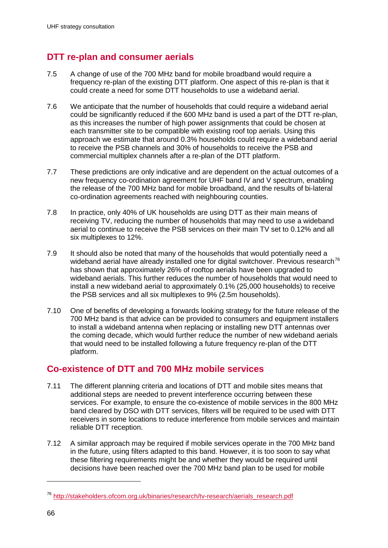# **DTT re-plan and consumer aerials**

- 7.5 A change of use of the 700 MHz band for mobile broadband would require a frequency re-plan of the existing DTT platform. One aspect of this re-plan is that it could create a need for some DTT households to use a wideband aerial.
- 7.6 We anticipate that the number of households that could require a wideband aerial could be significantly reduced if the 600 MHz band is used a part of the DTT re-plan, as this increases the number of high power assignments that could be chosen at each transmitter site to be compatible with existing roof top aerials. Using this approach we estimate that around 0.3% households could require a wideband aerial to receive the PSB channels and 30% of households to receive the PSB and commercial multiplex channels after a re-plan of the DTT platform.
- 7.7 These predictions are only indicative and are dependent on the actual outcomes of a new frequency co-ordination agreement for UHF band IV and V spectrum, enabling the release of the 700 MHz band for mobile broadband, and the results of bi-lateral co-ordination agreements reached with neighbouring counties.
- 7.8 In practice, only 40% of UK households are using DTT as their main means of receiving TV, reducing the number of households that may need to use a wideband aerial to continue to receive the PSB services on their main TV set to 0.12% and all six multiplexes to 12%.
- 7.9 It should also be noted that many of the households that would potentially need a wideband aerial have already installed one for digital switchover. Previous research<sup>[76](#page-66-0)</sup> has shown that approximately 26% of rooftop aerials have been upgraded to wideband aerials. This further reduces the number of households that would need to install a new wideband aerial to approximately 0.1% (25,000 households) to receive the PSB services and all six multiplexes to 9% (2.5m households).
- 7.10 One of benefits of developing a forwards looking strategy for the future release of the 700 MHz band is that advice can be provided to consumers and equipment installers to install a wideband antenna when replacing or installing new DTT antennas over the coming decade, which would further reduce the number of new wideband aerials that would need to be installed following a future frequency re-plan of the DTT platform.

# **Co-existence of DTT and 700 MHz mobile services**

- 7.11 The different planning criteria and locations of DTT and mobile sites means that additional steps are needed to prevent interference occurring between these services. For example, to ensure the co-existence of mobile services in the 800 MHz band cleared by DSO with DTT services, filters will be required to be used with DTT receivers in some locations to reduce interference from mobile services and maintain reliable DTT reception.
- 7.12 A similar approach may be required if mobile services operate in the 700 MHz band in the future, using filters adapted to this band. However, it is too soon to say what these filtering requirements might be and whether they would be required until decisions have been reached over the 700 MHz band plan to be used for mobile

<span id="page-68-0"></span><sup>76</sup> [http://stakeholders.ofcom.org.uk/binaries/research/tv-research/aerials\\_research.pdf](http://stakeholders.ofcom.org.uk/binaries/research/tv-research/aerials_research.pdf)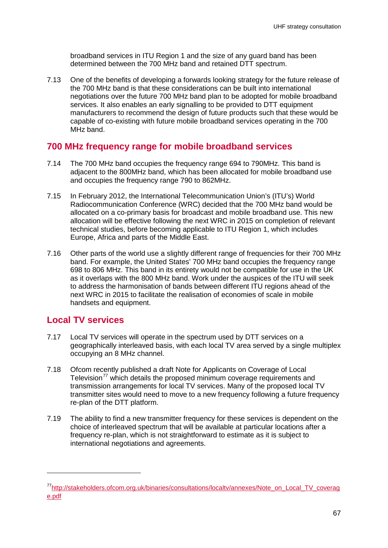broadband services in ITU Region 1 and the size of any guard band has been determined between the 700 MHz band and retained DTT spectrum.

7.13 One of the benefits of developing a forwards looking strategy for the future release of the 700 MHz band is that these considerations can be built into international negotiations over the future 700 MHz band plan to be adopted for mobile broadband services. It also enables an early signalling to be provided to DTT equipment manufacturers to recommend the design of future products such that these would be capable of co-existing with future mobile broadband services operating in the 700 MHz band.

### **700 MHz frequency range for mobile broadband services**

- 7.14 The 700 MHz band occupies the frequency range 694 to 790MHz. This band is adjacent to the 800MHz band, which has been allocated for mobile broadband use and occupies the frequency range 790 to 862MHz.
- 7.15 In February 2012, the International Telecommunication Union's (ITU's) World Radiocommunication Conference (WRC) decided that the 700 MHz band would be allocated on a co-primary basis for broadcast and mobile broadband use. This new allocation will be effective following the next WRC in 2015 on completion of relevant technical studies, before becoming applicable to ITU Region 1, which includes Europe, Africa and parts of the Middle East.
- 7.16 Other parts of the world use a slightly different range of frequencies for their 700 MHz band. For example, the United States' 700 MHz band occupies the frequency range 698 to 806 MHz. This band in its entirety would not be compatible for use in the UK as it overlaps with the 800 MHz band. Work under the auspices of the ITU will seek to address the harmonisation of bands between different ITU regions ahead of the next WRC in 2015 to facilitate the realisation of economies of scale in mobile handsets and equipment.

## **Local TV services**

- 7.17 Local TV services will operate in the spectrum used by DTT services on a geographically interleaved basis, with each local TV area served by a single multiplex occupying an 8 MHz channel.
- 7.18 Ofcom recently published a draft Note for Applicants on Coverage of Local Television<sup>[77](#page-68-0)</sup> which details the proposed minimum coverage requirements and transmission arrangements for local TV services. Many of the proposed local TV transmitter sites would need to move to a new frequency following a future frequency re-plan of the DTT platform.
- 7.19 The ability to find a new transmitter frequency for these services is dependent on the choice of interleaved spectrum that will be available at particular locations after a frequency re-plan, which is not straightforward to estimate as it is subject to international negotiations and agreements.

[<sup>77</sup>http://stakeholders.ofcom.org.uk/binaries/consultations/localtv/annexes/Note\\_on\\_Local\\_TV\\_coverag](http://stakeholders.ofcom.org.uk/binaries/consultations/localtv/annexes/Note_on_Local_TV_coverage.pdf) [e.pdf](http://stakeholders.ofcom.org.uk/binaries/consultations/localtv/annexes/Note_on_Local_TV_coverage.pdf)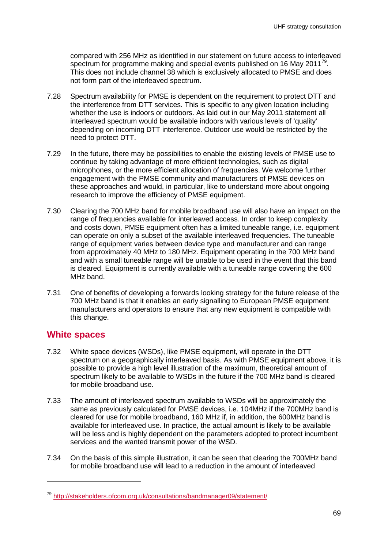compared with 256 MHz as identified in our statement on future access to interleaved spectrum for programme making and special events published on 16 May 2011<sup>[79](#page-70-0)</sup>. This does not include channel 38 which is exclusively allocated to PMSE and does not form part of the interleaved spectrum.

- 7.28 Spectrum availability for PMSE is dependent on the requirement to protect DTT and the interference from DTT services. This is specific to any given location including whether the use is indoors or outdoors. As laid out in our May 2011 statement all interleaved spectrum would be available indoors with various levels of 'quality' depending on incoming DTT interference. Outdoor use would be restricted by the need to protect DTT.
- 7.29 In the future, there may be possibilities to enable the existing levels of PMSE use to continue by taking advantage of more efficient technologies, such as digital microphones, or the more efficient allocation of frequencies. We welcome further engagement with the PMSE community and manufacturers of PMSE devices on these approaches and would, in particular, like to understand more about ongoing research to improve the efficiency of PMSE equipment.
- 7.30 Clearing the 700 MHz band for mobile broadband use will also have an impact on the range of frequencies available for interleaved access. In order to keep complexity and costs down, PMSE equipment often has a limited tuneable range, i.e. equipment can operate on only a subset of the available interleaved frequencies. The tuneable range of equipment varies between device type and manufacturer and can range from approximately 40 MHz to 180 MHz. Equipment operating in the 700 MHz band and with a small tuneable range will be unable to be used in the event that this band is cleared. Equipment is currently available with a tuneable range covering the 600 MHz band.
- 7.31 One of benefits of developing a forwards looking strategy for the future release of the 700 MHz band is that it enables an early signalling to European PMSE equipment manufacturers and operators to ensure that any new equipment is compatible with this change.

## **White spaces**

- 7.32 White space devices (WSDs), like PMSE equipment, will operate in the DTT spectrum on a geographically interleaved basis. As with PMSE equipment above, it is possible to provide a high level illustration of the maximum, theoretical amount of spectrum likely to be available to WSDs in the future if the 700 MHz band is cleared for mobile broadband use.
- 7.33 The amount of interleaved spectrum available to WSDs will be approximately the same as previously calculated for PMSE devices, i.e. 104MHz if the 700MHz band is cleared for use for mobile broadband, 160 MHz if, in addition, the 600MHz band is available for interleaved use. In practice, the actual amount is likely to be available will be less and is highly dependent on the parameters adopted to protect incumbent services and the wanted transmit power of the WSD.
- 7.34 On the basis of this simple illustration, it can be seen that clearing the 700MHz band for mobile broadband use will lead to a reduction in the amount of interleaved

<sup>79</sup> <http://stakeholders.ofcom.org.uk/consultations/bandmanager09/statement/>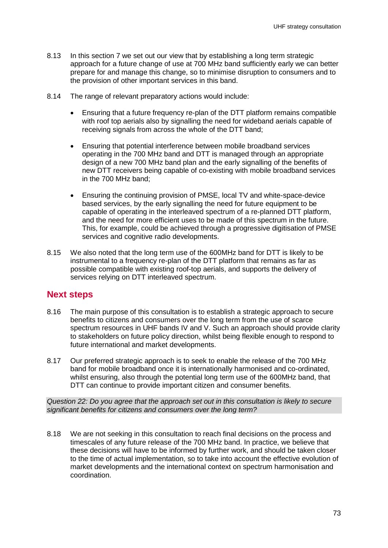- 8.13 In this section 7 we set out our view that by establishing a long term strategic approach for a future change of use at 700 MHz band sufficiently early we can better prepare for and manage this change, so to minimise disruption to consumers and to the provision of other important services in this band.
- 8.14 The range of relevant preparatory actions would include:
	- Ensuring that a future frequency re-plan of the DTT platform remains compatible with roof top aerials also by signalling the need for wideband aerials capable of receiving signals from across the whole of the DTT band;
	- Ensuring that potential interference between mobile broadband services operating in the 700 MHz band and DTT is managed through an appropriate design of a new 700 MHz band plan and the early signalling of the benefits of new DTT receivers being capable of co-existing with mobile broadband services in the 700 MHz band;
	- Ensuring the continuing provision of PMSE, local TV and white-space-device based services, by the early signalling the need for future equipment to be capable of operating in the interleaved spectrum of a re-planned DTT platform, and the need for more efficient uses to be made of this spectrum in the future. This, for example, could be achieved through a progressive digitisation of PMSE services and cognitive radio developments.
- 8.15 We also noted that the long term use of the 600MHz band for DTT is likely to be instrumental to a frequency re-plan of the DTT platform that remains as far as possible compatible with existing roof-top aerials, and supports the delivery of services relying on DTT interleaved spectrum.

## **Next steps**

- 8.16 The main purpose of this consultation is to establish a strategic approach to secure benefits to citizens and consumers over the long term from the use of scarce spectrum resources in UHF bands IV and V. Such an approach should provide clarity to stakeholders on future policy direction, whilst being flexible enough to respond to future international and market developments.
- 8.17 Our preferred strategic approach is to seek to enable the release of the 700 MHz band for mobile broadband once it is internationally harmonised and co-ordinated, whilst ensuring, also through the potential long term use of the 600MHz band, that DTT can continue to provide important citizen and consumer benefits.

*Question 22: Do you agree that the approach set out in this consultation is likely to secure significant benefits for citizens and consumers over the long term?*

8.18 We are not seeking in this consultation to reach final decisions on the process and timescales of any future release of the 700 MHz band. In practice, we believe that these decisions will have to be informed by further work, and should be taken closer to the time of actual implementation, so to take into account the effective evolution of market developments and the international context on spectrum harmonisation and coordination.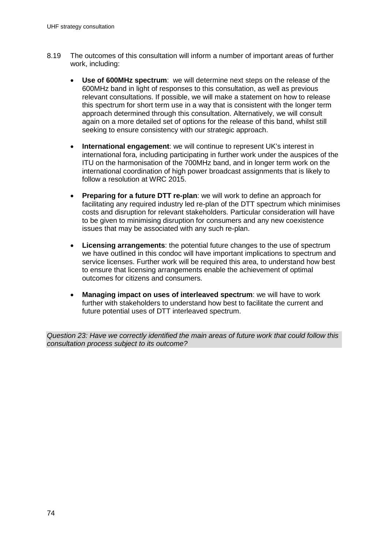- 8.19 The outcomes of this consultation will inform a number of important areas of further work, including:
	- **Use of 600MHz spectrum**: we will determine next steps on the release of the 600MHz band in light of responses to this consultation, as well as previous relevant consultations. If possible, we will make a statement on how to release this spectrum for short term use in a way that is consistent with the longer term approach determined through this consultation. Alternatively, we will consult again on a more detailed set of options for the release of this band, whilst still seeking to ensure consistency with our strategic approach.
	- **International engagement**: we will continue to represent UK's interest in international fora, including participating in further work under the auspices of the ITU on the harmonisation of the 700MHz band, and in longer term work on the international coordination of high power broadcast assignments that is likely to follow a resolution at WRC 2015.
	- **Preparing for a future DTT re-plan**: we will work to define an approach for facilitating any required industry led re-plan of the DTT spectrum which minimises costs and disruption for relevant stakeholders. Particular consideration will have to be given to minimising disruption for consumers and any new coexistence issues that may be associated with any such re-plan.
	- **Licensing arrangements**: the potential future changes to the use of spectrum we have outlined in this condoc will have important implications to spectrum and service licenses. Further work will be required this area, to understand how best to ensure that licensing arrangements enable the achievement of optimal outcomes for citizens and consumers.
	- **Managing impact on uses of interleaved spectrum**: we will have to work further with stakeholders to understand how best to facilitate the current and future potential uses of DTT interleaved spectrum.

*Question 23: Have we correctly identified the main areas of future work that could follow this consultation process subject to its outcome?*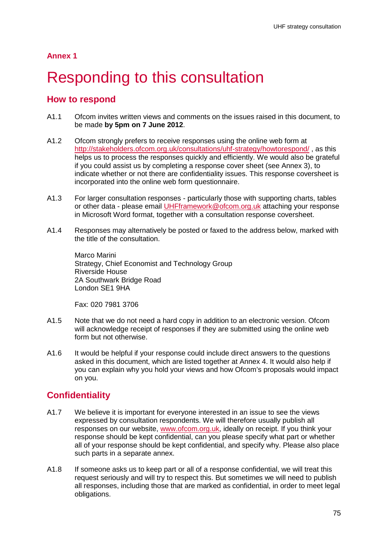# **Responding to this consultation**

## **How to respond**

- A1.1 Ofcom invites written views and comments on the issues raised in this document, to be made **by 5pm on 7 June 2012**.
- A1.2 Ofcom strongly prefers to receive responses using the online web form at <http://stakeholders.ofcom.org.uk/consultations/uhf-strategy/howtorespond/> , as this helps us to process the responses quickly and efficiently. We would also be grateful if you could assist us by completing a response cover sheet (see Annex 3), to indicate whether or not there are confidentiality issues. This response coversheet is incorporated into the online web form questionnaire.
- A1.3 For larger consultation responses particularly those with supporting charts, tables or other data - please email [UHFframework@ofcom.org.uk](mailto:UHFframework@ofcom.org.uk) attaching your response in Microsoft Word format, together with a consultation response coversheet.
- A1.4 Responses may alternatively be posted or faxed to the address below, marked with the title of the consultation.

Marco Marini Strategy, Chief Economist and Technology Group Riverside House 2A Southwark Bridge Road London SE1 9HA

Fax: 020 7981 3706

- A1.5 Note that we do not need a hard copy in addition to an electronic version. Ofcom will acknowledge receipt of responses if they are submitted using the online web form but not otherwise.
- A1.6 It would be helpful if your response could include direct answers to the questions asked in this document, which are listed together at Annex 4. It would also help if you can explain why you hold your views and how Ofcom's proposals would impact on you.

## **Confidentiality**

- A1.7 We believe it is important for everyone interested in an issue to see the views expressed by consultation respondents. We will therefore usually publish all responses on our website, [www.ofcom.org.uk,](http://www.ofcom.org.uk/) ideally on receipt. If you think your response should be kept confidential, can you please specify what part or whether all of your response should be kept confidential, and specify why. Please also place such parts in a separate annex.
- A1.8 If someone asks us to keep part or all of a response confidential, we will treat this request seriously and will try to respect this. But sometimes we will need to publish all responses, including those that are marked as confidential, in order to meet legal obligations.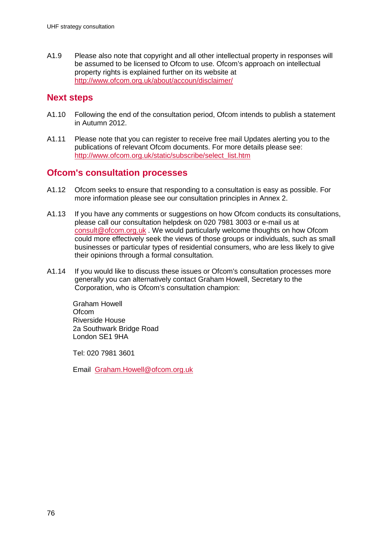A1.9 Please also note that copyright and all other intellectual property in responses will be assumed to be licensed to Ofcom to use. Ofcom's approach on intellectual property rights is explained further on its website at <http://www.ofcom.org.uk/about/accoun/disclaimer/>

## **Next steps**

- A1.10 Following the end of the consultation period, Ofcom intends to publish a statement in Autumn 2012.
- A1.11 Please note that you can register to receive free mail Updates alerting you to the publications of relevant Ofcom documents. For more details please see: [http://www.ofcom.org.uk/static/subscribe/select\\_list.htm](http://www.ofcom.org.uk/static/subscribe/select_list.htm)

### **Ofcom's consultation processes**

- A1.12 Ofcom seeks to ensure that responding to a consultation is easy as possible. For more information please see our consultation principles in Annex 2.
- A1.13 If you have any comments or suggestions on how Ofcom conducts its consultations, please call our consultation helpdesk on 020 7981 3003 or e-mail us at [consult@ofcom.org.uk](mailto:consult@ofcom.org.uk) . We would particularly welcome thoughts on how Ofcom could more effectively seek the views of those groups or individuals, such as small businesses or particular types of residential consumers, who are less likely to give their opinions through a formal consultation.
- A1.14 If you would like to discuss these issues or Ofcom's consultation processes more generally you can alternatively contact Graham Howell, Secretary to the Corporation, who is Ofcom's consultation champion:

Graham Howell **Ofcom** Riverside House 2a Southwark Bridge Road London SE1 9HA

Tel: 020 7981 3601

Email [Graham.Howell@ofcom.org.uk](mailto:Graham.Howell@ofcom.org.uk)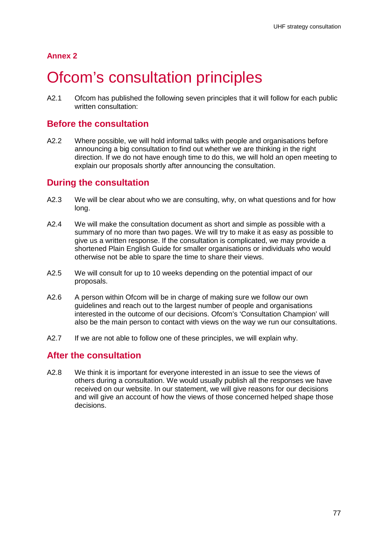# Ofcom's consultation principles

A2.1 Ofcom has published the following seven principles that it will follow for each public written consultation:

## **Before the consultation**

A2.2 Where possible, we will hold informal talks with people and organisations before announcing a big consultation to find out whether we are thinking in the right direction. If we do not have enough time to do this, we will hold an open meeting to explain our proposals shortly after announcing the consultation.

## **During the consultation**

- A2.3 We will be clear about who we are consulting, why, on what questions and for how long.
- A2.4 We will make the consultation document as short and simple as possible with a summary of no more than two pages. We will try to make it as easy as possible to give us a written response. If the consultation is complicated, we may provide a shortened Plain English Guide for smaller organisations or individuals who would otherwise not be able to spare the time to share their views.
- A2.5 We will consult for up to 10 weeks depending on the potential impact of our proposals.
- A2.6 A person within Ofcom will be in charge of making sure we follow our own guidelines and reach out to the largest number of people and organisations interested in the outcome of our decisions. Ofcom's 'Consultation Champion' will also be the main person to contact with views on the way we run our consultations.
- A2.7 If we are not able to follow one of these principles, we will explain why.

## **After the consultation**

A2.8 We think it is important for everyone interested in an issue to see the views of others during a consultation. We would usually publish all the responses we have received on our website. In our statement, we will give reasons for our decisions and will give an account of how the views of those concerned helped shape those decisions.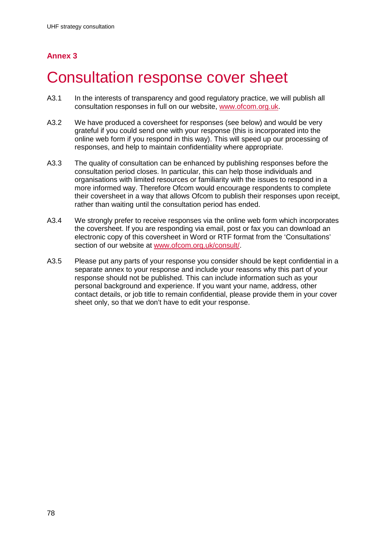# 3 Consultation response cover sheet

- A3.1 In the interests of transparency and good regulatory practice, we will publish all consultation responses in full on our website, [www.ofcom.org.uk.](http://www.ofcom.org.uk/)
- A3.2 We have produced a coversheet for responses (see below) and would be very grateful if you could send one with your response (this is incorporated into the online web form if you respond in this way). This will speed up our processing of responses, and help to maintain confidentiality where appropriate.
- A3.3 The quality of consultation can be enhanced by publishing responses before the consultation period closes. In particular, this can help those individuals and organisations with limited resources or familiarity with the issues to respond in a more informed way. Therefore Ofcom would encourage respondents to complete their coversheet in a way that allows Ofcom to publish their responses upon receipt, rather than waiting until the consultation period has ended.
- A3.4 We strongly prefer to receive responses via the online web form which incorporates the coversheet. If you are responding via email, post or fax you can download an electronic copy of this coversheet in Word or RTF format from the 'Consultations' section of our website at [www.ofcom.org.uk/consult/.](http://www.ofcom.org.uk/consult/)
- A3.5 Please put any parts of your response you consider should be kept confidential in a separate annex to your response and include your reasons why this part of your response should not be published. This can include information such as your personal background and experience. If you want your name, address, other contact details, or job title to remain confidential, please provide them in your cover sheet only, so that we don't have to edit your response.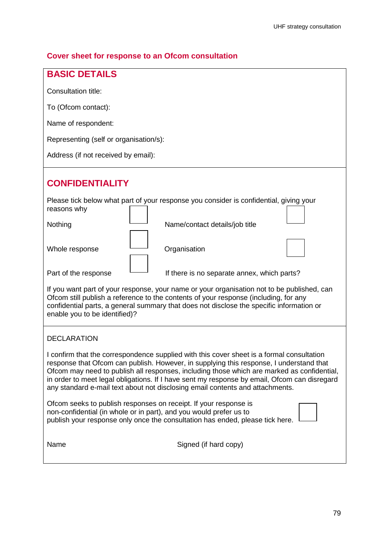## **Cover sheet for response to an Ofcom consultation**

| <b>BASIC DETAILS</b>                                                                                                                                                                                                                                                                                                                                                                                                                                                |
|---------------------------------------------------------------------------------------------------------------------------------------------------------------------------------------------------------------------------------------------------------------------------------------------------------------------------------------------------------------------------------------------------------------------------------------------------------------------|
| Consultation title:                                                                                                                                                                                                                                                                                                                                                                                                                                                 |
| To (Ofcom contact):                                                                                                                                                                                                                                                                                                                                                                                                                                                 |
| Name of respondent:                                                                                                                                                                                                                                                                                                                                                                                                                                                 |
| Representing (self or organisation/s):                                                                                                                                                                                                                                                                                                                                                                                                                              |
| Address (if not received by email):                                                                                                                                                                                                                                                                                                                                                                                                                                 |
| <b>CONFIDENTIALITY</b>                                                                                                                                                                                                                                                                                                                                                                                                                                              |
| Please tick below what part of your response you consider is confidential, giving your<br>reasons why                                                                                                                                                                                                                                                                                                                                                               |
| Nothing<br>Name/contact details/job title                                                                                                                                                                                                                                                                                                                                                                                                                           |
| Organisation<br>Whole response                                                                                                                                                                                                                                                                                                                                                                                                                                      |
| Part of the response<br>If there is no separate annex, which parts?                                                                                                                                                                                                                                                                                                                                                                                                 |
| If you want part of your response, your name or your organisation not to be published, can<br>Ofcom still publish a reference to the contents of your response (including, for any<br>confidential parts, a general summary that does not disclose the specific information or<br>enable you to be identified)?                                                                                                                                                     |
| <b>DECLARATION</b>                                                                                                                                                                                                                                                                                                                                                                                                                                                  |
| I confirm that the correspondence supplied with this cover sheet is a formal consultation<br>response that Ofcom can publish. However, in supplying this response, I understand that<br>Ofcom may need to publish all responses, including those which are marked as confidential,<br>in order to meet legal obligations. If I have sent my response by email, Ofcom can disregard<br>any standard e-mail text about not disclosing email contents and attachments. |
| Ofcom seeks to publish responses on receipt. If your response is<br>non-confidential (in whole or in part), and you would prefer us to<br>publish your response only once the consultation has ended, please tick here.                                                                                                                                                                                                                                             |
| Name<br>Signed (if hard copy)                                                                                                                                                                                                                                                                                                                                                                                                                                       |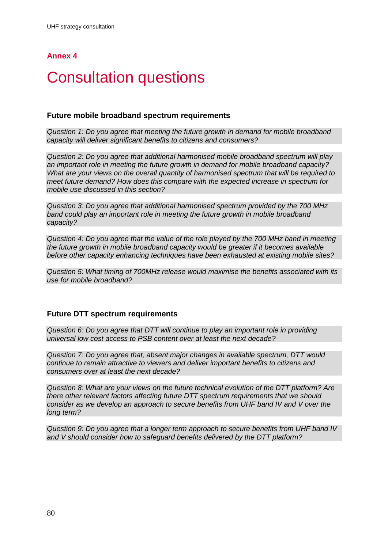# **Consultation questions**

#### **Future mobile broadband spectrum requirements**

*Question 1: Do you agree that meeting the future growth in demand for mobile broadband capacity will deliver significant benefits to citizens and consumers?*

*Question 2: Do you agree that additional harmonised mobile broadband spectrum will play an important role in meeting the future growth in demand for mobile broadband capacity? What are your views on the overall quantity of harmonised spectrum that will be required to meet future demand? How does this compare with the expected increase in spectrum for mobile use discussed in this section?*

*Question 3: Do you agree that additional harmonised spectrum provided by the 700 MHz band could play an important role in meeting the future growth in mobile broadband capacity?* 

*Question 4: Do you agree that the value of the role played by the 700 MHz band in meeting the future growth in mobile broadband capacity would be greater if it becomes available before other capacity enhancing techniques have been exhausted at existing mobile sites?*

*Question 5: What timing of 700MHz release would maximise the benefits associated with its use for mobile broadband?*

#### **Future DTT spectrum requirements**

*Question 6: Do you agree that DTT will continue to play an important role in providing universal low cost access to PSB content over at least the next decade?*

*Question 7: Do you agree that, absent major changes in available spectrum, DTT would continue to remain attractive to viewers and deliver important benefits to citizens and consumers over at least the next decade?*

*Question 8: What are your views on the future technical evolution of the DTT platform? Are there other relevant factors affecting future DTT spectrum requirements that we should consider as we develop an approach to secure benefits from UHF band IV and V over the long term?* 

*Question 9: Do you agree that a longer term approach to secure benefits from UHF band IV and V should consider how to safeguard benefits delivered by the DTT platform?*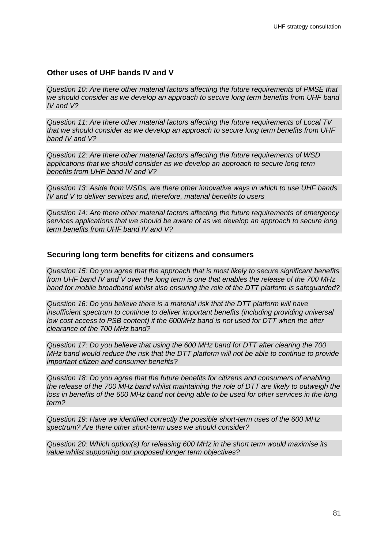#### **Other uses of UHF bands IV and V**

*Question 10: Are there other material factors affecting the future requirements of PMSE that we should consider as we develop an approach to secure long term benefits from UHF band IV and V?*

*Question 11: Are there other material factors affecting the future requirements of Local TV that we should consider as we develop an approach to secure long term benefits from UHF band IV and V?*

*Question 12: Are there other material factors affecting the future requirements of WSD applications that we should consider as we develop an approach to secure long term benefits from UHF band IV and V?*

*Question 13: Aside from WSDs, are there other innovative ways in which to use UHF bands IV and V to deliver services and, therefore, material benefits to users*

*Question 14: Are there other material factors affecting the future requirements of emergency services applications that we should be aware of as we develop an approach to secure long term benefits from UHF band IV and V?*

#### **Securing long term benefits for citizens and consumers**

*Question 15: Do you agree that the approach that is most likely to secure significant benefits from UHF band IV and V over the long term is one that enables the release of the 700 MHz band for mobile broadband whilst also ensuring the role of the DTT platform is safeguarded?* 

*Question 16: Do you believe there is a material risk that the DTT platform will have insufficient spectrum to continue to deliver important benefits (including providing universal low cost access to PSB content) if the 600MHz band is not used for DTT when the after clearance of the 700 MHz band?* 

*Question 17: Do you believe that using the 600 MHz band for DTT after clearing the 700 MHz band would reduce the risk that the DTT platform will not be able to continue to provide important citizen and consumer benefits?* 

*Question 18: Do you agree that the future benefits for citizens and consumers of enabling the release of the 700 MHz band whilst maintaining the role of DTT are likely to outweigh the loss in benefits of the 600 MHz band not being able to be used for other services in the long term?*

*Question 19: Have we identified correctly the possible short-term uses of the 600 MHz spectrum? Are there other short-term uses we should consider?*

*Question 20: Which option(s) for releasing 600 MHz in the short term would maximise its value whilst supporting our proposed longer term objectives?*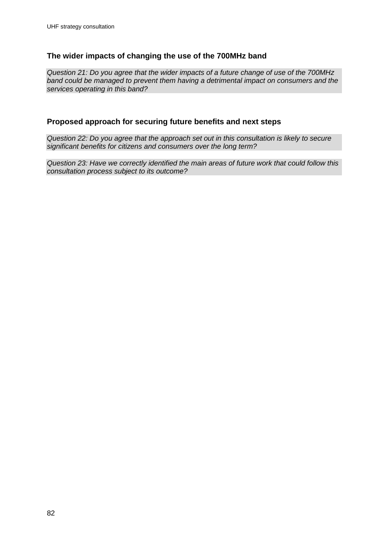### **The wider impacts of changing the use of the 700MHz band**

*Question 21: Do you agree that the wider impacts of a future change of use of the 700MHz band could be managed to prevent them having a detrimental impact on consumers and the services operating in this band?*

### **Proposed approach for securing future benefits and next steps**

*Question 22: Do you agree that the approach set out in this consultation is likely to secure significant benefits for citizens and consumers over the long term?*

*Question 23: Have we correctly identified the main areas of future work that could follow this consultation process subject to its outcome?*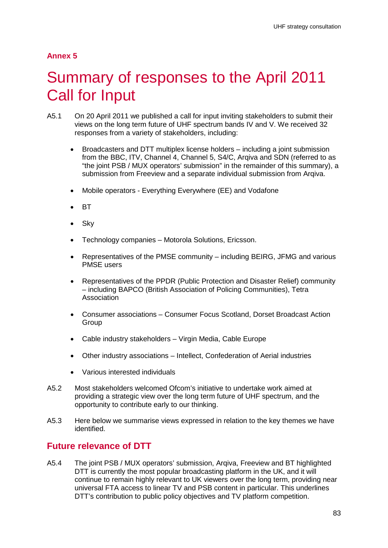# 5 Summary of responses to the April 2011 Call for Input

- A5.1 On 20 April 2011 we published a call for input inviting stakeholders to submit their views on the long term future of UHF spectrum bands IV and V. We received 32 responses from a variety of stakeholders, including:
	- Broadcasters and DTT multiplex license holders including a joint submission from the BBC, ITV, Channel 4, Channel 5, S4/C, Arqiva and SDN (referred to as "the joint PSB / MUX operators' submission" in the remainder of this summary), a submission from Freeview and a separate individual submission from Arqiva.
	- Mobile operators Everything Everywhere (EE) and Vodafone
	- BT
	- **Sky**
	- Technology companies Motorola Solutions, Ericsson.
	- Representatives of the PMSE community including BEIRG, JFMG and various PMSE users
	- Representatives of the PPDR (Public Protection and Disaster Relief) community – including BAPCO (British Association of Policing Communities), Tetra Association
	- Consumer associations Consumer Focus Scotland, Dorset Broadcast Action **Group**
	- Cable industry stakeholders Virgin Media, Cable Europe
	- Other industry associations Intellect, Confederation of Aerial industries
	- Various interested individuals
- A5.2 Most stakeholders welcomed Ofcom's initiative to undertake work aimed at providing a strategic view over the long term future of UHF spectrum, and the opportunity to contribute early to our thinking.
- A5.3 Here below we summarise views expressed in relation to the key themes we have identified.

## **Future relevance of DTT**

A5.4 The joint PSB / MUX operators' submission, Arqiva, Freeview and BT highlighted DTT is currently the most popular broadcasting platform in the UK, and it will continue to remain highly relevant to UK viewers over the long term, providing near universal FTA access to linear TV and PSB content in particular. This underlines DTT's contribution to public policy objectives and TV platform competition.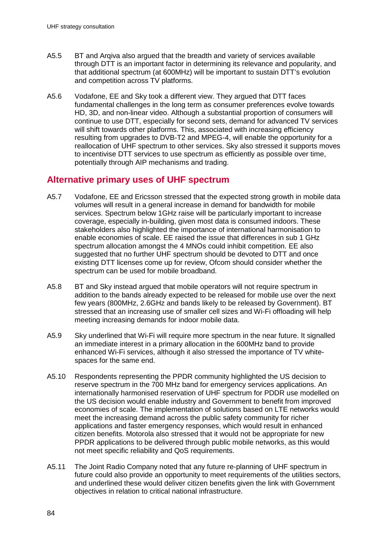- A5.5 BT and Arqiva also argued that the breadth and variety of services available through DTT is an important factor in determining its relevance and popularity, and that additional spectrum (at 600MHz) will be important to sustain DTT's evolution and competition across TV platforms.
- A5.6 Vodafone, EE and Sky took a different view. They argued that DTT faces fundamental challenges in the long term as consumer preferences evolve towards HD, 3D, and non-linear video. Although a substantial proportion of consumers will continue to use DTT, especially for second sets, demand for advanced TV services will shift towards other platforms. This, associated with increasing efficiency resulting from upgrades to DVB-T2 and MPEG-4, will enable the opportunity for a reallocation of UHF spectrum to other services. Sky also stressed it supports moves to incentivise DTT services to use spectrum as efficiently as possible over time, potentially through AIP mechanisms and trading.

## **Alternative primary uses of UHF spectrum**

- A5.7 Vodafone, EE and Ericsson stressed that the expected strong growth in mobile data volumes will result in a general increase in demand for bandwidth for mobile services. Spectrum below 1GHz raise will be particularly important to increase coverage, especially in-building, given most data is consumed indoors. These stakeholders also highlighted the importance of international harmonisation to enable economies of scale. EE raised the issue that differences in sub 1 GHz spectrum allocation amongst the 4 MNOs could inhibit competition. EE also suggested that no further UHF spectrum should be devoted to DTT and once existing DTT licenses come up for review, Ofcom should consider whether the spectrum can be used for mobile broadband.
- A5.8 BT and Sky instead argued that mobile operators will not require spectrum in addition to the bands already expected to be released for mobile use over the next few years (800MHz, 2.6GHz and bands likely to be released by Government). BT stressed that an increasing use of smaller cell sizes and Wi-Fi offloading will help meeting increasing demands for indoor mobile data.
- A5.9 Sky underlined that Wi-Fi will require more spectrum in the near future. It signalled an immediate interest in a primary allocation in the 600MHz band to provide enhanced Wi-Fi services, although it also stressed the importance of TV whitespaces for the same end.
- A5.10 Respondents representing the PPDR community highlighted the US decision to reserve spectrum in the 700 MHz band for emergency services applications. An internationally harmonised reservation of UHF spectrum for PDDR use modelled on the US decision would enable industry and Government to benefit from improved economies of scale. The implementation of solutions based on LTE networks would meet the increasing demand across the public safety community for richer applications and faster emergency responses, which would result in enhanced citizen benefits. Motorola also stressed that it would not be appropriate for new PPDR applications to be delivered through public mobile networks, as this would not meet specific reliability and QoS requirements.
- A5.11 The Joint Radio Company noted that any future re-planning of UHF spectrum in future could also provide an opportunity to meet requirements of the utilities sectors. and underlined these would deliver citizen benefits given the link with Government objectives in relation to critical national infrastructure.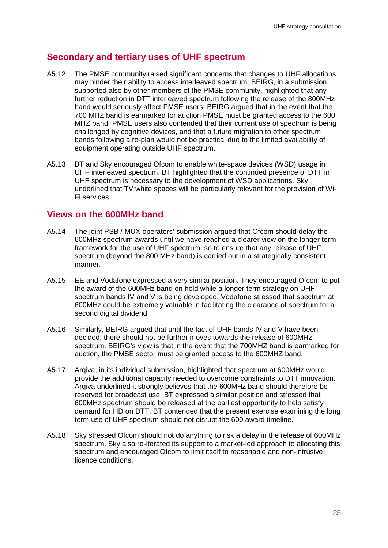## **Secondary and tertiary uses of UHF spectrum**

- A5.12 The PMSE community raised significant concerns that changes to UHF allocations may hinder their ability to access interleaved spectrum. BEIRG, in a submission supported also by other members of the PMSE community, highlighted that any further reduction in DTT interleaved spectrum following the release of the 800MHz band would seriously affect PMSE users. BEIRG argued that in the event that the 700 MHZ band is earmarked for auction PMSE must be granted access to the 600 MHZ band. PMSE users also contended that their current use of spectrum is being challenged by cognitive devices, and that a future migration to other spectrum bands following a re-plan would not be practical due to the limited availability of equipment operating outside UHF spectrum.
- A5.13 BT and Sky encouraged Ofcom to enable white-space devices (WSD) usage in UHF interleaved spectrum. BT highlighted that the continued presence of DTT in UHF spectrum is necessary to the development of WSD applications. Sky underlined that TV white spaces will be particularly relevant for the provision of Wi-Fi services.

## **Views on the 600MHz band**

- A5.14 The joint PSB / MUX operators' submission argued that Ofcom should delay the 600MHz spectrum awards until we have reached a clearer view on the longer term framework for the use of UHF spectrum, so to ensure that any release of UHF spectrum (beyond the 800 MHz band) is carried out in a strategically consistent manner.
- A5.15 EE and Vodafone expressed a very similar position. They encouraged Ofcom to put the award of the 600MHz band on hold while a longer term strategy on UHF spectrum bands IV and V is being developed. Vodafone stressed that spectrum at 600MHz could be extremely valuable in facilitating the clearance of spectrum for a second digital dividend.
- A5.16 Similarly, BEIRG argued that until the fact of UHF bands IV and V have been decided, there should not be further moves towards the release of 600MHz spectrum. BEIRG's view is that in the event that the 700MHZ band is earmarked for auction, the PMSE sector must be granted access to the 600MHZ band.
- A5.17 Arqiva, in its individual submission, highlighted that spectrum at 600MHz would provide the additional capacity needed to overcome constraints to DTT innovation. Arqiva underlined it strongly believes that the 600MHz band should therefore be reserved for broadcast use. BT expressed a similar position and stressed that 600MHz spectrum should be released at the earliest opportunity to help satisfy demand for HD on DTT. BT contended that the present exercise examining the long term use of UHF spectrum should not disrupt the 600 award timeline.
- A5.18 Sky stressed Ofcom should not do anything to risk a delay in the release of 600MHz spectrum. Sky also re-iterated its support to a market-led approach to allocating this spectrum and encouraged Ofcom to limit itself to reasonable and non-intrusive licence conditions.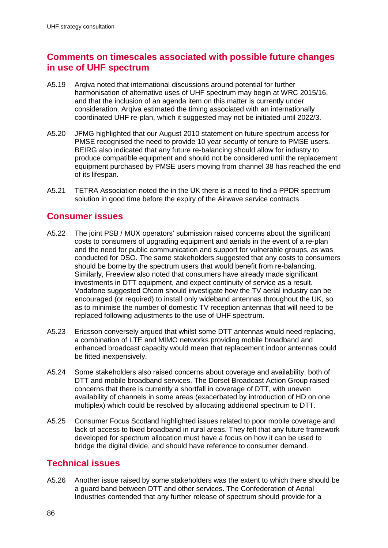## **Comments on timescales associated with possible future changes in use of UHF spectrum**

- A5.19 Arqiva noted that international discussions around potential for further harmonisation of alternative uses of UHF spectrum may begin at WRC 2015/16, and that the inclusion of an agenda item on this matter is currently under consideration. Arqiva estimated the timing associated with an internationally coordinated UHF re-plan, which it suggested may not be initiated until 2022/3.
- A5.20 JFMG highlighted that our August 2010 statement on future spectrum access for PMSE recognised the need to provide 10 year security of tenure to PMSE users. BEIRG also indicated that any future re-balancing should allow for industry to produce compatible equipment and should not be considered until the replacement equipment purchased by PMSE users moving from channel 38 has reached the end of its lifespan.
- A5.21 TETRA Association noted the in the UK there is a need to find a PPDR spectrum solution in good time before the expiry of the Airwave service contracts

## **Consumer issues**

- A5.22 The joint PSB / MUX operators' submission raised concerns about the significant costs to consumers of upgrading equipment and aerials in the event of a re-plan and the need for public communication and support for vulnerable groups, as was conducted for DSO. The same stakeholders suggested that any costs to consumers should be borne by the spectrum users that would benefit from re-balancing. Similarly, Freeview also noted that consumers have already made significant investments in DTT equipment, and expect continuity of service as a result. Vodafone suggested Ofcom should investigate how the TV aerial industry can be encouraged (or required) to install only wideband antennas throughout the UK, so as to minimise the number of domestic TV reception antennas that will need to be replaced following adjustments to the use of UHF spectrum.
- A5.23 Ericsson conversely argued that whilst some DTT antennas would need replacing, a combination of LTE and MIMO networks providing mobile broadband and enhanced broadcast capacity would mean that replacement indoor antennas could be fitted inexpensively.
- A5.24 Some stakeholders also raised concerns about coverage and availability, both of DTT and mobile broadband services. The Dorset Broadcast Action Group raised concerns that there is currently a shortfall in coverage of DTT, with uneven availability of channels in some areas (exacerbated by introduction of HD on one multiplex) which could be resolved by allocating additional spectrum to DTT.
- A5.25 Consumer Focus Scotland highlighted issues related to poor mobile coverage and lack of access to fixed broadband in rural areas. They felt that any future framework developed for spectrum allocation must have a focus on how it can be used to bridge the digital divide, and should have reference to consumer demand.

## **Technical issues**

A5.26 Another issue raised by some stakeholders was the extent to which there should be a guard band between DTT and other services. The Confederation of Aerial Industries contended that any further release of spectrum should provide for a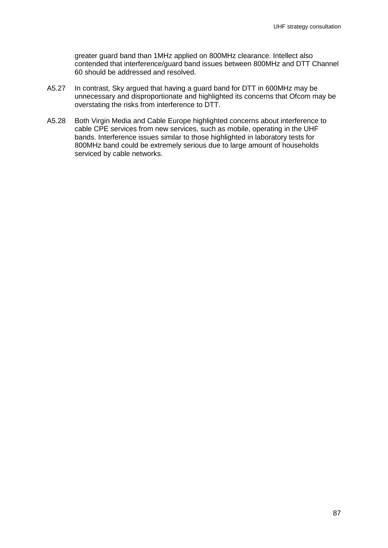greater guard band than 1MHz applied on 800MHz clearance. Intellect also contended that interference/guard band issues between 800MHz and DTT Channel 60 should be addressed and resolved.

- A5.27 In contrast, Sky argued that having a guard band for DTT in 600MHz may be unnecessary and disproportionate and highlighted its concerns that Ofcom may be overstating the risks from interference to DTT.
- A5.28 Both Virgin Media and Cable Europe highlighted concerns about interference to cable CPE services from new services, such as mobile, operating in the UHF bands. Interference issues similar to those highlighted in laboratory tests for 800MHz band could be extremely serious due to large amount of households serviced by cable networks.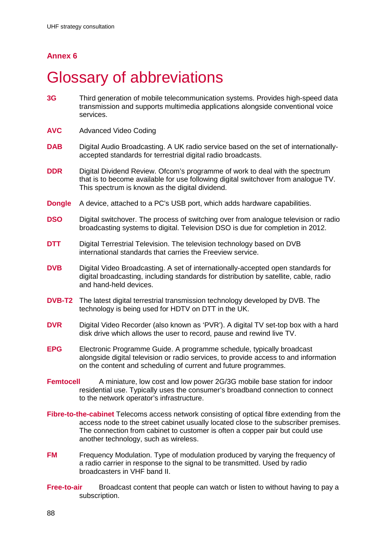# **Glossary of abbreviations**

- **3G** Third generation of mobile telecommunication systems. Provides high-speed data transmission and supports multimedia applications alongside conventional voice services.
- **AVC** Advanced Video Coding
- **DAB** Digital Audio Broadcasting. A UK radio service based on the set of internationallyaccepted standards for terrestrial digital radio broadcasts.
- **DDR** Digital Dividend Review. Ofcom's programme of work to deal with the spectrum that is to become available for use following [digital switchover](http://wiki/wiki/Digital_switchover) from analogue TV. This spectrum is known as the [digital dividend.](http://wiki/wiki/Digital_dividend)
- **Dongle** A device, attached to a PC's USB port, which adds hardware capabilities.
- **DSO** Digital switchover. The process of switching over from analogue television or radio broadcasting systems to digital. Television DSO is due for completion in 2012.
- **DTT** Digital Terrestrial Television. The television technology based on DVB international standards that carries the Freeview service.
- **DVB** Digital Video Broadcasting. A set of internationally-accepted open standards for digital broadcasting, including standards for distribution by satellite, cable, radio and hand-held devices.
- **DVB-T2** The latest digital terrestrial transmission technology developed by DVB. The technology is being used for HDTV on DTT in the UK.
- **DVR** Digital Video Recorder (also known as 'PVR'). A digital TV set-top box with a hard disk drive which allows the user to record, pause and rewind live TV.
- **EPG** Electronic Programme Guide. A programme schedule, typically broadcast alongside digital television or radio services, to provide access to and information on the content and scheduling of current and future programmes.
- **Femtocell** A miniature, low cost and low power [2G/](http://wiki/wiki/2G)3G [mobile](http://wiki/wiki/Mobile) base station for indoor residential use. Typically uses the consumer's broadband connection to connect to the network operator's infrastructure.
- **Fibre-to-the-cabinet** Telecoms access network consisting of optical fibre extending from the access node to the street cabinet usually located close to the subscriber premises. The connection from cabinet to customer is often a copper pair but could use another technology, such as wireless.
- **FM** Frequency Modulation. Type of modulation produced by varying the frequency of a radio carrier in response to the signal to be transmitted. Used by radio broadcasters in VHF band II.
- **Free-to-air** Broadcast content that people can watch or listen to without having to pay a subscription.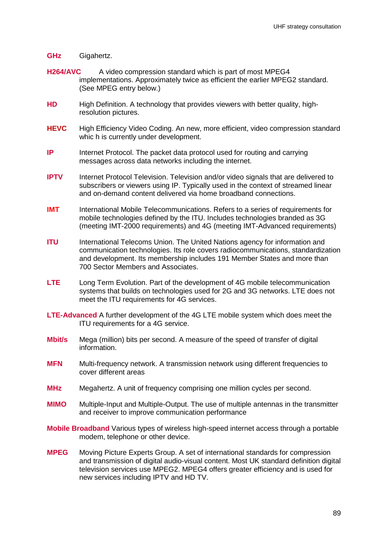#### **GHz** Gigahertz.

- **H264/AVC** A video compression standard which is part of most MPEG4 implementations. Approximately twice as efficient the earlier MPEG2 standard. (See MPEG entry below.)
- **HD** High Definition. A technology that provides viewers with better quality, highresolution pictures.
- **HEVC** High Efficiency Video Coding. An new, more efficient, video compression standard whic h is currently under development.
- **IP** Internet Protocol. The packet data protocol used for routing and carrying messages across data networks including the internet.
- **IPTV** Internet Protocol Television. Television and/or video signals that are delivered to subscribers or viewers using IP. Typically used in the context of streamed linear and on-demand content delivered via home broadband connections.
- **IMT** International Mobile Telecommunications. Refers to a series of requirements for mobile technologies defined by the ITU. Includes technologies branded as 3G (meeting IMT-2000 requirements) and 4G (meeting IMT-Advanced requirements)
- **ITU** International Telecoms Union. The United Nations agency for information and communication technologies. Its role covers radiocommunications, standardization and development. Its membership includes 191 Member States and more than 700 Sector Members and Associates.
- **LTE** Long Term Evolution. Part of the development of 4G mobile telecommunication systems that builds on technologies used for 2G and 3G networks. LTE does not meet the ITU requirements for 4G services.
- **LTE-Advanced** A further development of the 4G LTE mobile system which does meet the ITU requirements for a 4G service.
- **Mbit/s** Mega (million) bits per second. A measure of the speed of transfer of digital information.
- **MFN** Multi-frequency network. A transmission network using different frequencies to cover different areas
- **MHz** Megahertz. A unit of frequency comprising one million cycles per second.
- **MIMO** Multiple-Input and Multiple-Output. The use of multiple antennas in the transmitter and receiver to improve communication performance
- **Mobile Broadband** Various types of wireless high-speed internet access through a portable modem, telephone or other device.
- **MPEG** Moving Picture Experts Group. A set of international standards for compression and transmission of digital audio-visual content. Most UK standard definition digital television services use MPEG2. MPEG4 offers greater efficiency and is used for new services including IPTV and HD TV.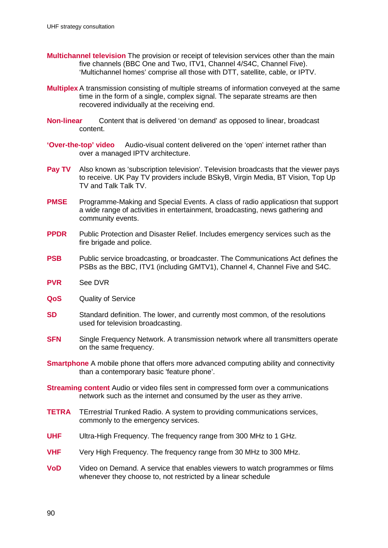- **Multichannel television** The provision or receipt of television services other than the main five channels (BBC One and Two, ITV1, Channel 4/S4C, Channel Five). 'Multichannel homes' comprise all those with DTT, satellite, cable, or IPTV.
- **Multiplex** A transmission consisting of multiple streams of information conveyed at the same time in the form of a single, complex signal. The separate streams are then recovered individually at the receiving end.
- **Non-linear** Content that is delivered 'on demand' as opposed to linear, broadcast content.
- **'Over-the-top' video** Audio-visual content delivered on the 'open' internet rather than over a managed IPTV architecture.
- **Pay TV** Also known as 'subscription television'. Television broadcasts that the viewer pays to receive. UK Pay TV providers include BSkyB, Virgin Media, BT Vision, Top Up TV and Talk Talk TV.
- **PMSE** Programme-Making and Special Events. A class of radio applicatiosn that support a wide range of activities in entertainment, broadcasting, news gathering and community events.
- **PPDR** Public Protection and Disaster Relief. Includes emergency services such as the fire brigade and police.
- **PSB** Public service broadcasting, or broadcaster. The Communications Act defines the PSBs as the BBC, ITV1 (including GMTV1), Channel 4, Channel Five and S4C.
- **PVR** See DVR
- **QoS** Quality of Service
- **SD** Standard definition. The lower, and currently most common, of the resolutions used for television broadcasting.
- **SFN** Single Frequency Network. A transmission network where all transmitters operate on the same frequency.
- **Smartphone** A mobile phone that offers more advanced computing ability and connectivity than a contemporary basic 'feature phone'.
- **Streaming content** Audio or video files sent in compressed form over a communications network such as the internet and consumed by the user as they arrive.
- **TETRA** TErrestrial Trunked Radio. A system to providing communications services, commonly to the emergency services.
- **UHF** Ultra-High Frequency. The frequency range from 300 MHz to 1 GHz.
- **VHF** Very High Frequency. The frequency range from 30 MHz to 300 MHz.
- **VoD** Video on Demand. A service that enables viewers to watch programmes or films whenever they choose to, not restricted by a linear schedule